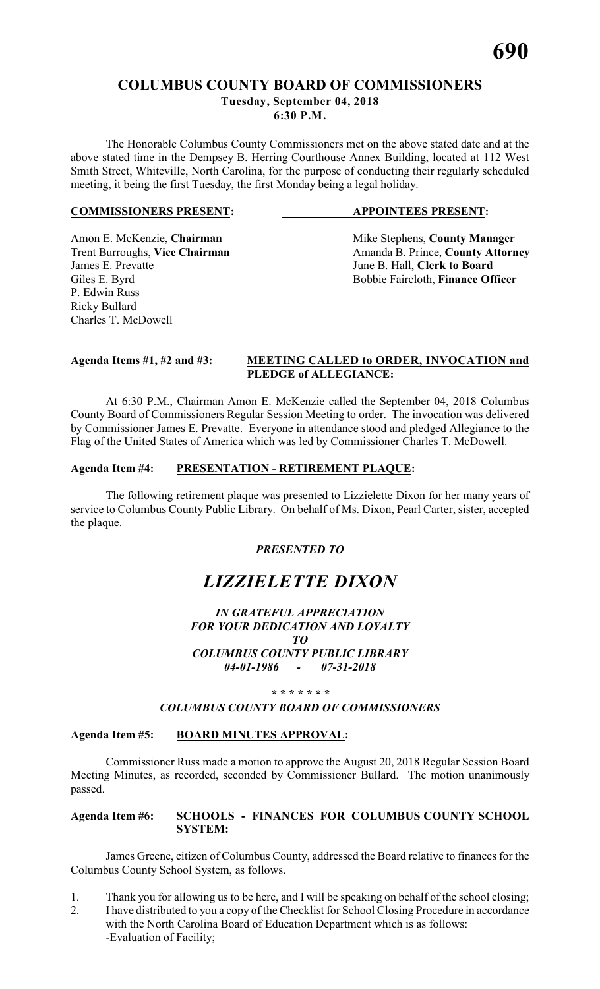#### **COLUMBUS COUNTY BOARD OF COMMISSIONERS Tuesday, September 04, 2018 6:30 P.M.**

The Honorable Columbus County Commissioners met on the above stated date and at the above stated time in the Dempsey B. Herring Courthouse Annex Building, located at 112 West Smith Street, Whiteville, North Carolina, for the purpose of conducting their regularly scheduled meeting, it being the first Tuesday, the first Monday being a legal holiday.

#### **COMMISSIONERS PRESENT: APPOINTEES PRESENT:**

James E. Prevatte<br>
Giles E. Byrd<br>
Giles E. Byrd<br>
Giles E. Byrd<br>
Giles E. Byrd<br>
Giles E. Byrd<br>
Giles E. Byrd<br>
Giles E. Byrd<br>
Giles E. Byrd<br>
Giles E. Byrd<br>
Giles E. Byrd<br>
Giles E. Byrd<br>
Giles E. Byrd<br>
Giles E. Byrd<br>
Giles E. P. Edwin Russ Ricky Bullard Charles T. McDowell

Amon E. McKenzie, **Chairman** Mike Stephens, **County Manager** <br>
Trent Burroughs, **Vice Chairman** Amanda B. Prince, **County Attorn** Trent Burroughs, **Vice Chairman** Amanda B. Prince, **County Attorney**<br>James E. Prevatte June B. Hall. Clerk to Board Bobbie Faircloth, Finance Officer

#### **Agenda Items #1, #2 and #3: MEETING CALLED to ORDER, INVOCATION and PLEDGE of ALLEGIANCE:**

At 6:30 P.M., Chairman Amon E. McKenzie called the September 04, 2018 Columbus County Board of Commissioners Regular Session Meeting to order. The invocation was delivered by Commissioner James E. Prevatte. Everyone in attendance stood and pledged Allegiance to the Flag of the United States of America which was led by Commissioner Charles T. McDowell.

#### **Agenda Item #4: PRESENTATION - RETIREMENT PLAQUE:**

The following retirement plaque was presented to Lizzielette Dixon for her many years of service to Columbus County Public Library. On behalf of Ms. Dixon, Pearl Carter, sister, accepted the plaque.

#### *PRESENTED TO*

### *LIZZIELETTE DIXON*

#### *IN GRATEFUL APPRECIATION FOR YOUR DEDICATION AND LOYALTY TO COLUMBUS COUNTY PUBLIC LIBRARY 04-01-1986 - 07-31-2018*

#### *\* \* \* \* \* \* \**

#### *COLUMBUS COUNTY BOARD OF COMMISSIONERS*

#### **Agenda Item #5: BOARD MINUTES APPROVAL:**

Commissioner Russ made a motion to approve the August 20, 2018 Regular Session Board Meeting Minutes, as recorded, seconded by Commissioner Bullard. The motion unanimously passed.

#### **Agenda Item #6: SCHOOLS - FINANCES FOR COLUMBUS COUNTY SCHOOL SYSTEM:**

James Greene, citizen of Columbus County, addressed the Board relative to finances for the Columbus County School System, as follows.

- 1. Thank you for allowing us to be here, and I will be speaking on behalf of the school closing;
- 2. I have distributed to you a copy of the Checklist for School Closing Procedure in accordance with the North Carolina Board of Education Department which is as follows: -Evaluation of Facility;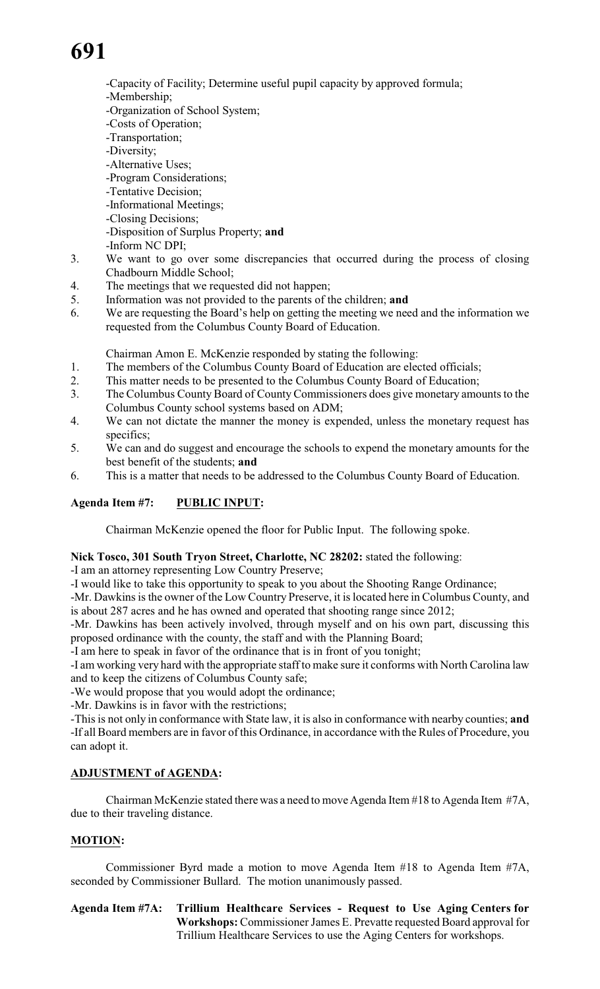- -Capacity of Facility; Determine useful pupil capacity by approved formula;
- -Membership;
- -Organization of School System;
- -Costs of Operation;
- -Transportation;
- -Diversity;
- -Alternative Uses;
- -Program Considerations;
- -Tentative Decision;
- -Informational Meetings;
- -Closing Decisions;
- -Disposition of Surplus Property; **and**
- -Inform NC DPI;
- 3. We want to go over some discrepancies that occurred during the process of closing Chadbourn Middle School;
- 4. The meetings that we requested did not happen;
- 5. Information was not provided to the parents of the children; **and**
- 6. We are requesting the Board's help on getting the meeting we need and the information we requested from the Columbus County Board of Education.

Chairman Amon E. McKenzie responded by stating the following:

- 1. The members of the Columbus County Board of Education are elected officials;
- 2. This matter needs to be presented to the Columbus County Board of Education;
- 3. The Columbus County Board of County Commissioners does give monetary amounts to the Columbus County school systems based on ADM;
- 4. We can not dictate the manner the money is expended, unless the monetary request has specifics;
- 5. We can and do suggest and encourage the schools to expend the monetary amounts for the best benefit of the students; **and**
- 6. This is a matter that needs to be addressed to the Columbus County Board of Education.

### **Agenda Item #7: PUBLIC INPUT:**

Chairman McKenzie opened the floor for Public Input. The following spoke.

#### **Nick Tosco, 301 South Tryon Street, Charlotte, NC 28202:** stated the following:

-I am an attorney representing Low Country Preserve;

-I would like to take this opportunity to speak to you about the Shooting Range Ordinance;

-Mr. Dawkins is the owner of the Low Country Preserve, it is located here in Columbus County, and is about 287 acres and he has owned and operated that shooting range since 2012;

-Mr. Dawkins has been actively involved, through myself and on his own part, discussing this proposed ordinance with the county, the staff and with the Planning Board;

-I am here to speak in favor of the ordinance that is in front of you tonight;

-I am working very hard with the appropriate staff to make sure it conforms with North Carolina law and to keep the citizens of Columbus County safe;

-We would propose that you would adopt the ordinance;

-Mr. Dawkins is in favor with the restrictions;

-This is not only in conformance with State law, it is also in conformance with nearby counties; **and** -If all Board members are in favor of this Ordinance, in accordance with the Rules of Procedure, you can adopt it.

### **ADJUSTMENT of AGENDA:**

Chairman McKenzie stated there was a need to move Agenda Item #18 to Agenda Item #7A, due to their traveling distance.

### **MOTION:**

Commissioner Byrd made a motion to move Agenda Item #18 to Agenda Item #7A, seconded by Commissioner Bullard. The motion unanimously passed.

**Agenda Item #7A: Trillium Healthcare Services - Request to Use Aging Centers for Workshops:** Commissioner James E. Prevatte requested Board approval for Trillium Healthcare Services to use the Aging Centers for workshops.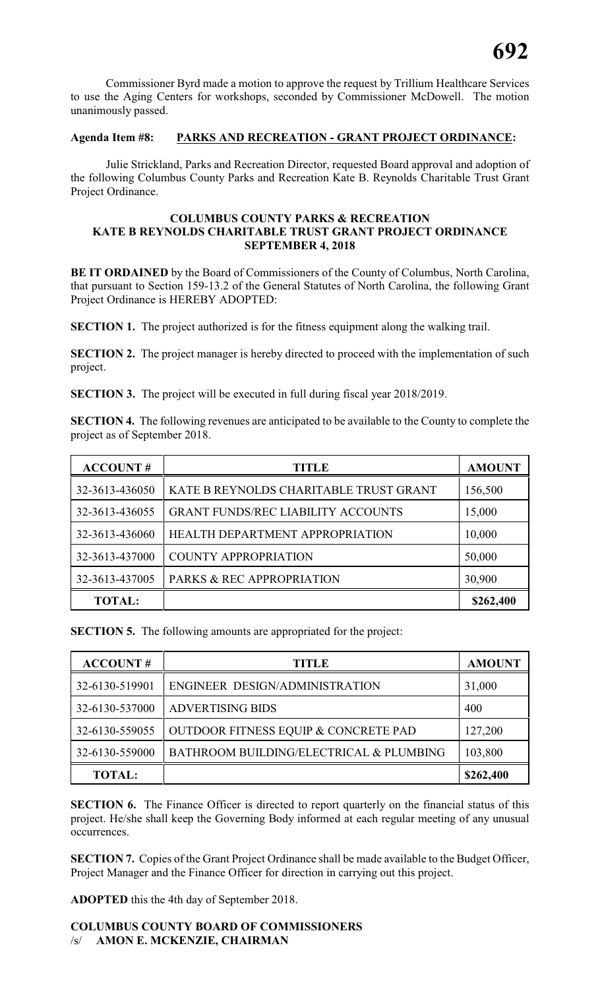Commissioner Byrd made a motion to approve the request by Trillium Healthcare Services to use the Aging Centers for workshops, seconded by Commissioner McDowell. The motion unanimously passed.

#### **Agenda Item #8: PARKS AND RECREATION - GRANT PROJECT ORDINANCE:**

Julie Strickland, Parks and Recreation Director, requested Board approval and adoption of the following Columbus County Parks and Recreation Kate B. Reynolds Charitable Trust Grant Project Ordinance.

#### **COLUMBUS COUNTY PARKS & RECREATION KATE B REYNOLDS CHARITABLE TRUST GRANT PROJECT ORDINANCE SEPTEMBER 4, 2018**

**BE IT ORDAINED** by the Board of Commissioners of the County of Columbus, North Carolina, that pursuant to Section 159-13.2 of the General Statutes of North Carolina, the following Grant Project Ordinance is HEREBY ADOPTED:

**SECTION 1.** The project authorized is for the fitness equipment along the walking trail.

**SECTION 2.** The project manager is hereby directed to proceed with the implementation of such project.

**SECTION 3.** The project will be executed in full during fiscal year 2018/2019.

**SECTION 4.** The following revenues are anticipated to be available to the County to complete the project as of September 2018.

| <b>ACCOUNT#</b> | TITLE                                     | <b>AMOUNT</b> |
|-----------------|-------------------------------------------|---------------|
| 32-3613-436050  | KATE B REYNOLDS CHARITABLE TRUST GRANT    | 156,500       |
| 32-3613-436055  | <b>GRANT FUNDS/REC LIABILITY ACCOUNTS</b> | 15,000        |
| 32-3613-436060  | HEALTH DEPARTMENT APPROPRIATION           | 10,000        |
| 32-3613-437000  | <b>COUNTY APPROPRIATION</b>               | 50,000        |
| 32-3613-437005  | PARKS & REC APPROPRIATION                 | 30,900        |
| <b>TOTAL:</b>   |                                           | \$262,400     |

**SECTION 5.** The following amounts are appropriated for the project:

| <b>ACCOUNT#</b> | <b>TITLE</b>                            | <b>AMOUNT</b> |
|-----------------|-----------------------------------------|---------------|
| 32-6130-519901  | ENGINEER DESIGN/ADMINISTRATION          | 31,000        |
| 32-6130-537000  | <b>ADVERTISING BIDS</b>                 | 400           |
| 32-6130-559055  | OUTDOOR FITNESS EQUIP & CONCRETE PAD    | 127,200       |
| 32-6130-559000  | BATHROOM BUILDING/ELECTRICAL & PLUMBING | 103,800       |
| <b>TOTAL:</b>   |                                         | \$262,400     |

**SECTION 6.** The Finance Officer is directed to report quarterly on the financial status of this project. He/she shall keep the Governing Body informed at each regular meeting of any unusual occurrences.

**SECTION 7.** Copies of the Grant Project Ordinance shall be made available to the Budget Officer, Project Manager and the Finance Officer for direction in carrying out this project.

**ADOPTED** this the 4th day of September 2018.

#### **COLUMBUS COUNTY BOARD OF COMMISSIONERS** /s/ **AMON E. MCKENZIE, CHAIRMAN**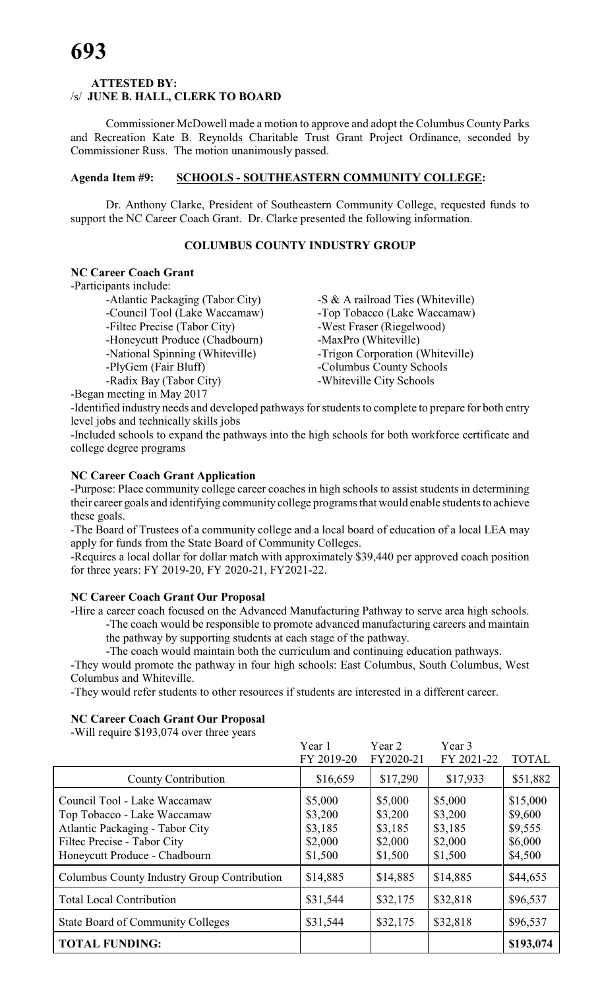#### **ATTESTED BY:**  /s/ **JUNE B. HALL, CLERK TO BOARD**

Commissioner McDowell made a motion to approve and adopt the Columbus County Parks and Recreation Kate B. Reynolds Charitable Trust Grant Project Ordinance, seconded by Commissioner Russ. The motion unanimously passed.

#### **Agenda Item #9: SCHOOLS - SOUTHEASTERN COMMUNITY COLLEGE:**

Dr. Anthony Clarke, President of Southeastern Community College, requested funds to support the NC Career Coach Grant. Dr. Clarke presented the following information.

#### **COLUMBUS COUNTY INDUSTRY GROUP**

#### **NC Career Coach Grant**

-Participants include:

-Atlantic Packaging (Tabor City) -S & A railroad Ties (Whiteville) -Council Tool (Lake Waccamaw) - Top Tobacco (Lake Waccamaw) -Filtec Precise (Tabor City) -West Fraser (Riegelwood) -Honeycutt Produce (Chadbourn) -MaxPro (Whiteville) -National Spinning (Whiteville) -Trigon Corporation (Whiteville) -PlyGem (Fair Bluff) -Columbus County Schools -Radix Bay (Tabor City) -Whiteville City Schools

-Began meeting in May 2017

-Identified industry needs and developed pathways for students to complete to prepare for both entry level jobs and technically skills jobs

-Included schools to expand the pathways into the high schools for both workforce certificate and college degree programs

#### **NC Career Coach Grant Application**

-Purpose: Place community college career coaches in high schools to assist students in determining their career goals and identifying community college programs that would enable students to achieve these goals.

-The Board of Trustees of a community college and a local board of education of a local LEA may apply for funds from the State Board of Community Colleges.

-Requires a local dollar for dollar match with approximately \$39,440 per approved coach position for three years: FY 2019-20, FY 2020-21, FY2021-22.

#### **NC Career Coach Grant Our Proposal**

-Hire a career coach focused on the Advanced Manufacturing Pathway to serve area high schools.

-The coach would be responsible to promote advanced manufacturing careers and maintain the pathway by supporting students at each stage of the pathway.

-The coach would maintain both the curriculum and continuing education pathways.

-They would promote the pathway in four high schools: East Columbus, South Columbus, West Columbus and Whiteville.

-They would refer students to other resources if students are interested in a different career.

#### **NC Career Coach Grant Our Proposal**

-Will require \$193,074 over three years

|                                                                                                                                                                | Year 1<br>FY 2019-20                                | Year 2<br>FY2020-21                                 | Year 3<br>FY 2021-22                                | <b>TOTAL</b>                                         |
|----------------------------------------------------------------------------------------------------------------------------------------------------------------|-----------------------------------------------------|-----------------------------------------------------|-----------------------------------------------------|------------------------------------------------------|
| <b>County Contribution</b>                                                                                                                                     | \$16,659                                            | \$17,290                                            | \$17,933                                            | \$51,882                                             |
| Council Tool - Lake Waccamaw<br>Top Tobacco - Lake Waccamaw<br>Atlantic Packaging - Tabor City<br>Filtec Precise - Tabor City<br>Honeycutt Produce - Chadbourn | \$5,000<br>\$3,200<br>\$3,185<br>\$2,000<br>\$1,500 | \$5,000<br>\$3,200<br>\$3,185<br>\$2,000<br>\$1,500 | \$5,000<br>\$3,200<br>\$3,185<br>\$2,000<br>\$1,500 | \$15,000<br>\$9,600<br>\$9,555<br>\$6,000<br>\$4,500 |
| Columbus County Industry Group Contribution                                                                                                                    | \$14,885                                            | \$14,885                                            | \$14,885                                            | \$44,655                                             |
| <b>Total Local Contribution</b>                                                                                                                                | \$31,544                                            | \$32,175                                            | \$32,818                                            | \$96,537                                             |
| <b>State Board of Community Colleges</b>                                                                                                                       | \$31,544                                            | \$32,175                                            | \$32,818                                            | \$96,537                                             |
| <b>TOTAL FUNDING:</b>                                                                                                                                          |                                                     |                                                     |                                                     | \$193,074                                            |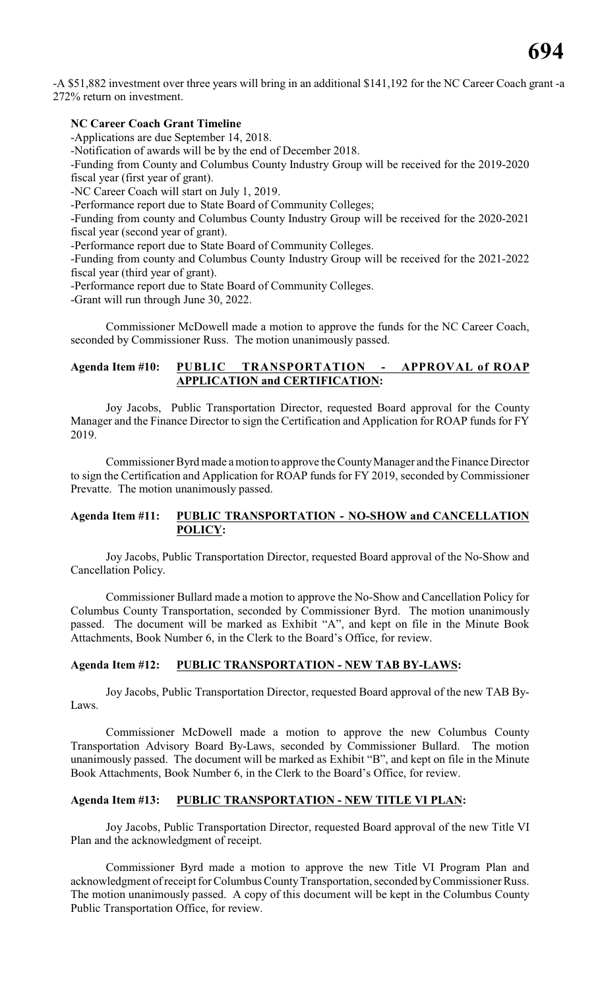-A \$51,882 investment over three years will bring in an additional \$141,192 for the NC Career Coach grant -a 272% return on investment.

#### **NC Career Coach Grant Timeline**

-Applications are due September 14, 2018.

-Notification of awards will be by the end of December 2018.

-Funding from County and Columbus County Industry Group will be received for the 2019-2020 fiscal year (first year of grant).

-NC Career Coach will start on July 1, 2019.

-Performance report due to State Board of Community Colleges;

-Funding from county and Columbus County Industry Group will be received for the 2020-2021 fiscal year (second year of grant).

-Performance report due to State Board of Community Colleges.

-Funding from county and Columbus County Industry Group will be received for the 2021-2022 fiscal year (third year of grant).

-Performance report due to State Board of Community Colleges.

-Grant will run through June 30, 2022.

Commissioner McDowell made a motion to approve the funds for the NC Career Coach, seconded by Commissioner Russ. The motion unanimously passed.

#### **Agenda Item #10: PUBLIC TRANSPORTATION - APPROVAL of ROAP APPLICATION and CERTIFICATION:**

Joy Jacobs, Public Transportation Director, requested Board approval for the County Manager and the Finance Director to sign the Certification and Application for ROAP funds for FY 2019.

Commissioner Byrd made a motion to approve the County Manager and the Finance Director to sign the Certification and Application for ROAP funds for FY 2019, seconded by Commissioner Prevatte. The motion unanimously passed.

#### **Agenda Item #11: PUBLIC TRANSPORTATION - NO-SHOW and CANCELLATION POLICY:**

Joy Jacobs, Public Transportation Director, requested Board approval of the No-Show and Cancellation Policy.

Commissioner Bullard made a motion to approve the No-Show and Cancellation Policy for Columbus County Transportation, seconded by Commissioner Byrd. The motion unanimously passed. The document will be marked as Exhibit "A", and kept on file in the Minute Book Attachments, Book Number 6, in the Clerk to the Board's Office, for review.

#### **Agenda Item #12: PUBLIC TRANSPORTATION - NEW TAB BY-LAWS:**

Joy Jacobs, Public Transportation Director, requested Board approval of the new TAB By-Laws.

Commissioner McDowell made a motion to approve the new Columbus County Transportation Advisory Board By-Laws, seconded by Commissioner Bullard. The motion unanimously passed. The document will be marked as Exhibit "B", and kept on file in the Minute Book Attachments, Book Number 6, in the Clerk to the Board's Office, for review.

#### **Agenda Item #13: PUBLIC TRANSPORTATION - NEW TITLE VI PLAN:**

Joy Jacobs, Public Transportation Director, requested Board approval of the new Title VI Plan and the acknowledgment of receipt.

Commissioner Byrd made a motion to approve the new Title VI Program Plan and acknowledgment of receipt for Columbus County Transportation, seconded by Commissioner Russ. The motion unanimously passed. A copy of this document will be kept in the Columbus County Public Transportation Office, for review.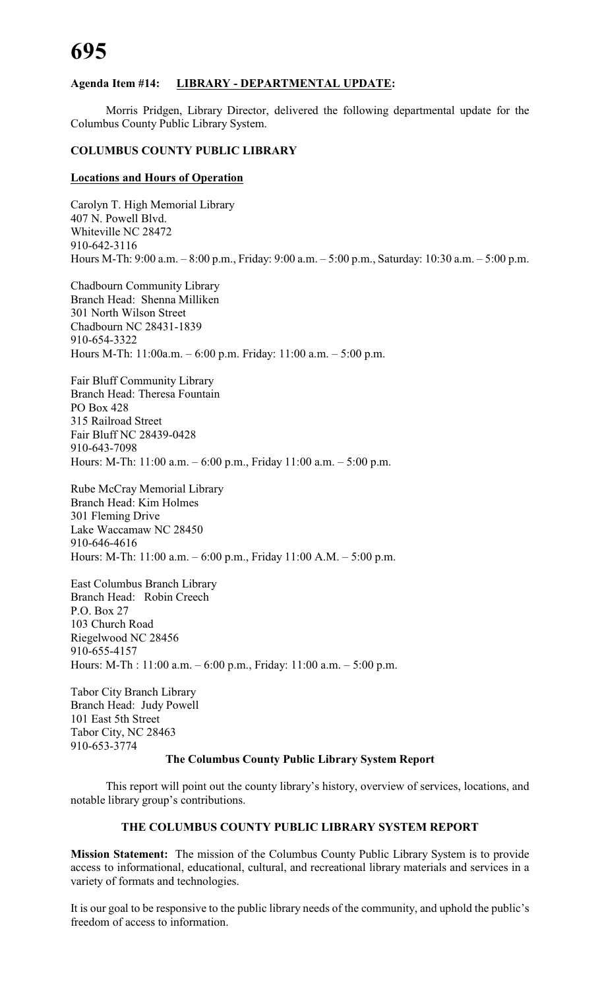#### **Agenda Item #14: LIBRARY - DEPARTMENTAL UPDATE:**

Morris Pridgen, Library Director, delivered the following departmental update for the Columbus County Public Library System.

#### **COLUMBUS COUNTY PUBLIC LIBRARY**

#### **Locations and Hours of Operation**

Carolyn T. High Memorial Library 407 N. Powell Blvd. Whiteville NC 28472 910-642-3116 Hours M-Th: 9:00 a.m. – 8:00 p.m., Friday: 9:00 a.m. – 5:00 p.m., Saturday: 10:30 a.m. – 5:00 p.m.

Chadbourn Community Library Branch Head: Shenna Milliken 301 North Wilson Street Chadbourn NC 28431-1839 910-654-3322 Hours M-Th: 11:00a.m. – 6:00 p.m. Friday: 11:00 a.m. – 5:00 p.m.

Fair Bluff Community Library Branch Head: Theresa Fountain PO Box 428 315 Railroad Street Fair Bluff NC 28439-0428 910-643-7098 Hours: M-Th: 11:00 a.m. – 6:00 p.m., Friday 11:00 a.m. – 5:00 p.m.

Rube McCray Memorial Library Branch Head: Kim Holmes 301 Fleming Drive Lake Waccamaw NC 28450 910-646-4616 Hours: M-Th: 11:00 a.m. – 6:00 p.m., Friday 11:00 A.M. – 5:00 p.m.

East Columbus Branch Library Branch Head: Robin Creech P.O. Box 27 103 Church Road Riegelwood NC 28456 910-655-4157 Hours: M-Th : 11:00 a.m. – 6:00 p.m., Friday: 11:00 a.m. – 5:00 p.m.

Tabor City Branch Library Branch Head: Judy Powell 101 East 5th Street Tabor City, NC 28463 910-653-3774

#### **The Columbus County Public Library System Report**

This report will point out the county library's history, overview of services, locations, and notable library group's contributions.

#### **THE COLUMBUS COUNTY PUBLIC LIBRARY SYSTEM REPORT**

**Mission Statement:** The mission of the Columbus County Public Library System is to provide access to informational, educational, cultural, and recreational library materials and services in a variety of formats and technologies.

It is our goal to be responsive to the public library needs of the community, and uphold the public's freedom of access to information.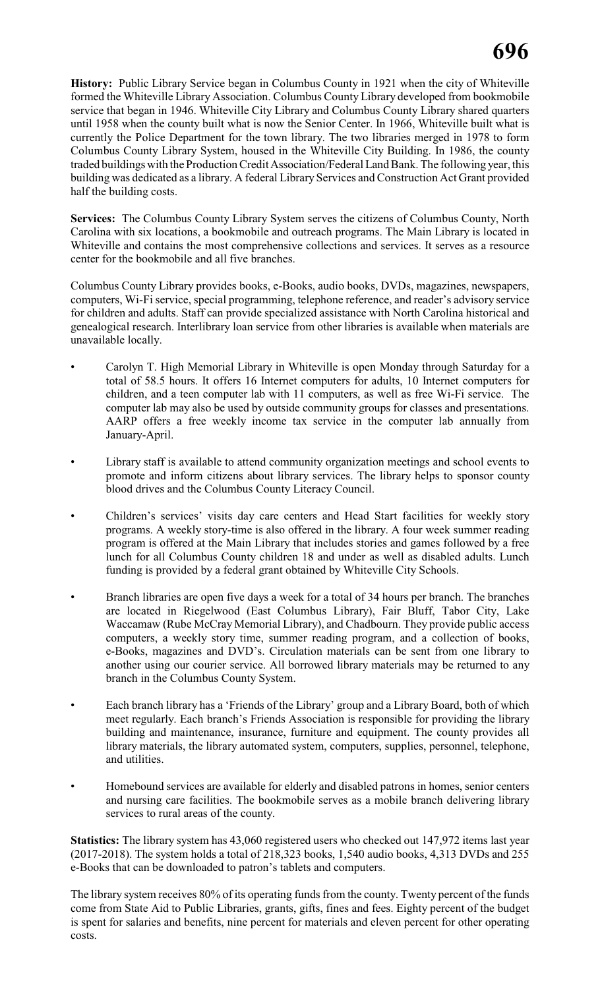**History:** Public Library Service began in Columbus County in 1921 when the city of Whiteville formed the Whiteville Library Association. Columbus County Library developed from bookmobile service that began in 1946. Whiteville City Library and Columbus County Library shared quarters until 1958 when the county built what is now the Senior Center. In 1966, Whiteville built what is currently the Police Department for the town library. The two libraries merged in 1978 to form Columbus County Library System, housed in the Whiteville City Building. In 1986, the county traded buildings with the Production Credit Association/Federal Land Bank. The following year, this building was dedicated as a library. A federal Library Services and Construction Act Grant provided half the building costs.

**Services:** The Columbus County Library System serves the citizens of Columbus County, North Carolina with six locations, a bookmobile and outreach programs. The Main Library is located in Whiteville and contains the most comprehensive collections and services. It serves as a resource center for the bookmobile and all five branches.

Columbus County Library provides books, e-Books, audio books, DVDs, magazines, newspapers, computers, Wi-Fi service, special programming, telephone reference, and reader's advisory service for children and adults. Staff can provide specialized assistance with North Carolina historical and genealogical research. Interlibrary loan service from other libraries is available when materials are unavailable locally.

- Carolyn T. High Memorial Library in Whiteville is open Monday through Saturday for a total of 58.5 hours. It offers 16 Internet computers for adults, 10 Internet computers for children, and a teen computer lab with 11 computers, as well as free Wi-Fi service. The computer lab may also be used by outside community groups for classes and presentations. AARP offers a free weekly income tax service in the computer lab annually from January-April.
- Library staff is available to attend community organization meetings and school events to promote and inform citizens about library services. The library helps to sponsor county blood drives and the Columbus County Literacy Council.
- Children's services' visits day care centers and Head Start facilities for weekly story programs. A weekly story-time is also offered in the library. A four week summer reading program is offered at the Main Library that includes stories and games followed by a free lunch for all Columbus County children 18 and under as well as disabled adults. Lunch funding is provided by a federal grant obtained by Whiteville City Schools.
- Branch libraries are open five days a week for a total of 34 hours per branch. The branches are located in Riegelwood (East Columbus Library), Fair Bluff, Tabor City, Lake Waccamaw (Rube McCray Memorial Library), and Chadbourn. They provide public access computers, a weekly story time, summer reading program, and a collection of books, e-Books, magazines and DVD's. Circulation materials can be sent from one library to another using our courier service. All borrowed library materials may be returned to any branch in the Columbus County System.
- Each branch library has a 'Friends of the Library' group and a Library Board, both of which meet regularly. Each branch's Friends Association is responsible for providing the library building and maintenance, insurance, furniture and equipment. The county provides all library materials, the library automated system, computers, supplies, personnel, telephone, and utilities.
- Homebound services are available for elderly and disabled patrons in homes, senior centers and nursing care facilities. The bookmobile serves as a mobile branch delivering library services to rural areas of the county.

**Statistics:** The library system has 43,060 registered users who checked out 147,972 items last year (2017-2018). The system holds a total of 218,323 books, 1,540 audio books, 4,313 DVDs and 255 e-Books that can be downloaded to patron's tablets and computers.

The library system receives 80% of its operating funds from the county. Twenty percent of the funds come from State Aid to Public Libraries, grants, gifts, fines and fees. Eighty percent of the budget is spent for salaries and benefits, nine percent for materials and eleven percent for other operating costs.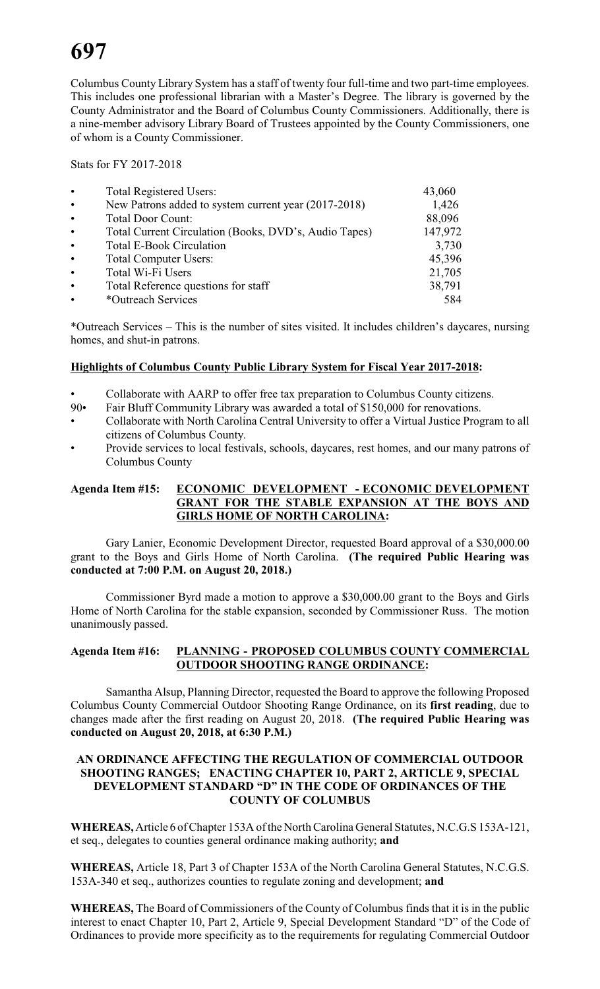Columbus County Library System has a staff of twenty four full-time and two part-time employees. This includes one professional librarian with a Master's Degree. The library is governed by the County Administrator and the Board of Columbus County Commissioners. Additionally, there is a nine-member advisory Library Board of Trustees appointed by the County Commissioners, one of whom is a County Commissioner.

Stats for FY 2017-2018

| $\bullet$ | <b>Total Registered Users:</b>                        | 43,060  |
|-----------|-------------------------------------------------------|---------|
| $\bullet$ | New Patrons added to system current year (2017-2018)  | 1,426   |
| $\bullet$ | <b>Total Door Count:</b>                              | 88,096  |
| $\bullet$ | Total Current Circulation (Books, DVD's, Audio Tapes) | 147,972 |
| $\bullet$ | <b>Total E-Book Circulation</b>                       | 3,730   |
| $\bullet$ | <b>Total Computer Users:</b>                          | 45,396  |
| $\bullet$ | Total Wi-Fi Users                                     | 21,705  |
| $\bullet$ | Total Reference questions for staff                   | 38,791  |
| $\bullet$ | *Outreach Services                                    | 584     |

\*Outreach Services – This is the number of sites visited. It includes children's daycares, nursing homes, and shut-in patrons.

#### **Highlights of Columbus County Public Library System for Fiscal Year 2017-2018:**

- Collaborate with AARP to offer free tax preparation to Columbus County citizens.<br>90• Fair Bluff Community Library was awarded a total of \$150,000 for renovations
- Fair Bluff Community Library was awarded a total of \$150,000 for renovations.
- Collaborate with North Carolina Central University to offer a Virtual Justice Program to all citizens of Columbus County.
- Provide services to local festivals, schools, daycares, rest homes, and our many patrons of Columbus County

#### **Agenda Item #15: ECONOMIC DEVELOPMENT - ECONOMIC DEVELOPMENT GRANT FOR THE STABLE EXPANSION AT THE BOYS AND GIRLS HOME OF NORTH CAROLINA:**

Gary Lanier, Economic Development Director, requested Board approval of a \$30,000.00 grant to the Boys and Girls Home of North Carolina. **(The required Public Hearing was conducted at 7:00 P.M. on August 20, 2018.)**

Commissioner Byrd made a motion to approve a \$30,000.00 grant to the Boys and Girls Home of North Carolina for the stable expansion, seconded by Commissioner Russ. The motion unanimously passed.

#### **Agenda Item #16: PLANNING - PROPOSED COLUMBUS COUNTY COMMERCIAL OUTDOOR SHOOTING RANGE ORDINANCE:**

Samantha Alsup, Planning Director, requested the Board to approve the following Proposed Columbus County Commercial Outdoor Shooting Range Ordinance, on its **first reading**, due to changes made after the first reading on August 20, 2018. **(The required Public Hearing was conducted on August 20, 2018, at 6:30 P.M.)**

#### **AN ORDINANCE AFFECTING THE REGULATION OF COMMERCIAL OUTDOOR SHOOTING RANGES; ENACTING CHAPTER 10, PART 2, ARTICLE 9, SPECIAL DEVELOPMENT STANDARD "D" IN THE CODE OF ORDINANCES OF THE COUNTY OF COLUMBUS**

**WHEREAS,**Article 6 of Chapter 153A of the North Carolina General Statutes, N.C.G.S 153A-121, et seq., delegates to counties general ordinance making authority; **and**

**WHEREAS,** Article 18, Part 3 of Chapter 153A of the North Carolina General Statutes, N.C.G.S. 153A-340 et seq., authorizes counties to regulate zoning and development; **and**

**WHEREAS,** The Board of Commissioners of the County of Columbus finds that it is in the public interest to enact Chapter 10, Part 2, Article 9, Special Development Standard "D" of the Code of Ordinances to provide more specificity as to the requirements for regulating Commercial Outdoor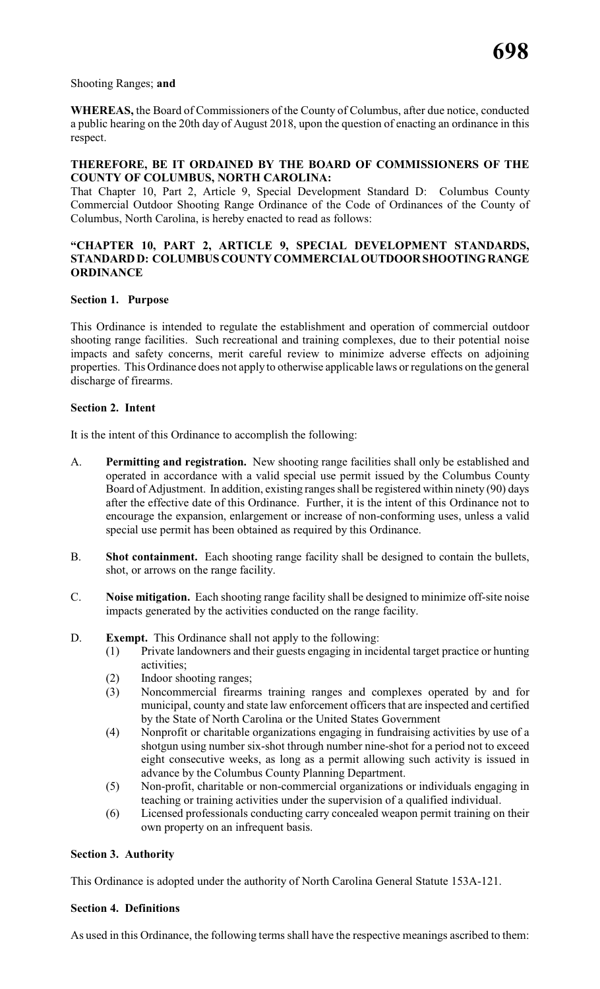#### Shooting Ranges; **and**

**WHEREAS,** the Board of Commissioners of the County of Columbus, after due notice, conducted a public hearing on the 20th day of August 2018, upon the question of enacting an ordinance in this respect.

#### **THEREFORE, BE IT ORDAINED BY THE BOARD OF COMMISSIONERS OF THE COUNTY OF COLUMBUS, NORTH CAROLINA:**

That Chapter 10, Part 2, Article 9, Special Development Standard D: Columbus County Commercial Outdoor Shooting Range Ordinance of the Code of Ordinances of the County of Columbus, North Carolina, is hereby enacted to read as follows:

#### **"CHAPTER 10, PART 2, ARTICLE 9, SPECIAL DEVELOPMENT STANDARDS, STANDARD D: COLUMBUS COUNTY COMMERCIAL OUTDOOR SHOOTING RANGE ORDINANCE**

#### **Section 1. Purpose**

This Ordinance is intended to regulate the establishment and operation of commercial outdoor shooting range facilities. Such recreational and training complexes, due to their potential noise impacts and safety concerns, merit careful review to minimize adverse effects on adjoining properties. This Ordinance does not apply to otherwise applicable laws or regulations on the general discharge of firearms.

#### **Section 2. Intent**

It is the intent of this Ordinance to accomplish the following:

- A. **Permitting and registration.** New shooting range facilities shall only be established and operated in accordance with a valid special use permit issued by the Columbus County Board of Adjustment. In addition, existing ranges shall be registered within ninety (90) days after the effective date of this Ordinance. Further, it is the intent of this Ordinance not to encourage the expansion, enlargement or increase of non-conforming uses, unless a valid special use permit has been obtained as required by this Ordinance.
- B. **Shot containment.** Each shooting range facility shall be designed to contain the bullets, shot, or arrows on the range facility.
- C. **Noise mitigation.** Each shooting range facility shall be designed to minimize off-site noise impacts generated by the activities conducted on the range facility.
- D. **Exempt.** This Ordinance shall not apply to the following:
	- (1) Private landowners and their guests engaging in incidental target practice or hunting activities;
	- (2) Indoor shooting ranges;
	- (3) Noncommercial firearms training ranges and complexes operated by and for municipal, county and state law enforcement officers that are inspected and certified by the State of North Carolina or the United States Government
	- (4) Nonprofit or charitable organizations engaging in fundraising activities by use of a shotgun using number six-shot through number nine-shot for a period not to exceed eight consecutive weeks, as long as a permit allowing such activity is issued in advance by the Columbus County Planning Department.
	- (5) Non-profit, charitable or non-commercial organizations or individuals engaging in teaching or training activities under the supervision of a qualified individual.
	- (6) Licensed professionals conducting carry concealed weapon permit training on their own property on an infrequent basis.

#### **Section 3. Authority**

This Ordinance is adopted under the authority of North Carolina General Statute 153A-121.

#### **Section 4. Definitions**

As used in this Ordinance, the following terms shall have the respective meanings ascribed to them: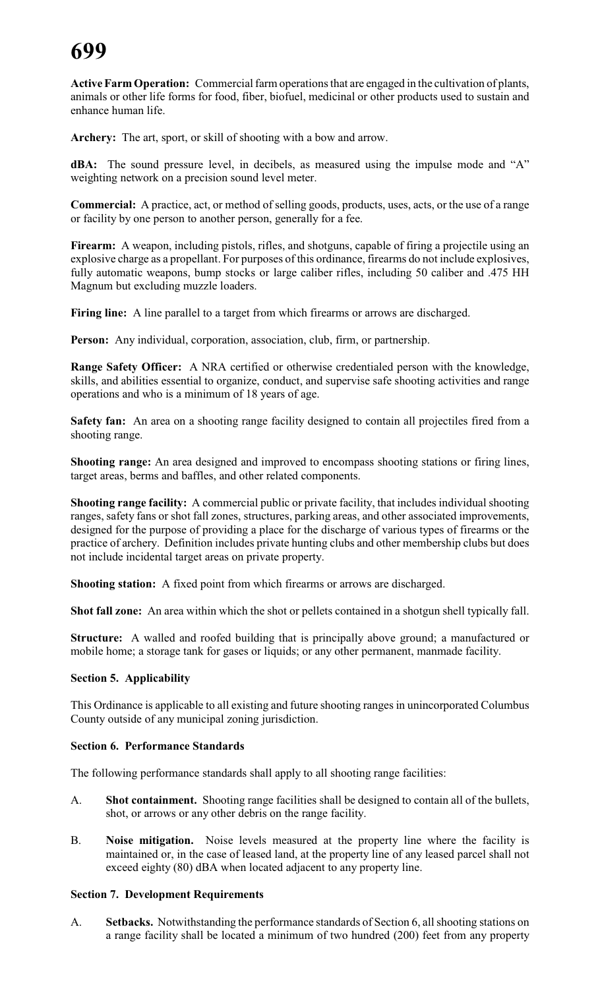**Active Farm Operation:** Commercial farm operationsthat are engaged in the cultivation of plants, animals or other life forms for food, fiber, biofuel, medicinal or other products used to sustain and enhance human life.

**Archery:** The art, sport, or skill of shooting with a bow and arrow.

**dBA:** The sound pressure level, in decibels, as measured using the impulse mode and "A" weighting network on a precision sound level meter.

**Commercial:** A practice, act, or method of selling goods, products, uses, acts, or the use of a range or facility by one person to another person, generally for a fee.

Firearm: A weapon, including pistols, rifles, and shotguns, capable of firing a projectile using an explosive charge as a propellant. For purposes of this ordinance, firearms do not include explosives, fully automatic weapons, bump stocks or large caliber rifles, including 50 caliber and .475 HH Magnum but excluding muzzle loaders.

**Firing line:** A line parallel to a target from which firearms or arrows are discharged.

**Person:** Any individual, corporation, association, club, firm, or partnership.

**Range Safety Officer:** A NRA certified or otherwise credentialed person with the knowledge, skills, and abilities essential to organize, conduct, and supervise safe shooting activities and range operations and who is a minimum of 18 years of age.

**Safety fan:** An area on a shooting range facility designed to contain all projectiles fired from a shooting range.

**Shooting range:** An area designed and improved to encompass shooting stations or firing lines, target areas, berms and baffles, and other related components.

**Shooting range facility:** A commercial public or private facility, that includes individual shooting ranges, safety fans or shot fall zones, structures, parking areas, and other associated improvements, designed for the purpose of providing a place for the discharge of various types of firearms or the practice of archery. Definition includes private hunting clubs and other membership clubs but does not include incidental target areas on private property.

**Shooting station:** A fixed point from which firearms or arrows are discharged.

**Shot fall zone:** An area within which the shot or pellets contained in a shotgun shell typically fall.

**Structure:** A walled and roofed building that is principally above ground; a manufactured or mobile home; a storage tank for gases or liquids; or any other permanent, manmade facility.

#### **Section 5. Applicability**

This Ordinance is applicable to all existing and future shooting ranges in unincorporated Columbus County outside of any municipal zoning jurisdiction.

#### **Section 6. Performance Standards**

The following performance standards shall apply to all shooting range facilities:

- A. **Shot containment.** Shooting range facilities shall be designed to contain all of the bullets, shot, or arrows or any other debris on the range facility.
- B. **Noise mitigation.** Noise levels measured at the property line where the facility is maintained or, in the case of leased land, at the property line of any leased parcel shall not exceed eighty (80) dBA when located adjacent to any property line.

#### **Section 7. Development Requirements**

A. **Setbacks.** Notwithstanding the performance standards of Section 6, all shooting stations on a range facility shall be located a minimum of two hundred (200) feet from any property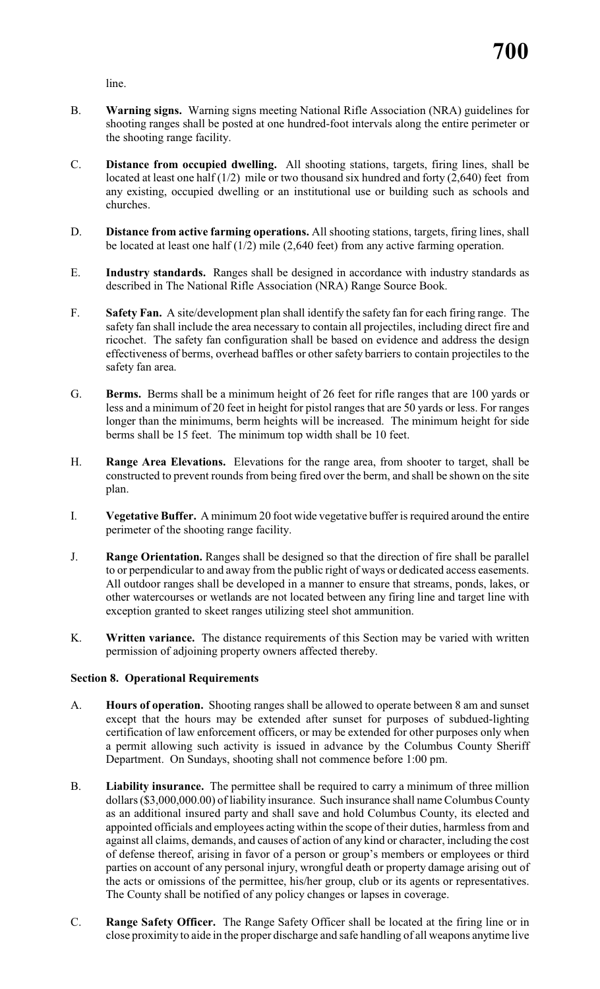line.

- B. **Warning signs.** Warning signs meeting National Rifle Association (NRA) guidelines for shooting ranges shall be posted at one hundred-foot intervals along the entire perimeter or the shooting range facility.
- C. **Distance from occupied dwelling.** All shooting stations, targets, firing lines, shall be located at least one half  $(1/2)$  mile or two thousand six hundred and forty  $(2,640)$  feet from any existing, occupied dwelling or an institutional use or building such as schools and churches.
- D. **Distance from active farming operations.** All shooting stations, targets, firing lines, shall be located at least one half (1/2) mile (2,640 feet) from any active farming operation.
- E. **Industry standards.** Ranges shall be designed in accordance with industry standards as described in The National Rifle Association (NRA) Range Source Book.
- F. **Safety Fan.** A site/development plan shall identify the safety fan for each firing range. The safety fan shall include the area necessary to contain all projectiles, including direct fire and ricochet. The safety fan configuration shall be based on evidence and address the design effectiveness of berms, overhead baffles or other safety barriers to contain projectiles to the safety fan area.
- G. **Berms.** Berms shall be a minimum height of 26 feet for rifle ranges that are 100 yards or less and a minimum of 20 feet in height for pistol ranges that are 50 yards or less. For ranges longer than the minimums, berm heights will be increased. The minimum height for side berms shall be 15 feet. The minimum top width shall be 10 feet.
- H. **Range Area Elevations.** Elevations for the range area, from shooter to target, shall be constructed to prevent rounds from being fired over the berm, and shall be shown on the site plan.
- I. **Vegetative Buffer.** A minimum 20 foot wide vegetative buffer is required around the entire perimeter of the shooting range facility.
- J. **Range Orientation.** Ranges shall be designed so that the direction of fire shall be parallel to or perpendicular to and away from the public right of ways or dedicated access easements. All outdoor ranges shall be developed in a manner to ensure that streams, ponds, lakes, or other watercourses or wetlands are not located between any firing line and target line with exception granted to skeet ranges utilizing steel shot ammunition.
- K. **Written variance.** The distance requirements of this Section may be varied with written permission of adjoining property owners affected thereby.

#### **Section 8. Operational Requirements**

- A. **Hours of operation.** Shooting ranges shall be allowed to operate between 8 am and sunset except that the hours may be extended after sunset for purposes of subdued-lighting certification of law enforcement officers, or may be extended for other purposes only when a permit allowing such activity is issued in advance by the Columbus County Sheriff Department. On Sundays, shooting shall not commence before 1:00 pm.
- B. **Liability insurance.** The permittee shall be required to carry a minimum of three million dollars (\$3,000,000.00) of liability insurance. Such insurance shall name Columbus County as an additional insured party and shall save and hold Columbus County, its elected and appointed officials and employees acting within the scope of their duties, harmless from and against all claims, demands, and causes of action of any kind or character, including the cost of defense thereof, arising in favor of a person or group's members or employees or third parties on account of any personal injury, wrongful death or property damage arising out of the acts or omissions of the permittee, his/her group, club or its agents or representatives. The County shall be notified of any policy changes or lapses in coverage.
- C. **Range Safety Officer.** The Range Safety Officer shall be located at the firing line or in close proximity to aide in the proper discharge and safe handling of all weapons anytime live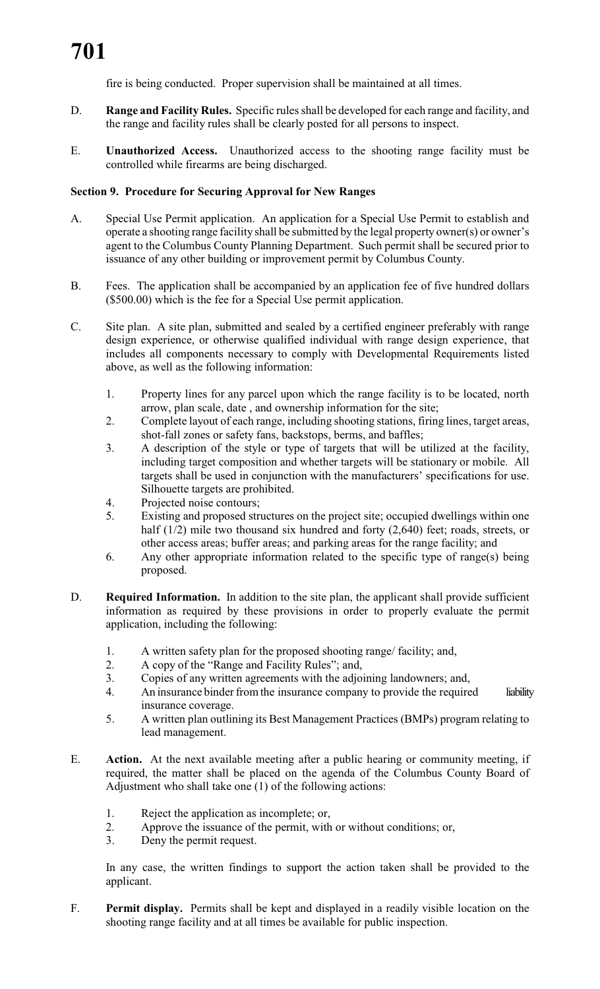fire is being conducted. Proper supervision shall be maintained at all times.

- D. **Range and Facility Rules.** Specific rules shall be developed for each range and facility, and the range and facility rules shall be clearly posted for all persons to inspect.
- E. **Unauthorized Access.** Unauthorized access to the shooting range facility must be controlled while firearms are being discharged.

#### **Section 9. Procedure for Securing Approval for New Ranges**

- A. Special Use Permit application. An application for a Special Use Permit to establish and operate a shooting range facility shall be submitted by the legal property owner(s) or owner's agent to the Columbus County Planning Department. Such permit shall be secured prior to issuance of any other building or improvement permit by Columbus County.
- B. Fees. The application shall be accompanied by an application fee of five hundred dollars (\$500.00) which is the fee for a Special Use permit application.
- C. Site plan. A site plan, submitted and sealed by a certified engineer preferably with range design experience, or otherwise qualified individual with range design experience, that includes all components necessary to comply with Developmental Requirements listed above, as well as the following information:
	- 1. Property lines for any parcel upon which the range facility is to be located, north arrow, plan scale, date , and ownership information for the site;
	- 2. Complete layout of each range, including shooting stations, firing lines, target areas, shot-fall zones or safety fans, backstops, berms, and baffles;
	- 3. A description of the style or type of targets that will be utilized at the facility, including target composition and whether targets will be stationary or mobile. All targets shall be used in conjunction with the manufacturers' specifications for use. Silhouette targets are prohibited.
	- 4. Projected noise contours;
	- 5. Existing and proposed structures on the project site; occupied dwellings within one half (1/2) mile two thousand six hundred and forty (2,640) feet; roads, streets, or other access areas; buffer areas; and parking areas for the range facility; and
	- 6. Any other appropriate information related to the specific type of range(s) being proposed.
- D. **Required Information.** In addition to the site plan, the applicant shall provide sufficient information as required by these provisions in order to properly evaluate the permit application, including the following:
	- 1. A written safety plan for the proposed shooting range/ facility; and,<br>2. A copy of the "Range and Facility Rules": and,
	- 2. A copy of the "Range and Facility Rules"; and,
	- 3. Copies of any written agreements with the adjoining landowners; and,
	- 4. An insurance binder from the insurance company to provide the required liability insurance coverage.
	- 5. A written plan outlining its Best Management Practices (BMPs) program relating to lead management.
- E. **Action.** At the next available meeting after a public hearing or community meeting, if required, the matter shall be placed on the agenda of the Columbus County Board of Adjustment who shall take one (1) of the following actions:
	- 1. Reject the application as incomplete; or,
	- 2. Approve the issuance of the permit, with or without conditions; or,
	- 3. Deny the permit request.

In any case, the written findings to support the action taken shall be provided to the applicant.

F. **Permit display.** Permits shall be kept and displayed in a readily visible location on the shooting range facility and at all times be available for public inspection.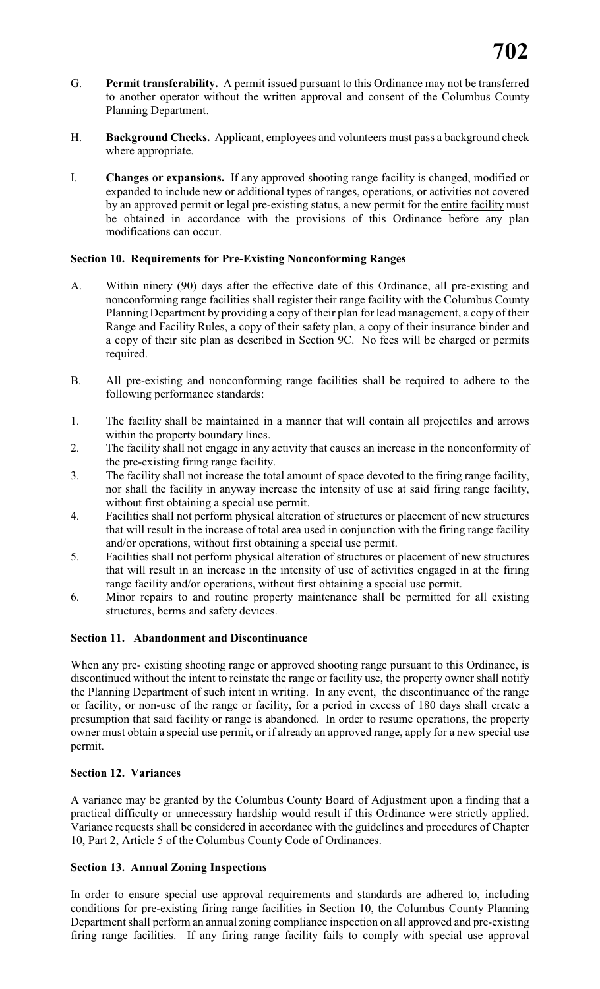- G. **Permit transferability.** A permit issued pursuant to this Ordinance may not be transferred to another operator without the written approval and consent of the Columbus County Planning Department.
- H. **Background Checks.** Applicant, employees and volunteers must pass a background check where appropriate.
- I. **Changes or expansions.** If any approved shooting range facility is changed, modified or expanded to include new or additional types of ranges, operations, or activities not covered by an approved permit or legal pre-existing status, a new permit for the entire facility must be obtained in accordance with the provisions of this Ordinance before any plan modifications can occur.

#### **Section 10. Requirements for Pre-Existing Nonconforming Ranges**

- A. Within ninety (90) days after the effective date of this Ordinance, all pre-existing and nonconforming range facilities shall register their range facility with the Columbus County Planning Department by providing a copy of their plan for lead management, a copy of their Range and Facility Rules, a copy of their safety plan, a copy of their insurance binder and a copy of their site plan as described in Section 9C. No fees will be charged or permits required.
- B. All pre-existing and nonconforming range facilities shall be required to adhere to the following performance standards:
- 1. The facility shall be maintained in a manner that will contain all projectiles and arrows within the property boundary lines.
- 2. The facility shall not engage in any activity that causes an increase in the nonconformity of the pre-existing firing range facility.
- 3. The facility shall not increase the total amount of space devoted to the firing range facility, nor shall the facility in anyway increase the intensity of use at said firing range facility, without first obtaining a special use permit.
- 4. Facilities shall not perform physical alteration of structures or placement of new structures that will result in the increase of total area used in conjunction with the firing range facility and/or operations, without first obtaining a special use permit.
- 5. Facilities shall not perform physical alteration of structures or placement of new structures that will result in an increase in the intensity of use of activities engaged in at the firing range facility and/or operations, without first obtaining a special use permit.
- 6. Minor repairs to and routine property maintenance shall be permitted for all existing structures, berms and safety devices.

#### **Section 11. Abandonment and Discontinuance**

When any pre- existing shooting range or approved shooting range pursuant to this Ordinance, is discontinued without the intent to reinstate the range or facility use, the property owner shall notify the Planning Department of such intent in writing. In any event, the discontinuance of the range or facility, or non-use of the range or facility, for a period in excess of 180 days shall create a presumption that said facility or range is abandoned. In order to resume operations, the property owner must obtain a special use permit, or if already an approved range, apply for a new special use permit.

#### **Section 12. Variances**

A variance may be granted by the Columbus County Board of Adjustment upon a finding that a practical difficulty or unnecessary hardship would result if this Ordinance were strictly applied. Variance requests shall be considered in accordance with the guidelines and procedures of Chapter 10, Part 2, Article 5 of the Columbus County Code of Ordinances.

#### **Section 13. Annual Zoning Inspections**

In order to ensure special use approval requirements and standards are adhered to, including conditions for pre-existing firing range facilities in Section 10, the Columbus County Planning Department shall perform an annual zoning compliance inspection on all approved and pre-existing firing range facilities. If any firing range facility fails to comply with special use approval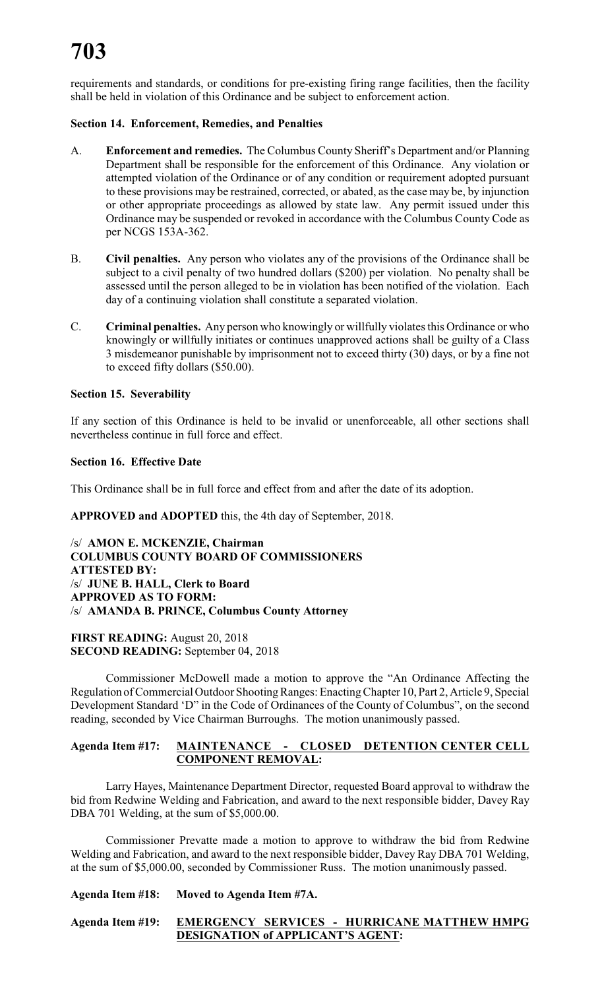requirements and standards, or conditions for pre-existing firing range facilities, then the facility shall be held in violation of this Ordinance and be subject to enforcement action.

#### **Section 14. Enforcement, Remedies, and Penalties**

- A. **Enforcement and remedies.** The Columbus County Sheriff's Department and/or Planning Department shall be responsible for the enforcement of this Ordinance. Any violation or attempted violation of the Ordinance or of any condition or requirement adopted pursuant to these provisions may be restrained, corrected, or abated, as the case may be, by injunction or other appropriate proceedings as allowed by state law. Any permit issued under this Ordinance may be suspended or revoked in accordance with the Columbus County Code as per NCGS 153A-362.
- B. **Civil penalties.** Any person who violates any of the provisions of the Ordinance shall be subject to a civil penalty of two hundred dollars (\$200) per violation. No penalty shall be assessed until the person alleged to be in violation has been notified of the violation. Each day of a continuing violation shall constitute a separated violation.
- C. **Criminal penalties.** Any person who knowingly or willfully violates this Ordinance or who knowingly or willfully initiates or continues unapproved actions shall be guilty of a Class 3 misdemeanor punishable by imprisonment not to exceed thirty (30) days, or by a fine not to exceed fifty dollars (\$50.00).

#### **Section 15. Severability**

If any section of this Ordinance is held to be invalid or unenforceable, all other sections shall nevertheless continue in full force and effect.

#### **Section 16. Effective Date**

This Ordinance shall be in full force and effect from and after the date of its adoption.

**APPROVED and ADOPTED** this, the 4th day of September, 2018.

/s/ **AMON E. MCKENZIE, Chairman COLUMBUS COUNTY BOARD OF COMMISSIONERS ATTESTED BY:** /s/ **JUNE B. HALL, Clerk to Board APPROVED AS TO FORM:** /s/ **AMANDA B. PRINCE, Columbus County Attorney**

**FIRST READING:** August 20, 2018 **SECOND READING:** September 04, 2018

Commissioner McDowell made a motion to approve the "An Ordinance Affecting the Regulation of Commercial Outdoor Shooting Ranges: Enacting Chapter 10, Part 2, Article 9, Special Development Standard 'D" in the Code of Ordinances of the County of Columbus", on the second reading, seconded by Vice Chairman Burroughs. The motion unanimously passed.

#### **Agenda Item #17: MAINTENANCE - CLOSED DETENTION CENTER CELL COMPONENT REMOVAL:**

Larry Hayes, Maintenance Department Director, requested Board approval to withdraw the bid from Redwine Welding and Fabrication, and award to the next responsible bidder, Davey Ray DBA 701 Welding, at the sum of \$5,000.00.

Commissioner Prevatte made a motion to approve to withdraw the bid from Redwine Welding and Fabrication, and award to the next responsible bidder, Davey Ray DBA 701 Welding, at the sum of \$5,000.00, seconded by Commissioner Russ. The motion unanimously passed.

**Agenda Item #18: Moved to Agenda Item #7A.**

#### **Agenda Item #19: EMERGENCY SERVICES - HURRICANE MATTHEW HMPG DESIGNATION of APPLICANT'S AGENT:**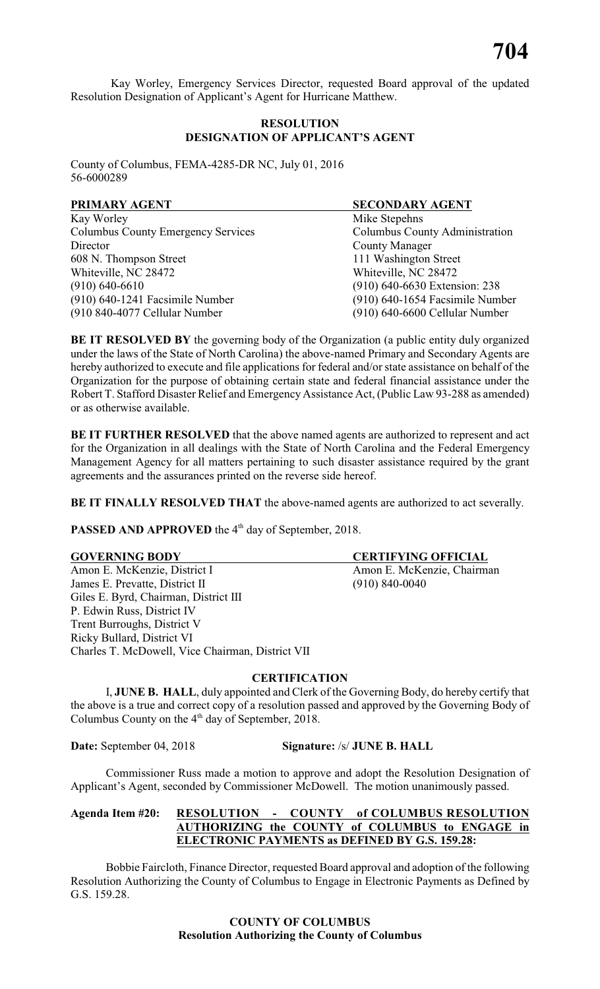Kay Worley, Emergency Services Director, requested Board approval of the updated Resolution Designation of Applicant's Agent for Hurricane Matthew.

#### **RESOLUTION DESIGNATION OF APPLICANT'S AGENT**

County of Columbus, FEMA-4285-DR NC, July 01, 2016 56-6000289

| PRIMARY AGENT                             | <b>SECONDARY AGENT</b>          |
|-------------------------------------------|---------------------------------|
| Kay Worley                                | Mike Stepehns                   |
| <b>Columbus County Emergency Services</b> | Columbus County Administration  |
| Director                                  | <b>County Manager</b>           |
| 608 N. Thompson Street                    | 111 Washington Street           |
| Whiteville, NC 28472                      | Whiteville, NC 28472            |
| $(910)$ 640-6610                          | (910) 640-6630 Extension: 238   |
| (910) 640-1241 Facsimile Number           | (910) 640-1654 Facsimile Number |
| (910 840-4077 Cellular Number             | (910) 640-6600 Cellular Number  |

**BE IT RESOLVED BY** the governing body of the Organization (a public entity duly organized under the laws of the State of North Carolina) the above-named Primary and Secondary Agents are hereby authorized to execute and file applications for federal and/or state assistance on behalf of the Organization for the purpose of obtaining certain state and federal financial assistance under the Robert T. Stafford Disaster Relief and Emergency Assistance Act, (Public Law 93-288 as amended) or as otherwise available.

**BE IT FURTHER RESOLVED** that the above named agents are authorized to represent and act for the Organization in all dealings with the State of North Carolina and the Federal Emergency Management Agency for all matters pertaining to such disaster assistance required by the grant agreements and the assurances printed on the reverse side hereof.

**BE IT FINALLY RESOLVED THAT** the above-named agents are authorized to act severally.

**PASSED AND APPROVED** the 4<sup>th</sup> day of September, 2018.

Amon E. McKenzie, District I Amon E. McKenzie, Chairman James E. Prevatte, District II (910) 840-0040 Giles E. Byrd, Chairman, District III P. Edwin Russ, District IV Trent Burroughs, District V Ricky Bullard, District VI Charles T. McDowell, Vice Chairman, District VII

**CERTIFICATION**

I, **JUNE B. HALL**, duly appointed and Clerk of the Governing Body, do hereby certify that the above is a true and correct copy of a resolution passed and approved by the Governing Body of Columbus County on the  $4<sup>th</sup>$  day of September, 2018.

**Date:** September 04, 2018 **Signature:** /s/ **JUNE B. HALL**

Commissioner Russ made a motion to approve and adopt the Resolution Designation of Applicant's Agent, seconded by Commissioner McDowell. The motion unanimously passed.

#### **Agenda Item #20: RESOLUTION - COUNTY of COLUMBUS RESOLUTION AUTHORIZING the COUNTY of COLUMBUS to ENGAGE in ELECTRONIC PAYMENTS as DEFINED BY G.S. 159.28:**

Bobbie Faircloth, Finance Director, requested Board approval and adoption of the following Resolution Authorizing the County of Columbus to Engage in Electronic Payments as Defined by G.S. 159.28.

#### **COUNTY OF COLUMBUS Resolution Authorizing the County of Columbus**

**GOVERNING BODY CERTIFYING OFFICIAL**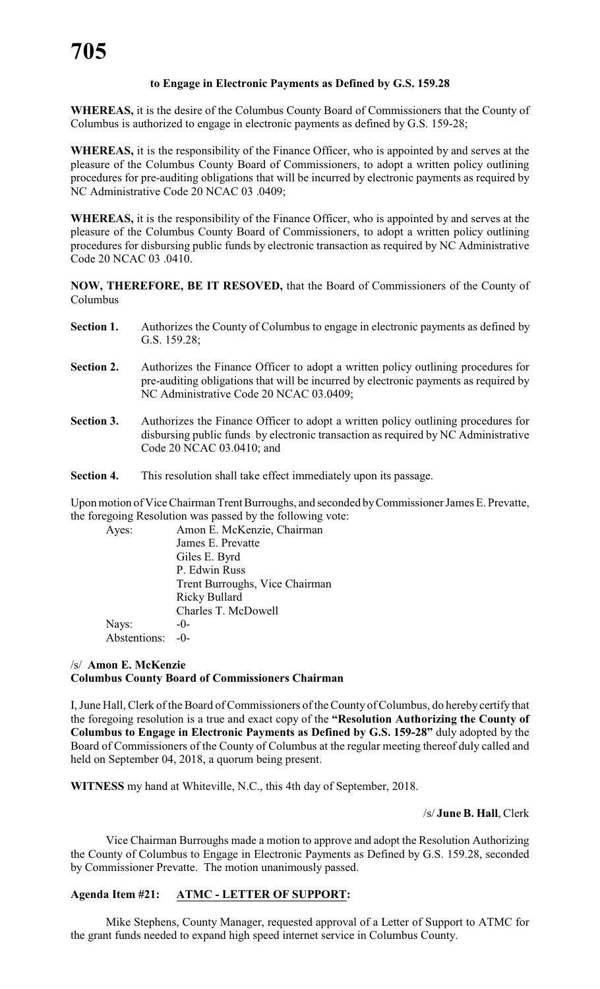#### **to Engage in Electronic Payments as Defined by G.S. 159.28**

**WHEREAS,** it is the desire of the Columbus County Board of Commissioners that the County of Columbus is authorized to engage in electronic payments as defined by G.S. 159-28;

**WHEREAS,** it is the responsibility of the Finance Officer, who is appointed by and serves at the pleasure of the Columbus County Board of Commissioners, to adopt a written policy outlining procedures for pre-auditing obligations that will be incurred by electronic payments as required by NC Administrative Code 20 NCAC 03 .0409;

**WHEREAS,** it is the responsibility of the Finance Officer, who is appointed by and serves at the pleasure of the Columbus County Board of Commissioners, to adopt a written policy outlining procedures for disbursing public funds by electronic transaction as required by NC Administrative Code 20 NCAC 03 .0410.

**NOW, THEREFORE, BE IT RESOVED,** that the Board of Commissioners of the County of Columbus

- Section 1. Authorizes the County of Columbus to engage in electronic payments as defined by G.S. 159.28;
- **Section 2.** Authorizes the Finance Officer to adopt a written policy outlining procedures for pre-auditing obligations that will be incurred by electronic payments as required by NC Administrative Code 20 NCAC 03.0409;
- **Section 3.** Authorizes the Finance Officer to adopt a written policy outlining procedures for disbursing public funds by electronic transaction as required by NC Administrative Code 20 NCAC 03.0410; and
- **Section 4.** This resolution shall take effect immediately upon its passage.

Upon motion of Vice Chairman Trent Burroughs, and seconded by Commissioner James E. Prevatte, the foregoing Resolution was passed by the following vote:

| Ayes:        | Amon E. McKenzie, Chairman     |
|--------------|--------------------------------|
|              | James E. Prevatte              |
|              | Giles E. Byrd                  |
|              | P. Edwin Russ                  |
|              | Trent Burroughs, Vice Chairman |
|              | Ricky Bullard                  |
|              | Charles T. McDowell            |
| Nays:        | $-()$                          |
| Abstentions: | $-()$                          |

#### /s/ **Amon E. McKenzie Columbus County Board of Commissioners Chairman**

I, June Hall, Clerk of the Board of Commissioners of the County of Columbus, do hereby certify that the foregoing resolution is a true and exact copy of the **"Resolution Authorizing the County of Columbus to Engage in Electronic Payments as Defined by G.S. 159-28"** duly adopted by the Board of Commissioners of the County of Columbus at the regular meeting thereof duly called and held on September 04, 2018, a quorum being present.

**WITNESS** my hand at Whiteville, N.C., this 4th day of September, 2018.

#### /s/ **June B. Hall**, Clerk

Vice Chairman Burroughs made a motion to approve and adopt the Resolution Authorizing the County of Columbus to Engage in Electronic Payments as Defined by G.S. 159.28, seconded by Commissioner Prevatte. The motion unanimously passed.

#### **Agenda Item #21: ATMC - LETTER OF SUPPORT:**

Mike Stephens, County Manager, requested approval of a Letter of Support to ATMC for the grant funds needed to expand high speed internet service in Columbus County.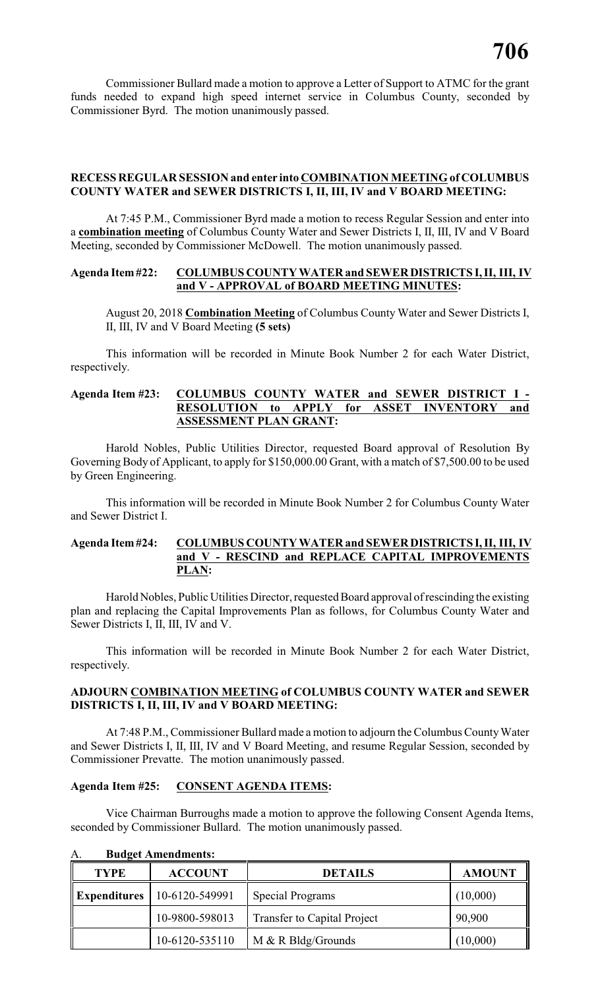Commissioner Bullard made a motion to approve a Letter of Support to ATMC for the grant funds needed to expand high speed internet service in Columbus County, seconded by Commissioner Byrd. The motion unanimously passed.

#### **RECESS REGULAR SESSION and enter into COMBINATION MEETING of COLUMBUS COUNTY WATER and SEWER DISTRICTS I, II, III, IV and V BOARD MEETING:**

At 7:45 P.M., Commissioner Byrd made a motion to recess Regular Session and enter into a **combination meeting** of Columbus County Water and Sewer Districts I, II, III, IV and V Board Meeting, seconded by Commissioner McDowell. The motion unanimously passed.

#### **Agenda Item #22: COLUMBUS COUNTY WATER and SEWER DISTRICTS I, II, III, IV and V - APPROVAL of BOARD MEETING MINUTES:**

August 20, 2018 **Combination Meeting** of Columbus County Water and Sewer Districts I, II, III, IV and V Board Meeting **(5 sets)**

This information will be recorded in Minute Book Number 2 for each Water District, respectively.

#### **Agenda Item #23: COLUMBUS COUNTY WATER and SEWER DISTRICT I - RESOLUTION to APPLY for ASSET INVENTORY and ASSESSMENT PLAN GRANT:**

Harold Nobles, Public Utilities Director, requested Board approval of Resolution By Governing Body of Applicant, to apply for \$150,000.00 Grant, with a match of \$7,500.00 to be used by Green Engineering.

This information will be recorded in Minute Book Number 2 for Columbus County Water and Sewer District I.

#### **Agenda Item #24: COLUMBUS COUNTY WATER and SEWER DISTRICTS I, II, III, IV and V - RESCIND and REPLACE CAPITAL IMPROVEMENTS PLAN:**

Harold Nobles, Public Utilities Director, requested Board approval of rescinding the existing plan and replacing the Capital Improvements Plan as follows, for Columbus County Water and Sewer Districts I, II, III, IV and V.

This information will be recorded in Minute Book Number 2 for each Water District, respectively.

#### **ADJOURN COMBINATION MEETING of COLUMBUS COUNTY WATER and SEWER DISTRICTS I, II, III, IV and V BOARD MEETING:**

At 7:48 P.M., Commissioner Bullard made a motion to adjourn the Columbus County Water and Sewer Districts I, II, III, IV and V Board Meeting, and resume Regular Session, seconded by Commissioner Prevatte. The motion unanimously passed.

#### **Agenda Item #25: CONSENT AGENDA ITEMS:**

Vice Chairman Burroughs made a motion to approve the following Consent Agenda Items, seconded by Commissioner Bullard. The motion unanimously passed.

| <b>TYPE</b> | <b>ACCOUNT</b>                       | <b>DETAILS</b>                     | <b>AMOUNT</b> |
|-------------|--------------------------------------|------------------------------------|---------------|
|             | <b>Expenditures</b>   10-6120-549991 | Special Programs                   | (10,000)      |
|             | 10-9800-598013                       | <b>Transfer to Capital Project</b> | 90,900        |
|             | 10-6120-535110                       | $M & R$ Bldg/Grounds               | (10,000)      |

A. **Budget Amendments:**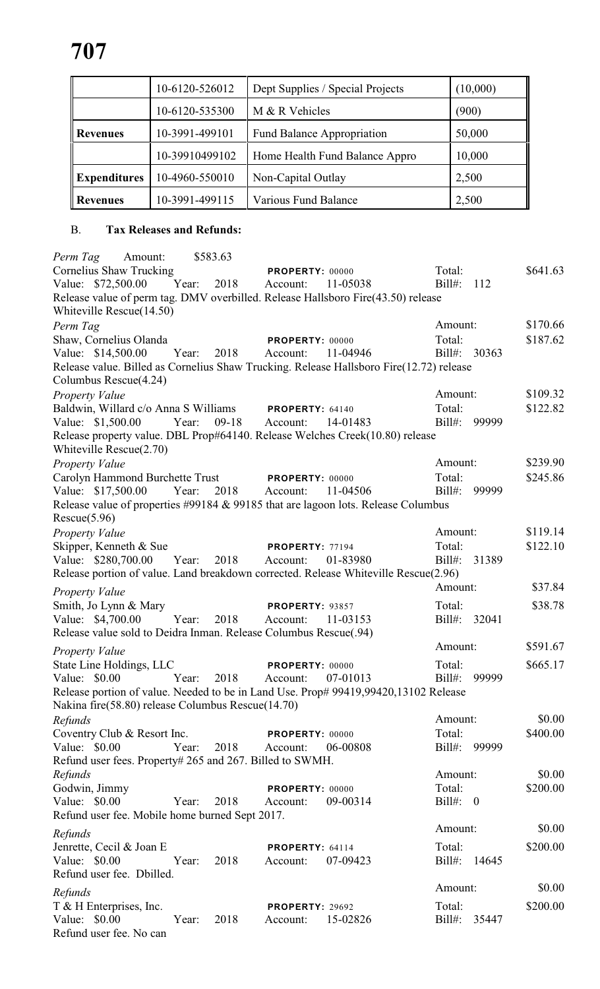|                     | 10-6120-526012 | Dept Supplies / Special Projects  | (10,000) |
|---------------------|----------------|-----------------------------------|----------|
|                     | 10-6120-535300 | M & R Vehicles                    | (900)    |
| <b>Revenues</b>     | 10-3991-499101 | <b>Fund Balance Appropriation</b> | 50,000   |
|                     | 10-39910499102 | Home Health Fund Balance Appro    | 10,000   |
| <b>Expenditures</b> | 10-4960-550010 | Non-Capital Outlay                | 2,500    |
| Revenues            | 10-3991-499115 | Various Fund Balance              | 2,500    |

### B. **Tax Releases and Refunds:**

| <i>Perm Tag</i> Amount:                                                                 |       | \$583.63            |                        |          |              |       |          |
|-----------------------------------------------------------------------------------------|-------|---------------------|------------------------|----------|--------------|-------|----------|
| Cornelius Shaw Trucking                                                                 |       |                     | <b>PROPERTY: 00000</b> |          | Total:       |       | \$641.63 |
| Value: \$72,500.00                                                                      |       | Year: 2018 Account: |                        | 11-05038 | $Bill#$ :    | 112   |          |
| Release value of perm tag. DMV overbilled. Release Hallsboro Fire(43.50) release        |       |                     |                        |          |              |       |          |
| Whiteville Rescue(14.50)                                                                |       |                     |                        |          |              |       |          |
| Perm Tag                                                                                |       |                     |                        |          | Amount:      |       | \$170.66 |
| Shaw, Cornelius Olanda                                                                  |       |                     |                        |          | Total:       |       | \$187.62 |
|                                                                                         |       |                     | PROPERTY: 00000        |          |              |       |          |
| Value: \$14,500.00                                                                      | Year: | 2018                | Account:               | 11-04946 | Bill#: 30363 |       |          |
| Release value. Billed as Cornelius Shaw Trucking. Release Hallsboro Fire(12.72) release |       |                     |                        |          |              |       |          |
| Columbus Rescue(4.24)                                                                   |       |                     |                        |          |              |       |          |
| <b>Property Value</b>                                                                   |       |                     |                        |          | Amount:      |       | \$109.32 |
| Baldwin, Willard c/o Anna S Williams PROPERTY: 64140                                    |       |                     |                        |          | Total:       |       | \$122.82 |
| Value: \$1,500.00 Year:                                                                 |       | $09-18$             | Account:               | 14-01483 | Bill#: 99999 |       |          |
| Release property value. DBL Prop#64140. Release Welches Creek(10.80) release            |       |                     |                        |          |              |       |          |
| Whiteville Rescue(2.70)                                                                 |       |                     |                        |          |              |       |          |
| <b>Property Value</b>                                                                   |       |                     |                        |          | Amount:      |       | \$239.90 |
| Carolyn Hammond Burchette Trust PROPERTY: 00000                                         |       |                     |                        |          | Total:       |       | \$245.86 |
|                                                                                         |       |                     |                        |          |              | 99999 |          |
| Value: \$17,500.00                                                                      |       | Year: 2018 Account: |                        | 11-04506 | Bill#:       |       |          |
| Release value of properties #99184 & 99185 that are lagoon lots. Release Columbus       |       |                     |                        |          |              |       |          |
| Rescue(5.96)                                                                            |       |                     |                        |          |              |       |          |
| Property Value                                                                          |       |                     |                        |          | Amount:      |       | \$119.14 |
| Skipper, Kenneth & Sue                                                                  |       |                     | PROPERTY: 77194        |          | Total:       |       | \$122.10 |
| Value: \$280,700.00                                                                     | Year: | 2018 Account:       |                        | 01-83980 | Bill#: 31389 |       |          |
| Release portion of value. Land breakdown corrected. Release Whiteville Rescue(2.96)     |       |                     |                        |          |              |       |          |
|                                                                                         |       |                     |                        |          | Amount:      |       | \$37.84  |
| Property Value                                                                          |       |                     |                        |          |              |       |          |
| Smith, Jo Lynn & Mary                                                                   |       |                     | PROPERTY: 93857        |          | Total:       |       | \$38.78  |
| Value: \$4,700.00                                                                       | Year: | 2018                | Account:               | 11-03153 | Bill#: 32041 |       |          |
| Release value sold to Deidra Inman. Release Columbus Rescue(.94)                        |       |                     |                        |          |              |       |          |
| Property Value                                                                          |       |                     |                        |          | Amount:      |       | \$591.67 |
| State Line Holdings, LLC                                                                |       |                     | <b>PROPERTY: 00000</b> |          | Total:       |       | \$665.17 |
| Value: \$0.00                                                                           | Year: | 2018                | Account:               | 07-01013 | Bill#: 99999 |       |          |
|                                                                                         |       |                     |                        |          |              |       |          |
| Release portion of value. Needed to be in Land Use. Prop# 99419,99420,13102 Release     |       |                     |                        |          |              |       |          |
| Nakina fire(58.80) release Columbus Rescue(14.70)                                       |       |                     |                        |          |              |       |          |
| Refunds                                                                                 |       |                     |                        |          | Amount:      |       | \$0.00   |
| Coventry Club & Resort Inc.                                                             |       |                     | PROPERTY: 00000        |          | Total:       |       | \$400.00 |
| Value: \$0.00                                                                           | Year: | 2018                | Account:               | 06-00808 | $Bill#$ :    | 99999 |          |
| Refund user fees. Property# 265 and 267. Billed to SWMH.                                |       |                     |                        |          |              |       |          |
| Refunds                                                                                 |       |                     |                        |          | Amount:      |       | \$0.00   |
| Godwin, Jimmy                                                                           |       |                     | PROPERTY: 00000        |          | Total:       |       | \$200.00 |
| Value: \$0.00                                                                           | Year: | 2018                | Account:               | 09-00314 | Bill#: 0     |       |          |
| Refund user fee. Mobile home burned Sept 2017.                                          |       |                     |                        |          |              |       |          |
|                                                                                         |       |                     |                        |          | Amount:      |       | \$0.00   |
| Refunds                                                                                 |       |                     |                        |          |              |       |          |
| Jenrette, Cecil & Joan E                                                                |       |                     | PROPERTY: 64114        |          | Total:       |       | \$200.00 |
| Value: \$0.00                                                                           | Year: | 2018                | Account:               | 07-09423 | $Bill#$ :    | 14645 |          |
| Refund user fee. Dbilled.                                                               |       |                     |                        |          |              |       |          |
| Refunds                                                                                 |       |                     |                        |          | Amount:      |       | \$0.00   |
|                                                                                         |       |                     |                        |          | Total:       |       | \$200.00 |
| T & H Enterprises, Inc.                                                                 |       |                     | <b>PROPERTY: 29692</b> |          |              |       |          |
| Value: \$0.00                                                                           | Year: | 2018                | Account:               | 15-02826 | $Bill#$ :    | 35447 |          |
| Refund user fee. No can                                                                 |       |                     |                        |          |              |       |          |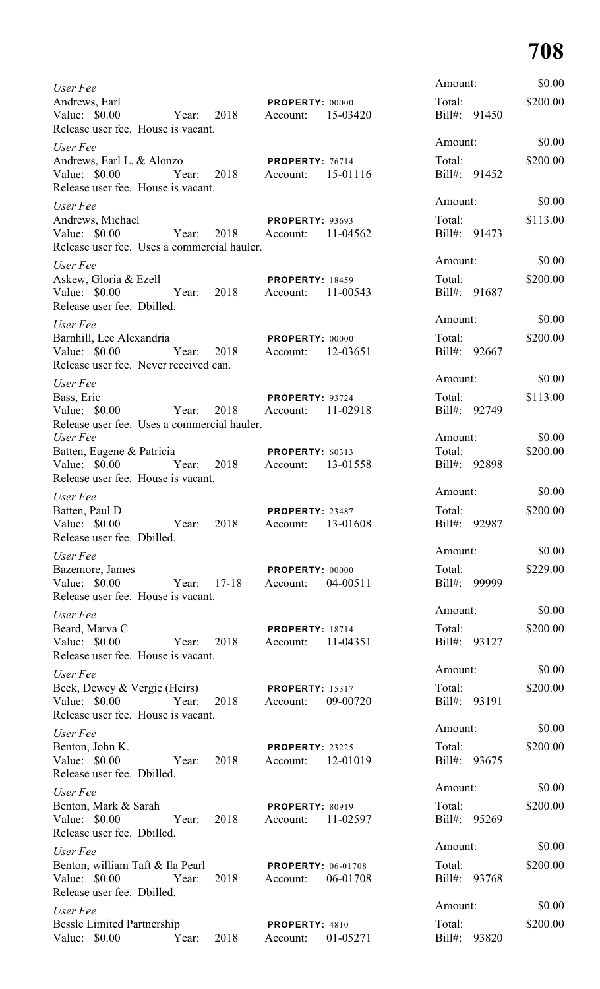| User Fee                                                                                    |             |      |                                       |          | Amount:           |              | \$0.00             |
|---------------------------------------------------------------------------------------------|-------------|------|---------------------------------------|----------|-------------------|--------------|--------------------|
| Andrews, Earl<br>Value: \$0.00<br>Release user fee. House is vacant.                        | Year:       | 2018 | PROPERTY: 00000<br>Account:           | 15-03420 | Total:            | Bill#: 91450 | \$200.00           |
| User Fee                                                                                    |             |      |                                       |          | Amount:           |              | \$0.00             |
| Andrews, Earl L. & Alonzo<br>Value: \$0.00<br>Release user fee. House is vacant.            | Year:       | 2018 | PROPERTY: 76714<br>Account:           | 15-01116 | Total:            | Bill#: 91452 | \$200.00           |
| User Fee                                                                                    |             |      |                                       |          | Amount:           |              | \$0.00             |
| Andrews, Michael                                                                            |             |      | <b>PROPERTY: 93693</b>                |          | Total:            |              | \$113.00           |
| Value: $$0.00$<br>Release user fee. Uses a commercial hauler.                               | Year:       | 2018 | Account:                              | 11-04562 |                   | Bill#: 91473 |                    |
| User Fee                                                                                    |             |      |                                       |          | Amount:           |              | \$0.00             |
| Askew, Gloria & Ezell<br>Value: \$0.00<br>Year:<br>Release user fee. Dbilled.               |             | 2018 | <b>PROPERTY: 18459</b><br>Account:    | 11-00543 | Total:            | Bill#: 91687 | \$200.00           |
| User Fee                                                                                    |             |      |                                       |          | Amount:           |              | \$0.00             |
| Barnhill, Lee Alexandria<br>Value: \$0.00<br>Year:<br>Release user fee. Never received can. |             | 2018 | <b>PROPERTY: 00000</b><br>Account:    | 12-03651 | Total:            | Bill#: 92667 | \$200.00           |
| User Fee                                                                                    |             |      |                                       |          | Amount:           |              | \$0.00             |
| Bass, Eric                                                                                  |             |      | PROPERTY: 93724                       |          | Total:            |              | \$113.00           |
| Value: $$0.00$<br>Release user fee. Uses a commercial hauler.                               | Year:       | 2018 | Account:                              | 11-02918 |                   | Bill#: 92749 |                    |
| User Fee                                                                                    |             |      |                                       |          | Amount:<br>Total: |              | \$0.00<br>\$200.00 |
| Batten, Eugene & Patricia<br>Value: \$0.00<br>Release user fee. House is vacant.            | Year: 2018  |      | PROPERTY: 60313<br>Account: 13-01558  |          |                   | Bill#: 92898 |                    |
| User Fee                                                                                    |             |      |                                       |          | Amount:           |              | \$0.00             |
| Batten, Paul D                                                                              |             |      | PROPERTY: 23487                       |          | Total:            |              | \$200.00           |
| Value: \$0.00<br>Release user fee. Dbilled.                                                 | Year:       | 2018 | Account:                              | 13-01608 |                   | Bill#: 92987 |                    |
| User Fee                                                                                    |             |      |                                       |          | Amount:           |              | \$0.00             |
| Bazemore, James<br>Value: \$0.00                                                            | Year: 17-18 |      | PROPERTY: 00000<br>Account:           | 04-00511 | Total:            | Bill#: 99999 | \$229.00           |
| Release user fee. House is vacant.                                                          |             |      |                                       |          | Amount:           |              | \$0.00             |
| User Fee<br>Beard, Marva C                                                                  |             |      |                                       |          | Total:            |              | \$200.00           |
| Value: $$0.00$<br>Release user fee. House is vacant.                                        | Year:       | 2018 | <b>PROPERTY: 18714</b><br>Account:    | 11-04351 |                   | Bill#: 93127 |                    |
| User Fee                                                                                    |             |      |                                       |          | Amount:           |              | \$0.00             |
| Beck, Dewey & Vergie (Heirs)                                                                |             |      | <b>PROPERTY: 15317</b>                |          | Total:            |              | \$200.00           |
| Value: \$0.00<br>Release user fee. House is vacant.                                         | Year:       | 2018 | Account:                              | 09-00720 |                   | Bill#: 93191 |                    |
| User Fee                                                                                    |             |      |                                       |          | Amount:           |              | \$0.00             |
| Benton, John K.<br>Value: \$0.00<br>Release user fee. Dbilled.                              | Year:       | 2018 | <b>PROPERTY: 23225</b><br>Account:    | 12-01019 | Total:            | Bill#: 93675 | \$200.00           |
| User Fee                                                                                    |             |      |                                       |          | Amount:           |              | \$0.00             |
| Benton, Mark & Sarah<br>Value: \$0.00<br>Release user fee. Dbilled.                         | Year:       | 2018 | <b>PROPERTY: 80919</b><br>Account:    | 11-02597 | Total:            | Bill#: 95269 | \$200.00           |
| User Fee                                                                                    |             |      |                                       |          | Amount:           |              | \$0.00             |
| Benton, william Taft & Ila Pearl<br>Value: \$0.00<br>Release user fee. Dbilled.             | Year:       | 2018 | <b>PROPERTY: 06-01708</b><br>Account: | 06-01708 | Total:            | Bill#: 93768 | \$200.00           |
| User Fee                                                                                    |             |      |                                       |          | Amount:           |              | \$0.00             |
| <b>Bessle Limited Partnership</b><br>Value: \$0.00                                          | Year:       | 2018 | PROPERTY: 4810<br>Account:            | 01-05271 | Total:<br>Bill#:  | 93820        | \$200.00           |
|                                                                                             |             |      |                                       |          |                   |              |                    |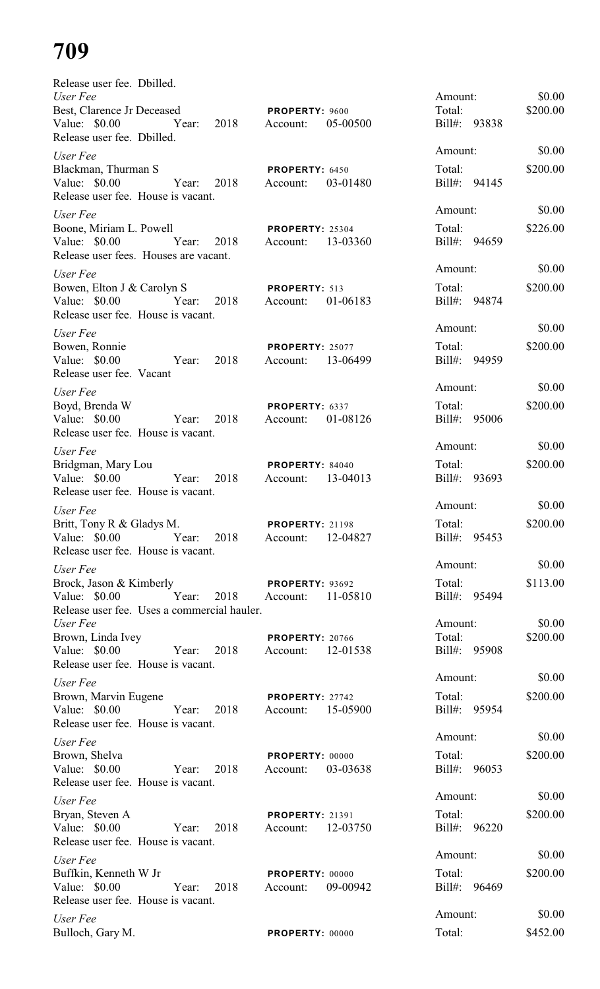| Release user fee. Dbilled.                                                                               |                                                |                        |          |
|----------------------------------------------------------------------------------------------------------|------------------------------------------------|------------------------|----------|
| User Fee                                                                                                 |                                                | Amount:                | \$0.00   |
| Best, Clarence Jr Deceased<br>Value: \$0.00 Year: 2018 Account:<br>Release user fee. Dbilled.            | <b>PROPERTY: 9600</b><br>05-00500              | Total:<br>Bill#: 93838 | \$200.00 |
| User Fee                                                                                                 |                                                | Amount:                | \$0.00   |
| Blackman, Thurman S<br>Release user fee. House is vacant.                                                | PROPERTY: 6450                                 | Total:<br>Bill#: 94145 | \$200.00 |
|                                                                                                          |                                                | Amount:                | \$0.00   |
| User Fee<br>Boone, Miriam L. Powell<br>Value: \$0.00 Year: 2018<br>Release user fees. Houses are vacant. | <b>PROPERTY: 25304</b><br>Account: 13-03360    | Total:<br>Bill#: 94659 | \$226.00 |
| User Fee                                                                                                 |                                                | Amount:                | \$0.00   |
| Bowen, Elton J & Carolyn S <b>PROPERTY</b> : 513<br>Release user fee. House is vacant.                   |                                                | Total:<br>Bill#: 94874 | \$200.00 |
| User Fee                                                                                                 |                                                | Amount:                | \$0.00   |
| Bowen, Ronnie<br>Value: \$0.00 Year: 2018<br>Release user fee. Vacant                                    | PROPERTY: 25077<br>Account: 13-06499           | Total:<br>Bill#: 94959 | \$200.00 |
| User Fee                                                                                                 |                                                | Amount:                | \$0.00   |
| Boyd, Brenda W<br>Value: \$0.00 Year:<br>2018<br>Release user fee. House is vacant.                      | PROPERTY: 6337<br>Account: 01-08126            | Total:<br>Bill#: 95006 | \$200.00 |
| User Fee                                                                                                 |                                                | Amount:                | \$0.00   |
| Bridgman, Mary Lou<br>Value: \$0.00 Year:<br>2018<br>Release user fee. House is vacant.                  | PROPERTY: 84040<br>Account: 13-04013           | Total:<br>Bill#: 93693 | \$200.00 |
| User Fee                                                                                                 |                                                | Amount:                | \$0.00   |
| Britt, Tony R & Gladys M.                                                                                | <b>PROPERTY: 21198</b>                         | Total:                 | \$200.00 |
| Value: $$0.00$<br>Year: 2018<br>Release user fee. House is vacant.                                       | 12-04827<br>Account:                           | Bill#: 95453           |          |
| User Fee                                                                                                 |                                                | Amount:                | \$0.00   |
| Brock, Jason & Kimberly<br>Value: \$0.00<br>Year:<br>2018<br>Release user fee. Uses a commercial hauler. | PROPERTY: 93692<br>11-05810<br>Account:        | Total:<br>Bill#: 95494 | \$113.00 |
| User Fee                                                                                                 |                                                | Amount:                | \$0.00   |
| Brown, Linda Ivey<br>Value: \$0.00<br>Year:<br>2018<br>Release user fee. House is vacant.                | <b>PROPERTY: 20766</b><br>12-01538<br>Account: | Total:<br>Bill#: 95908 | \$200.00 |
| User Fee                                                                                                 |                                                | Amount:                | \$0.00   |
| Brown, Marvin Eugene<br>Value: \$0.00<br>Year:<br>2018                                                   | PROPERTY: 27742<br>15-05900<br>Account:        | Total:<br>Bill#: 95954 | \$200.00 |
| Release user fee. House is vacant.                                                                       |                                                | Amount:                | \$0.00   |
| User Fee                                                                                                 |                                                |                        |          |
| Brown, Shelva<br>Value: \$0.00<br>Year:<br>2018<br>Release user fee. House is vacant.                    | PROPERTY: 00000<br>03-03638<br>Account:        | Total:<br>Bill#: 96053 | \$200.00 |
| User Fee                                                                                                 |                                                | Amount:                | \$0.00   |
| Bryan, Steven A<br>Value: \$0.00<br>2018<br>Year:<br>Release user fee. House is vacant.                  | <b>PROPERTY: 21391</b><br>12-03750<br>Account: | Total:<br>Bill#: 96220 | \$200.00 |
| User Fee                                                                                                 |                                                | Amount:                | \$0.00   |
| Buffkin, Kenneth W Jr<br>Value: \$0.00<br>Year:<br>2018<br>Release user fee. House is vacant.            | PROPERTY: 00000<br>09-00942<br>Account:        | Total:<br>Bill#: 96469 | \$200.00 |
| User Fee                                                                                                 |                                                | Amount:                | \$0.00   |
| Bulloch, Gary M.                                                                                         | PROPERTY: 00000                                | Total:                 | \$452.00 |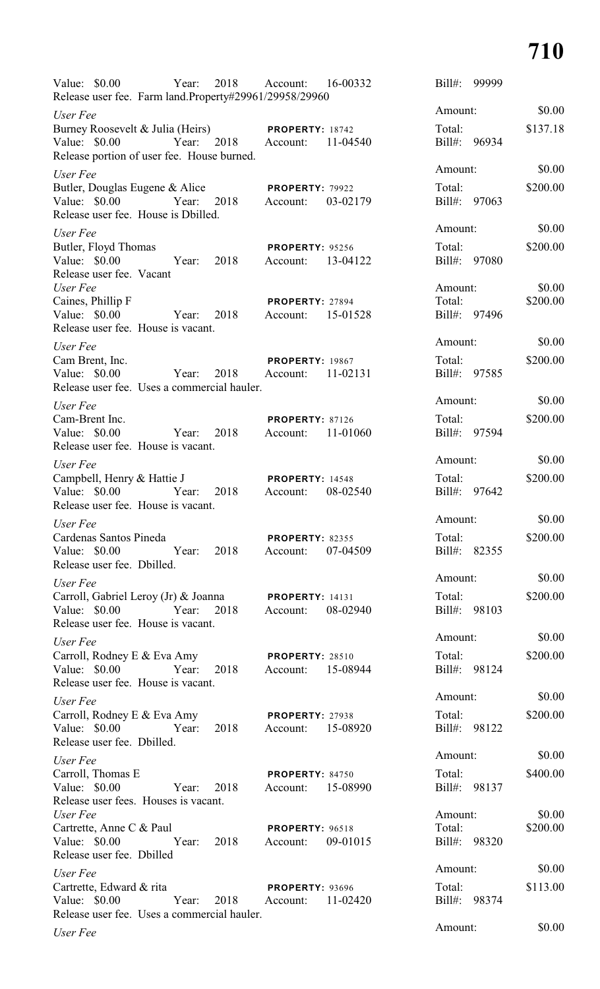| Value: $$0.00$                   |                                                                            | Year: | 2018       | Account:<br>Release user fee. Farm land.Property#29961/29958/29960 | 16-00332 | $Bill#$ :         | 99999        |                    |
|----------------------------------|----------------------------------------------------------------------------|-------|------------|--------------------------------------------------------------------|----------|-------------------|--------------|--------------------|
| User Fee                         |                                                                            |       |            |                                                                    |          | Amount:           |              | \$0.00             |
|                                  | Burney Roosevelt & Julia (Heirs)                                           |       |            | <b>PROPERTY: 18742</b>                                             |          | Total:            |              | \$137.18           |
| Value: \$0.00                    |                                                                            |       | Year: 2018 | Account:                                                           | 11-04540 |                   | Bill#: 96934 |                    |
|                                  | Release portion of user fee. House burned.                                 |       |            |                                                                    |          |                   |              |                    |
| User Fee                         |                                                                            |       |            |                                                                    |          | Amount:           |              | \$0.00             |
| Value: \$0.00                    | Butler, Douglas Eugene & Alice<br>Release user fee. House is Dbilled.      | Year: | 2018       | <b>PROPERTY: 79922</b><br>Account:                                 | 03-02179 | Total:            | Bill#: 97063 | \$200.00           |
| User Fee                         |                                                                            |       |            |                                                                    |          | Amount:           |              | \$0.00             |
| Butler, Floyd Thomas             |                                                                            |       |            | <b>PROPERTY: 95256</b>                                             |          | Total:            |              | \$200.00           |
| Value: \$0.00                    | Release user fee. Vacant                                                   | Year: | 2018       | Account:                                                           | 13-04122 |                   | Bill#: 97080 |                    |
| User Fee<br>Caines, Phillip F    |                                                                            |       |            | PROPERTY: 27894                                                    |          | Amount:<br>Total: |              | \$0.00<br>\$200.00 |
| Value: \$0.00                    | Release user fee. House is vacant.                                         | Year: | 2018       | Account:                                                           | 15-01528 |                   | Bill#: 97496 |                    |
| User Fee                         |                                                                            |       |            |                                                                    |          | Amount:           |              | \$0.00             |
| Cam Brent, Inc.<br>Value: \$0.00 |                                                                            | Year: | 2018       | <b>PROPERTY: 19867</b><br>Account:                                 | 11-02131 | Total:            | Bill#: 97585 | \$200.00           |
|                                  | Release user fee. Uses a commercial hauler.                                |       |            |                                                                    |          |                   |              |                    |
| User Fee                         |                                                                            |       |            |                                                                    |          | Amount:           |              | \$0.00             |
| Cam-Brent Inc.<br>Value: \$0.00  | Release user fee. House is vacant.                                         | Year: | 2018       | <b>PROPERTY: 87126</b><br>Account:                                 | 11-01060 | Total:            | Bill#: 97594 | \$200.00           |
| User Fee                         |                                                                            |       |            |                                                                    |          | Amount:           |              | \$0.00             |
| Value: \$0.00                    | Campbell, Henry & Hattie J                                                 | Year: | 2018       | <b>PROPERTY: 14548</b><br>Account:                                 | 08-02540 | Total:<br>Bill#:  | 97642        | \$200.00           |
|                                  | Release user fee. House is vacant.                                         |       |            |                                                                    |          | Amount:           |              | \$0.00             |
| User Fee                         |                                                                            |       |            |                                                                    |          |                   |              |                    |
| Value: \$0.00                    | Cardenas Santos Pineda<br>Release user fee. Dbilled.                       | Year: | 2018       | <b>PROPERTY: 82355</b><br>Account:                                 | 07-04509 | Total:            | Bill#: 82355 | \$200.00           |
| User Fee                         |                                                                            |       |            |                                                                    |          | Amount:           |              | \$0.00             |
| Value: $$0.00$                   | Carroll, Gabriel Leroy (Jr) & Joanna<br>Release user fee. House is vacant. | Year: | 2018       | <b>PROPERTY: 14131</b><br>Account:                                 | 08-02940 | Total:            | Bill#: 98103 | \$200.00           |
| User Fee                         |                                                                            |       |            |                                                                    |          | Amount:           |              | \$0.00             |
| Value: $$0.00$                   | Carroll, Rodney E & Eva Amy<br>Release user fee. House is vacant.          | Year: | 2018       | <b>PROPERTY: 28510</b><br>Account:                                 | 15-08944 | Total:            | Bill#: 98124 | \$200.00           |
| User Fee                         |                                                                            |       |            |                                                                    |          | Amount:           |              | \$0.00             |
|                                  | Carroll, Rodney E & Eva Amy<br>Value: $$0.00$                              | Year: | 2018       | <b>PROPERTY: 27938</b><br>Account:                                 | 15-08920 | Total:            | Bill#: 98122 | \$200.00           |
|                                  | Release user fee. Dbilled.                                                 |       |            |                                                                    |          | Amount:           |              | \$0.00             |
| User Fee<br>Carroll, Thomas E    |                                                                            |       |            | <b>PROPERTY: 84750</b>                                             |          | Total:            |              | \$400.00           |
| Value: $$0.00$                   | Release user fees. Houses is vacant.                                       | Year: | 2018       | Account:                                                           | 15-08990 |                   | Bill#: 98137 |                    |
| User Fee                         |                                                                            |       |            |                                                                    |          | Amount:           |              | \$0.00             |
| Value: \$0.00                    | Cartrette, Anne C & Paul<br>Release user fee. Dbilled                      | Year: | 2018       | <b>PROPERTY: 96518</b><br>Account:                                 | 09-01015 | Total:            | Bill#: 98320 | \$200.00           |
| User Fee                         |                                                                            |       |            |                                                                    |          | Amount:           |              | \$0.00             |
| Value: \$0.00                    | Cartrette, Edward & rita<br>Release user fee. Uses a commercial hauler.    | Year: | 2018       | <b>PROPERTY: 93696</b><br>Account:                                 | 11-02420 | Total:            | Bill#: 98374 | \$113.00           |
| User Fee                         |                                                                            |       |            |                                                                    |          | Amount:           |              | \$0.00             |
|                                  |                                                                            |       |            |                                                                    |          |                   |              |                    |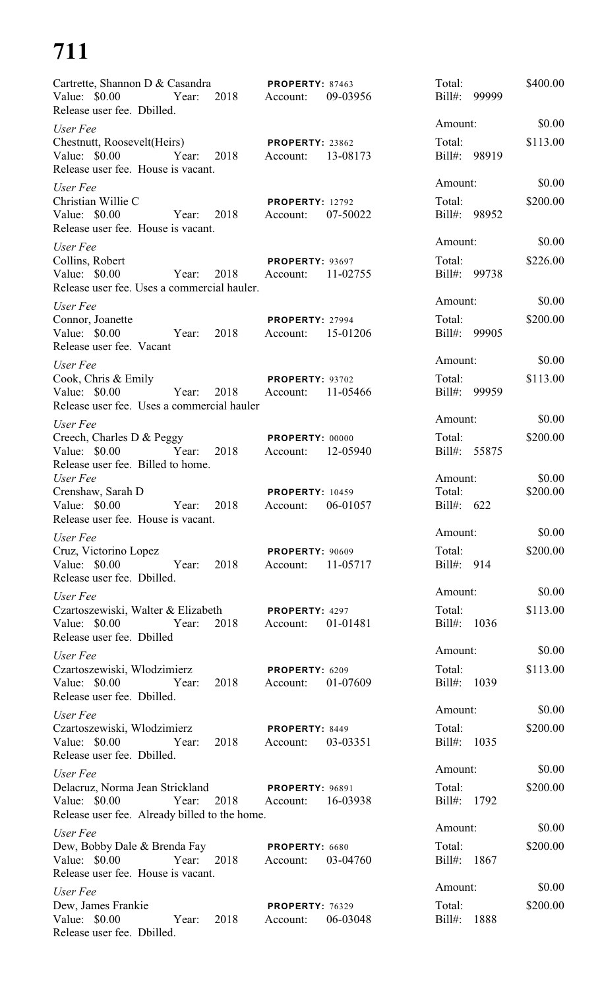| Cartrette, Shannon D & Casandra<br>Value: $$0.00$<br>2018<br>Year:<br>Release user fee. Dbilled.                   | <b>PROPERTY: 87463</b><br>09-03956<br>Account: | Total:<br>$Bill#$ :<br>99999      | \$400.00           |
|--------------------------------------------------------------------------------------------------------------------|------------------------------------------------|-----------------------------------|--------------------|
| User Fee                                                                                                           |                                                | Amount:                           | \$0.00             |
| Chestnutt, Roosevelt(Heirs)<br>Value: $$0.00$<br>Year:<br>2018<br>Release user fee. House is vacant.               | PROPERTY: 23862<br>13-08173<br>Account:        | Total:<br>Bill#: 98919            | \$113.00           |
| User Fee<br>Christian Willie C<br>Value: \$0.00<br>2018<br>Year:<br>Release user fee. House is vacant.             | <b>PROPERTY: 12792</b><br>07-50022<br>Account: | Amount:<br>Total:<br>Bill#: 98952 | \$0.00<br>\$200.00 |
| User Fee                                                                                                           |                                                | Amount:                           | \$0.00             |
| Collins, Robert<br>2018<br>Value: $$0.00$<br>Year:<br>Release user fee. Uses a commercial hauler.                  | <b>PROPERTY: 93697</b><br>11-02755<br>Account: | Total:<br>Bill#: 99738            | \$226.00           |
| User Fee                                                                                                           |                                                | Amount:                           | \$0.00             |
| Connor, Joanette<br>Value: \$0.00<br>2018<br>Year:<br>Release user fee. Vacant                                     | <b>PROPERTY: 27994</b><br>15-01206<br>Account: | Total:<br>Bill#: 99905            | \$200.00           |
| User Fee                                                                                                           |                                                | Amount:                           | \$0.00             |
| Cook, Chris & Emily<br>Value: $$0.00$<br>Year:<br>2018<br>Release user fee. Uses a commercial hauler               | PROPERTY: 93702<br>11-05466<br>Account:        | Total:<br>Bill#: 99959            | \$113.00           |
| User Fee                                                                                                           |                                                | Amount:                           | \$0.00             |
| Creech, Charles D & Peggy<br>2018<br>Value: \$0.00<br>Year:<br>Release user fee. Billed to home.                   | <b>PROPERTY: 00000</b><br>12-05940<br>Account: | Total:<br>Bill#: 55875            | \$200.00           |
| User Fee<br>Crenshaw, Sarah D<br>Value: \$0.00<br>Year:<br>2018<br>Release user fee. House is vacant.              | <b>PROPERTY: 10459</b><br>06-01057<br>Account: | Amount:<br>Total:<br>Bill#: 622   | \$0.00<br>\$200.00 |
| User Fee                                                                                                           |                                                | Amount:                           | \$0.00             |
| Cruz, Victorino Lopez<br>Value: $$0.00$<br>2018<br>Year:<br>Release user fee. Dbilled.                             | <b>PROPERTY: 90609</b><br>Account:<br>11-05717 | Total:<br>Bill#: 914              | \$200.00           |
| User Fee                                                                                                           |                                                | Amount:                           | \$0.00             |
| Czartoszewiski, Walter & Elizabeth<br>Value: \$0.00<br>2018<br>Year:<br>Release user fee. Dbilled                  | PROPERTY: 4297<br>01-01481<br>Account:         | Total:<br>Bill#: 1036             | \$113.00           |
| User Fee                                                                                                           |                                                | Amount:                           | \$0.00             |
| Czartoszewiski, Włodzimierz<br>Value: \$0.00 Year:<br>2018<br>Release user fee. Dbilled.                           | PROPERTY: 6209<br>Account:<br>01-07609         | Total:<br>Bill#: 1039             | \$113.00           |
| User Fee                                                                                                           |                                                | Amount:                           | \$0.00             |
| Czartoszewiski, Włodzimierz<br>Value: \$0.00 Year:<br>2018<br>Release user fee. Dbilled.                           | PROPERTY: 8449<br>03-03351<br>Account:         | Total:<br>Bill#: 1035             | \$200.00           |
| User Fee                                                                                                           |                                                | Amount:                           | \$0.00             |
| Delacruz, Norma Jean Strickland<br>Value: \$0.00<br>2018<br>Year:<br>Release user fee. Already billed to the home. | <b>PROPERTY: 96891</b><br>16-03938<br>Account: | Total:<br>Bill#: 1792             | \$200.00           |
| User Fee                                                                                                           |                                                | Amount:                           | \$0.00             |
| Dew, Bobby Dale & Brenda Fay<br>Value: \$0.00<br>Year:<br>2018<br>Release user fee. House is vacant.               | PROPERTY: 6680<br>03-04760<br>Account:         | Total:<br>Bill#: 1867             | \$200.00           |
| User Fee                                                                                                           |                                                | Amount:                           | \$0.00             |
| Dew, James Frankie<br>Value: \$0.00<br>2018<br>Year:<br>Release user fee. Dbilled.                                 | <b>PROPERTY: 76329</b><br>06-03048<br>Account: | Total:<br>1888<br>$Bill#$ :       | \$200.00           |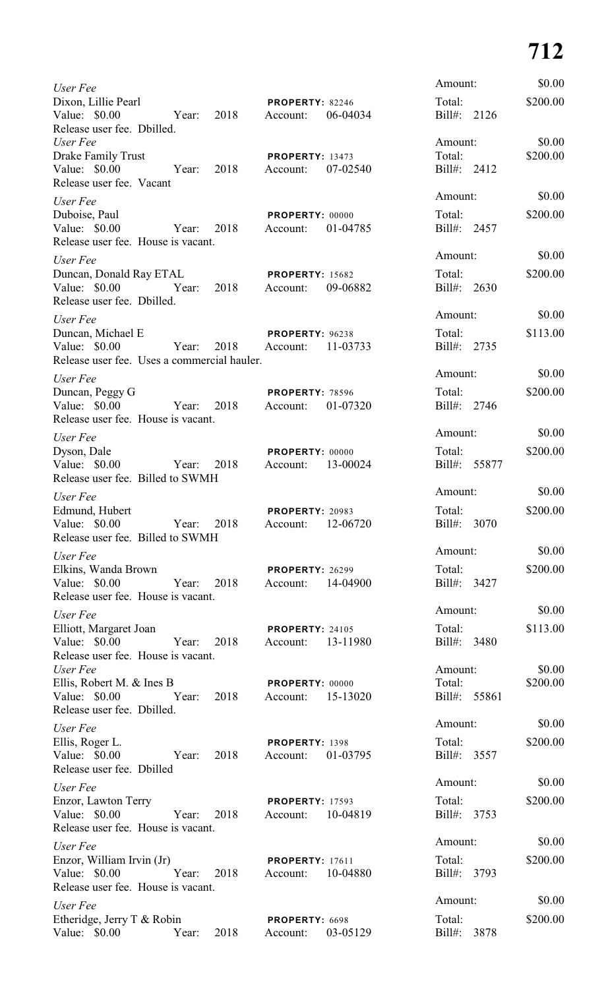| User Fee                                                                          |       |      |                                    |          | Amount:                          |       | \$0.00             |
|-----------------------------------------------------------------------------------|-------|------|------------------------------------|----------|----------------------------------|-------|--------------------|
| Dixon, Lillie Pearl<br>Value: \$0.00<br>Release user fee. Dbilled.                | Year: | 2018 | PROPERTY: 82246<br>Account:        | 06-04034 | Total:<br>Bill#: 2126            |       | \$200.00           |
| User Fee<br>Drake Family Trust<br>Value: \$0.00<br>Release user fee. Vacant       | Year: | 2018 | <b>PROPERTY: 13473</b><br>Account: | 07-02540 | Amount:<br>Total:<br>Bill#: 2412 |       | \$0.00<br>\$200.00 |
| User Fee                                                                          |       |      |                                    |          | Amount:                          |       | \$0.00             |
| Duboise, Paul<br>Value: \$0.00<br>Release user fee. House is vacant.              | Year: | 2018 | PROPERTY: 00000<br>Account:        | 01-04785 | Total:<br>Bill#: 2457            |       | \$200.00           |
| User Fee                                                                          |       |      |                                    |          | Amount:                          |       | \$0.00             |
| Duncan, Donald Ray ETAL<br>Value: \$0.00<br>Release user fee. Dbilled.            | Year: | 2018 | <b>PROPERTY: 15682</b><br>Account: | 09-06882 | Total:<br>Bill#: 2630            |       | \$200.00           |
| User Fee                                                                          |       |      |                                    |          | Amount:                          |       | \$0.00             |
| Duncan, Michael E<br>Value: \$0.00<br>Release user fee. Uses a commercial hauler. | Year: | 2018 | PROPERTY: 96238<br>Account:        | 11-03733 | Total:<br>Bill#: 2735            |       | \$113.00           |
| User Fee                                                                          |       |      |                                    |          | Amount:                          |       | \$0.00             |
| Duncan, Peggy G<br>Value: \$0.00<br>Release user fee. House is vacant.            | Year: | 2018 | <b>PROPERTY: 78596</b><br>Account: | 01-07320 | Total:<br>Bill#: 2746            |       | \$200.00           |
| User Fee                                                                          |       |      |                                    |          | Amount:                          |       | \$0.00             |
| Dyson, Dale<br>Value: \$0.00<br>Release user fee. Billed to SWMH                  | Year: | 2018 | PROPERTY: 00000<br>Account:        | 13-00024 | Total:<br>Bill#:                 | 55877 | \$200.00           |
| User Fee                                                                          |       |      |                                    |          | Amount:                          |       | \$0.00             |
| Edmund, Hubert<br>Value: \$0.00<br>Release user fee. Billed to SWMH               | Year: | 2018 | <b>PROPERTY: 20983</b><br>Account: | 12-06720 | Total:<br>$Bill#$ :              | 3070  | \$200.00           |
| User Fee                                                                          |       |      |                                    |          | Amount:                          |       | \$0.00             |
| Elkins, Wanda Brown<br>Value: \$0.00<br>Release user fee. House is vacant.        | Year: | 2018 | <b>PROPERTY: 26299</b><br>Account: | 14-04900 | Total:<br>Bill#: 3427            |       | \$200.00           |
| User Fee                                                                          |       |      |                                    |          | Amount:                          |       | \$0.00             |
| Elliott, Margaret Joan<br>Value: \$0.00<br>Release user fee. House is vacant.     | Year: | 2018 | <b>PROPERTY: 24105</b><br>Account: | 13-11980 | Total:<br>Bill#: 3480            |       | \$113.00           |
| User Fee                                                                          |       |      |                                    |          | Amount:                          |       | \$0.00             |
| Ellis, Robert M. & Ines B<br>Value: \$0.00<br>Release user fee. Dbilled.          | Year: | 2018 | PROPERTY: 00000<br>Account:        | 15-13020 | Total:<br>Bill#: 55861           |       | \$200.00           |
| User Fee                                                                          |       |      |                                    |          | Amount:                          |       | \$0.00             |
| Ellis, Roger L.<br>Value: \$0.00<br>Release user fee. Dbilled                     | Year: | 2018 | PROPERTY: 1398<br>Account:         | 01-03795 | Total:<br>Bill#: 3557            |       | \$200.00           |
| User Fee                                                                          |       |      |                                    |          | Amount:                          |       | \$0.00             |
| Enzor, Lawton Terry<br>Value: \$0.00<br>Release user fee. House is vacant.        | Year: | 2018 | <b>PROPERTY: 17593</b><br>Account: | 10-04819 | Total:<br>Bill#:                 | 3753  | \$200.00           |
| User Fee                                                                          |       |      |                                    |          | Amount:                          |       | \$0.00             |
| Enzor, William Irvin (Jr)<br>Value: \$0.00<br>Release user fee. House is vacant.  | Year: | 2018 | <b>PROPERTY: 17611</b><br>Account: | 10-04880 | Total:<br>Bill#:                 | 3793  | \$200.00           |
| User Fee                                                                          |       |      |                                    |          | Amount:                          |       | \$0.00             |
| Etheridge, Jerry T & Robin<br>Value: \$0.00                                       | Year: | 2018 | PROPERTY: 6698<br>Account:         | 03-05129 | Total:<br>Bill#:                 | 3878  | \$200.00           |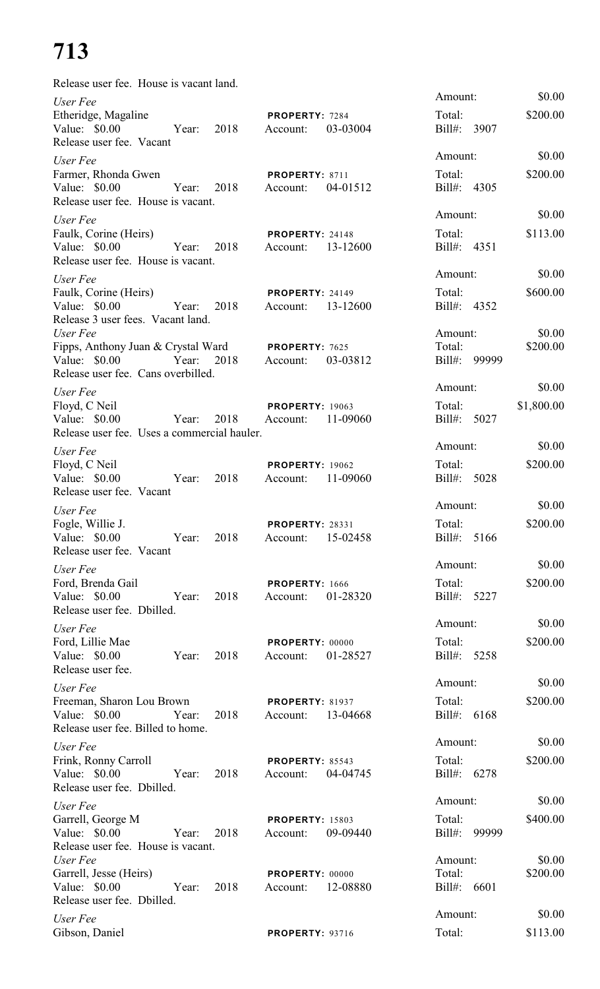| Release user fee. House is vacant land.                                                                |       |            |                                             |          |                                   |                      |
|--------------------------------------------------------------------------------------------------------|-------|------------|---------------------------------------------|----------|-----------------------------------|----------------------|
| User Fee<br>Etheridge, Magaline<br>Value: \$0.00<br>Release user fee. Vacant                           | Year: | 2018       | PROPERTY: 7284<br>Account:                  | 03-03004 | Amount:<br>Total:<br>Bill#: 3907  | \$0.00<br>\$200.00   |
| User Fee<br>Farmer, Rhonda Gwen<br>Value: \$0.00<br>Release user fee. House is vacant.                 | Year: | 2018       | PROPERTY: 8711<br>Account:                  | 04-01512 | Amount:<br>Total:<br>Bill#: 4305  | \$0.00<br>\$200.00   |
| User Fee<br>Faulk, Corine (Heirs)<br>Value: $$0.00$<br>Release user fee. House is vacant.              | Year: | 2018       | PROPERTY: 24148<br>Account:                 | 13-12600 | Amount:<br>Total:<br>Bill#: 4351  | \$0.00<br>\$113.00   |
| User Fee<br>Faulk, Corine (Heirs)<br>Value: $$0.00$<br>Release 3 user fees. Vacant land.               | Year: | 2018       | <b>PROPERTY: 24149</b><br>Account:          | 13-12600 | Amount:<br>Total:<br>Bill#: 4352  | \$0.00<br>\$600.00   |
| User Fee<br>Fipps, Anthony Juan & Crystal Ward<br>Value: $$0.00$<br>Release user fee. Cans overbilled. | Year: | 2018       | PROPERTY: 7625<br>Account:                  | 03-03812 | Amount:<br>Total:<br>Bill#: 99999 | \$0.00<br>\$200.00   |
| User Fee<br>Floyd, C Neil<br>Value: $$0.00$<br>Release user fee. Uses a commercial hauler.             | Year: | 2018       | <b>PROPERTY: 19063</b><br>Account:          | 11-09060 | Amount:<br>Total:<br>Bill#: 5027  | \$0.00<br>\$1,800.00 |
| User Fee<br>Floyd, C Neil<br>Value: $$0.00$<br>Release user fee. Vacant                                | Year: | 2018       | <b>PROPERTY: 19062</b><br>Account:          | 11-09060 | Amount:<br>Total:<br>Bill#: 5028  | \$0.00<br>\$200.00   |
| User Fee<br>Fogle, Willie J.<br>Value: \$0.00<br>Release user fee. Vacant                              |       | Year: 2018 | <b>PROPERTY: 28331</b><br>Account:          | 15-02458 | Amount:<br>Total:<br>Bill#: 5166  | \$0.00<br>\$200.00   |
| User Fee<br>Ford, Brenda Gail<br>Value: $$0.00$<br>Release user fee. Dbilled.                          | Year: | 2018       | PROPERTY: 1666<br>Account:                  | 01-28320 | Amount:<br>Total:<br>Bill#: 5227  | \$0.00<br>\$200.00   |
| User Fee<br>Ford, Lillie Mae<br>Value: \$0.00<br>Release user fee.                                     | Year: | 2018       | PROPERTY: 00000<br>Account:                 | 01-28527 | Amount:<br>Total:<br>Bill#: 5258  | \$0.00<br>\$200.00   |
| User Fee<br>Freeman, Sharon Lou Brown<br>Value: \$0.00<br>Release user fee. Billed to home.            | Year: | 2018       | <b>PROPERTY: 81937</b><br>Account: 13-04668 |          | Amount:<br>Total:<br>Bill#: 6168  | \$0.00<br>\$200.00   |
| User Fee<br>Frink, Ronny Carroll<br>Value: $$0.00$<br>Release user fee. Dbilled.                       | Year: | 2018       | PROPERTY: 85543<br>Account:                 | 04-04745 | Amount:<br>Total:<br>Bill#: 6278  | \$0.00<br>\$200.00   |
| User Fee<br>Garrell, George M<br>Value: $$0.00$<br>Release user fee. House is vacant.                  | Year: | 2018       | <b>PROPERTY: 15803</b><br>Account:          | 09-09440 | Amount:<br>Total:<br>Bill#: 99999 | \$0.00<br>\$400.00   |
| User Fee<br>Garrell, Jesse (Heirs)<br>Value: \$0.00<br>Release user fee. Dbilled.                      | Year: | 2018       | PROPERTY: 00000<br>Account:                 | 12-08880 | Amount:<br>Total:<br>Bill#: 6601  | \$0.00<br>\$200.00   |
| User Fee<br>Gibson, Daniel                                                                             |       |            | <b>PROPERTY: 93716</b>                      |          | Amount:<br>Total:                 | \$0.00<br>\$113.00   |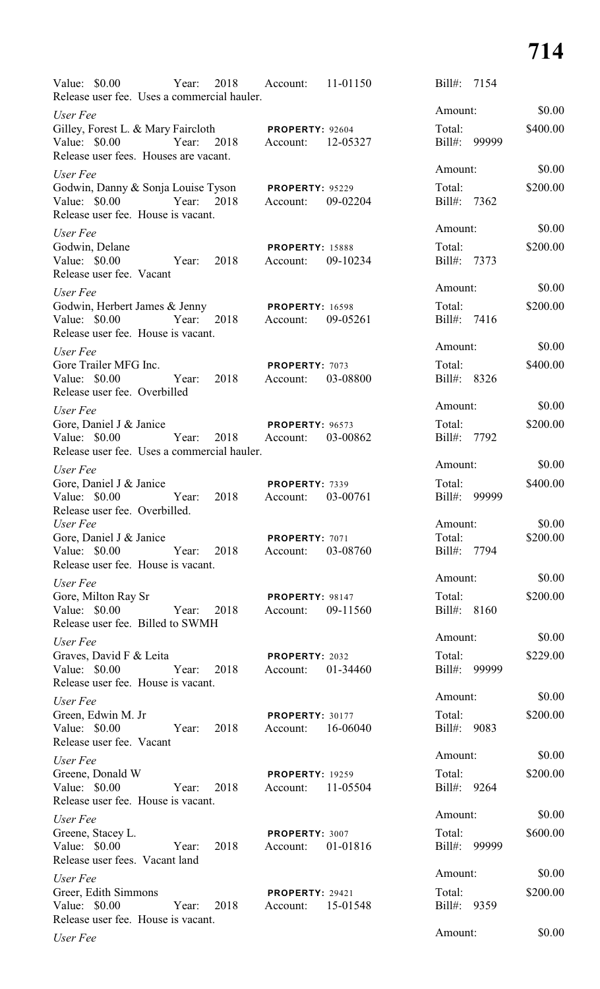| Value: $$0.00$<br>Release user fee. Uses a commercial hauler.                                                |       | Year: 2018 Account: |                                               | 11-01150 | Bill#:                | 7154         |                    |
|--------------------------------------------------------------------------------------------------------------|-------|---------------------|-----------------------------------------------|----------|-----------------------|--------------|--------------------|
| User Fee                                                                                                     |       |                     |                                               |          | Amount:               |              | \$0.00             |
| Gilley, Forest L. & Mary Faircloth PROPERTY: 92604<br>Value: \$0.00<br>Release user fees. Houses are vacant. |       |                     | Year: 2018 Account: 12-05327                  |          | Total:                | Bill#: 99999 | \$400.00           |
| User Fee                                                                                                     |       |                     |                                               |          | Amount:               |              | \$0.00             |
| Godwin, Danny & Sonja Louise Tyson PROPERTY: 95229<br>Value: \$0.00<br>Release user fee. House is vacant.    |       |                     | Year: 2018 Account:                           | 09-02204 | Total:<br>Bill#: 7362 |              | \$200.00           |
| User Fee                                                                                                     |       |                     |                                               |          | Amount:               |              | \$0.00             |
| Godwin, Delane<br>Value: $$0.00$<br>Release user fee. Vacant                                                 |       | Year: 2018          | <b>PROPERTY: 15888</b><br>Account:            | 09-10234 | Total:<br>Bill#: 7373 |              | \$200.00           |
| User Fee                                                                                                     |       |                     |                                               |          | Amount:               |              | \$0.00             |
| Godwin, Herbert James & Jenny<br>Value: $$0.00$<br>Release user fee. House is vacant.                        |       |                     | <b>PROPERTY: 16598</b><br>Year: 2018 Account: | 09-05261 | Total:<br>Bill#: 7416 |              | \$200.00           |
| User Fee                                                                                                     |       |                     |                                               |          | Amount:               |              | \$0.00             |
| Gore Trailer MFG Inc.<br>Value: \$0.00<br>Release user fee. Overbilled                                       |       |                     | PROPERTY: 7073<br>Year: 2018 Account:         | 03-08800 | Total:<br>Bill#: 8326 |              | \$400.00           |
| User Fee                                                                                                     |       |                     |                                               |          | Amount:               |              | \$0.00             |
| Gore, Daniel J & Janice<br>Value: $$0.00$<br>Release user fee. Uses a commercial hauler.                     |       |                     | <b>PROPERTY: 96573</b><br>Year: 2018 Account: | 03-00862 | Total:<br>Bill#: 7792 |              | \$200.00           |
| User Fee                                                                                                     |       |                     |                                               |          | Amount:               |              | \$0.00             |
| Gore, Daniel J & Janice<br>Value: $$0.00$<br>Release user fee. Overbilled.                                   | Year: | 2018                | <b>PROPERTY: 7339</b><br>Account:             | 03-00761 | Total:<br>$Bill#$ :   | 99999        | \$400.00           |
| User Fee<br>Gore, Daniel J & Janice                                                                          |       |                     |                                               |          | Amount:<br>Total:     |              | \$0.00<br>\$200.00 |
| Value: \$0.00<br>Release user fee. House is vacant.                                                          | Year: | 2018                | PROPERTY: 7071<br>Account:                    | 03-08760 | Bill#: 7794           |              |                    |
| User Fee                                                                                                     |       |                     |                                               |          | Amount:               |              | \$0.00             |
| Gore, Milton Ray Sr<br>Value: \$0.00<br>Release user fee. Billed to SWMH                                     | Year: | 2018                | PROPERTY: 98147<br>Account:                   | 09-11560 | Total:<br>Bill#: 8160 |              | \$200.00           |
| User Fee                                                                                                     |       |                     |                                               |          | Amount:               |              | \$0.00             |
| Graves, David F & Leita<br>Value: $$0.00$<br>Release user fee. House is vacant.                              | Year: | 2018                | PROPERTY: 2032<br>Account:                    | 01-34460 | Total:                | Bill#: 99999 | \$229.00           |
| User Fee                                                                                                     |       |                     |                                               |          | Amount:               |              | \$0.00             |
| Green, Edwin M. Jr<br>Value: $$0.00$<br>Release user fee. Vacant                                             | Year: | 2018                | PROPERTY: 30177<br>Account:                   | 16-06040 | Total:<br>Bill#: 9083 |              | \$200.00           |
| User Fee                                                                                                     |       |                     |                                               |          | Amount:               |              | \$0.00             |
| Greene, Donald W<br>Value: \$0.00<br>Release user fee. House is vacant.                                      | Year: | 2018                | <b>PROPERTY: 19259</b><br>Account:            | 11-05504 | Total:<br>Bill#: 9264 |              | \$200.00           |
| User Fee                                                                                                     |       |                     |                                               |          | Amount:               |              | \$0.00             |
| Greene, Stacey L.<br>Value: $$0.00$<br>Release user fees. Vacant land                                        | Year: | 2018                | PROPERTY: 3007<br>Account:                    | 01-01816 | Total:<br>Bill#:      | 99999        | \$600.00           |
| User Fee                                                                                                     |       |                     |                                               |          | Amount:               |              | \$0.00             |
| Greer, Edith Simmons<br>Value: $$0.00$<br>Release user fee. House is vacant.                                 | Year: | 2018                | PROPERTY: 29421<br>Account:                   | 15-01548 | Total:<br>Bill#:      | 9359         | \$200.00           |
| User Fee                                                                                                     |       |                     |                                               |          | Amount:               |              | \$0.00             |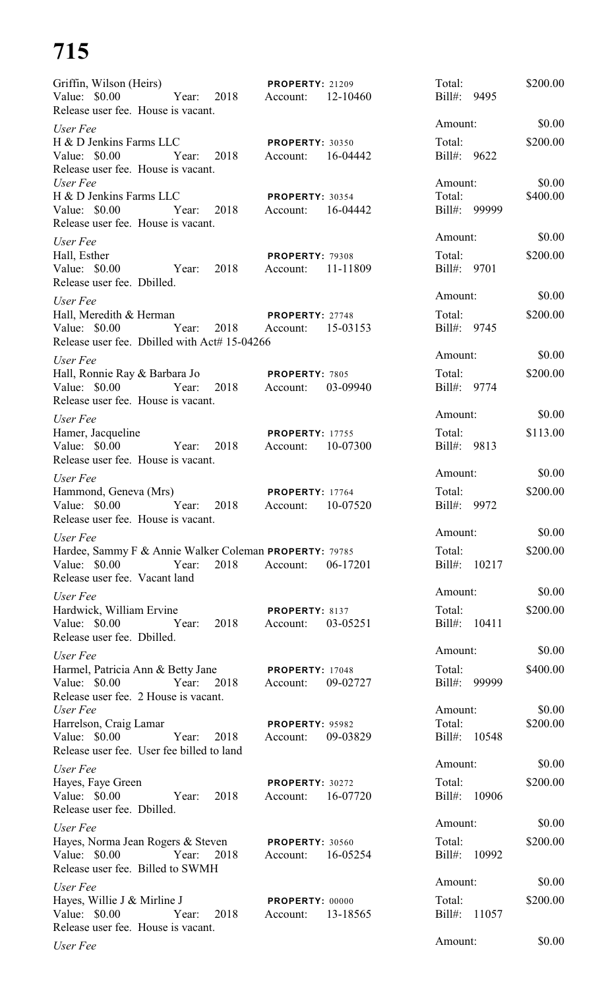| Griffin, Wilson (Heirs)                                                                                                   | <b>PROPERTY: 21209</b>                         | Total:                       | \$200.00 |
|---------------------------------------------------------------------------------------------------------------------------|------------------------------------------------|------------------------------|----------|
| Value: \$0.00<br>Year: 2018<br>Release user fee. House is vacant.                                                         | 12-10460<br>Account:                           | Bill#: 9495                  |          |
| User Fee                                                                                                                  |                                                | Amount:                      | \$0.00   |
| H & D Jenkins Farms LLC<br>Value: \$0.00<br>2018<br>Year:<br>Release user fee. House is vacant.                           | <b>PROPERTY: 30350</b><br>16-04442<br>Account: | Total:<br>Bill#: 9622        | \$200.00 |
| User Fee                                                                                                                  |                                                | Amount:                      | \$0.00   |
| H & D Jenkins Farms LLC<br>Value: \$0.00<br>Year:<br>2018<br>Release user fee. House is vacant.                           | PROPERTY: 30354<br>16-04442<br>Account:        | Total:<br>Bill#: 99999       | \$400.00 |
| User Fee                                                                                                                  |                                                | Amount:                      | \$0.00   |
| Hall, Esther<br>Value: \$0.00<br>2018<br>Year:<br>Release user fee. Dbilled.                                              | <b>PROPERTY: 79308</b><br>11-11809<br>Account: | Total:<br>Bill#: 9701        | \$200.00 |
| User Fee                                                                                                                  |                                                | Amount:                      | \$0.00   |
| Hall, Meredith & Herman<br>Value: \$0.00<br>Year:<br>2018<br>Release user fee. Dbilled with Act# 15-04266                 | PROPERTY: 27748<br>15-03153<br>Account:        | Total:<br>Bill#: 9745        | \$200.00 |
| User Fee                                                                                                                  |                                                | Amount:                      | \$0.00   |
| Hall, Ronnie Ray & Barbara Jo<br>Value: \$0.00<br>Year:<br>2018<br>Release user fee. House is vacant.                     | PROPERTY: 7805<br>03-09940<br>Account:         | Total:<br>Bill#: 9774        | \$200.00 |
| User Fee                                                                                                                  |                                                | Amount:                      | \$0.00   |
| Hamer, Jacqueline<br>Value: \$0.00<br>Year:<br>2018<br>Release user fee. House is vacant.                                 | <b>PROPERTY: 17755</b><br>10-07300<br>Account: | Total:<br>Bill#: 9813        | \$113.00 |
|                                                                                                                           |                                                | Amount:                      | \$0.00   |
| User Fee<br>Hammond, Geneva (Mrs)<br>Value: \$0.00<br>Year:<br>2018<br>Release user fee. House is vacant.                 | <b>PROPERTY: 17764</b><br>10-07520<br>Account: | Total:<br>$Bill#$ :<br>9972  | \$200.00 |
| User Fee                                                                                                                  |                                                | Amount:                      | \$0.00   |
| Hardee, Sammy F & Annie Walker Coleman PROPERTY: 79785<br>Value: \$0.00<br>2018<br>Year:<br>Release user fee. Vacant land | 06-17201<br>Account:                           | Total:<br>Bill#: 10217       | \$200.00 |
| User Fee                                                                                                                  |                                                | Amount:                      | \$0.00   |
| Hardwick, William Ervine<br>Value: \$0.00<br>2018<br>Year:<br>Release user fee. Dbilled.                                  | PROPERTY: 8137<br>03-05251<br>Account:         | Total:<br>Bill#: 10411       | \$200.00 |
| User Fee                                                                                                                  |                                                | Amount:                      | \$0.00   |
| Harmel, Patricia Ann & Betty Jane<br>Value: \$0.00<br>Year:<br>2018<br>Release user fee. 2 House is vacant.               | <b>PROPERTY: 17048</b><br>Account:<br>09-02727 | Total:<br>Bill#:<br>99999    | \$400.00 |
| User Fee                                                                                                                  |                                                | Amount:                      | \$0.00   |
| Harrelson, Craig Lamar<br>Value: \$0.00<br>Year:<br>2018<br>Release user fee. User fee billed to land                     | PROPERTY: 95982<br>09-03829<br>Account:        | Total:<br>Bill#: 10548       | \$200.00 |
| User Fee                                                                                                                  |                                                | Amount:                      | \$0.00   |
| Hayes, Faye Green<br>Value: \$0.00<br>2018<br>Year:<br>Release user fee. Dbilled.                                         | <b>PROPERTY: 30272</b><br>Account:<br>16-07720 | Total:<br>Bill#: 10906       | \$200.00 |
| User Fee                                                                                                                  |                                                | Amount:                      | \$0.00   |
| Hayes, Norma Jean Rogers & Steven PROPERTY: 30560<br>Value: \$0.00<br>2018<br>Year:<br>Release user fee. Billed to SWMH   | Account:<br>16-05254                           | Total:<br>Bill#: 10992       | \$200.00 |
| User Fee                                                                                                                  |                                                | Amount:                      | \$0.00   |
| Hayes, Willie J & Mirline J<br>Value: \$0.00<br>Year:<br>2018<br>Release user fee. House is vacant.                       | PROPERTY: 00000<br>13-18565<br>Account:        | Total:<br>11057<br>$Bill#$ : | \$200.00 |
| User Fee                                                                                                                  |                                                | Amount:                      | \$0.00   |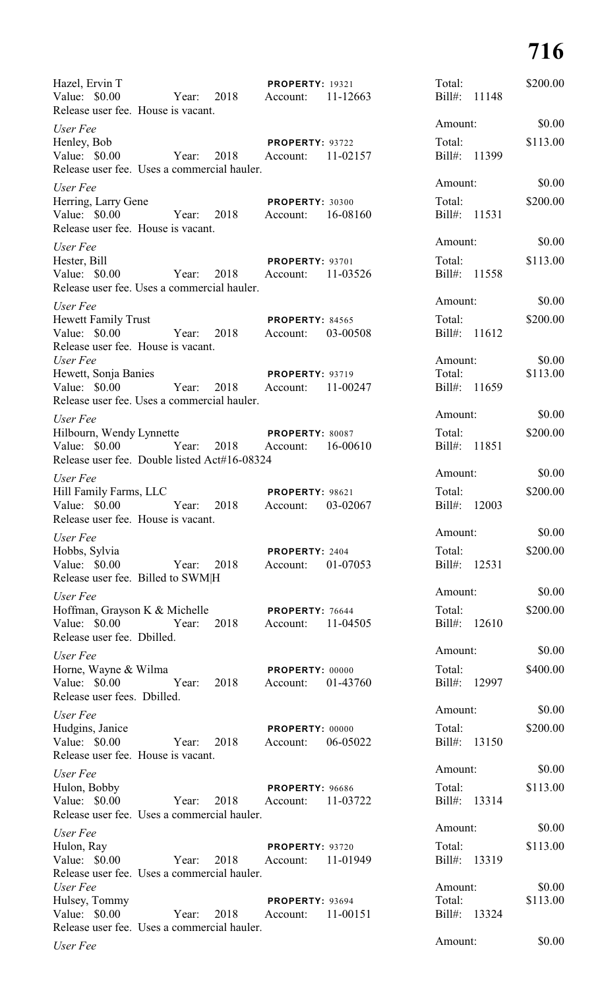| Hazel, Ervin T<br>Value: $$0.00$<br>Release user fee. House is vacant.                    | 2018<br>Year: | <b>PROPERTY: 19321</b><br>11-12663<br>Account: | Total:<br>Bill#:<br>11148    | \$200.00           |
|-------------------------------------------------------------------------------------------|---------------|------------------------------------------------|------------------------------|--------------------|
| User Fee                                                                                  |               |                                                | Amount:                      | \$0.00             |
| Henley, Bob<br>Value: \$0.00<br>Release user fee. Uses a commercial hauler.               | 2018<br>Year: | PROPERTY: 93722<br>11-02157<br>Account:        | Total:<br>Bill#: 11399       | \$113.00           |
| User Fee                                                                                  |               |                                                | Amount:                      | \$0.00             |
| Herring, Larry Gene<br>Value: $$0.00$<br>Release user fee. House is vacant.               | 2018<br>Year: | <b>PROPERTY: 30300</b><br>16-08160<br>Account: | Total:<br>Bill#: 11531       | \$200.00           |
|                                                                                           |               |                                                | Amount:                      | \$0.00             |
| User Fee<br>Hester, Bill<br>Value: $$0.00$<br>Release user fee. Uses a commercial hauler. | Year:<br>2018 | <b>PROPERTY: 93701</b><br>11-03526<br>Account: | Total:<br>$Bill#$ :<br>11558 | \$113.00           |
| User Fee                                                                                  |               |                                                | Amount:                      | \$0.00             |
| <b>Hewett Family Trust</b><br>Value: $$0.00$<br>Release user fee. House is vacant.        | Year:<br>2018 | <b>PROPERTY: 84565</b><br>03-00508<br>Account: | Total:<br>$Bill#$ :<br>11612 | \$200.00           |
| User Fee                                                                                  |               |                                                | Amount:                      | \$0.00             |
| Hewett, Sonja Banies<br>Value: $$0.00$<br>Release user fee. Uses a commercial hauler.     | Year:<br>2018 | <b>PROPERTY: 93719</b><br>11-00247<br>Account: | Total:<br>Bill#: 11659       | \$113.00           |
| User Fee                                                                                  |               |                                                | Amount:                      | \$0.00             |
| Hilbourn, Wendy Lynnette                                                                  |               | PROPERTY: 80087                                | Total:                       | \$200.00           |
| Value: $$0.00$<br>Release user fee. Double listed Act#16-08324                            | Year:         | 2018 Account:<br>16-00610                      | Bill#:<br>11851              |                    |
| User Fee                                                                                  |               |                                                | Amount:                      | \$0.00             |
| Hill Family Farms, LLC<br>Value: \$0.00<br>Release user fee. House is vacant.             | Year:<br>2018 | <b>PROPERTY: 98621</b><br>03-02067<br>Account: | Total:<br>Bill#:<br>12003    | \$200.00           |
| User Fee                                                                                  |               |                                                | Amount:                      | \$0.00             |
| Hobbs, Sylvia<br>Value: $$0.00$<br>Release user fee. Billed to SWM H                      | 2018<br>Year: | PROPERTY: 2404<br>01-07053<br>Account:         | Total:<br>Bill#: 12531       | \$200.00           |
| User Fee                                                                                  |               |                                                | Amount:                      | \$0.00             |
| Hoffman, Grayson K & Michelle<br>Value: $$0.00$<br>Release user fee. Dbilled.             | 2018<br>Year: | PROPERTY: 76644<br>11-04505<br>Account:        | Total:<br>Bill#: 12610       | \$200.00           |
| User Fee                                                                                  |               |                                                | Amount:                      | \$0.00             |
| Horne, Wayne & Wilma<br>Value: $$0.00$<br>Release user fees. Dbilled.                     | Year:<br>2018 | PROPERTY: 00000<br>01-43760<br>Account:        | Total:<br>Bill#: 12997       | \$400.00           |
| User Fee                                                                                  |               |                                                | Amount:                      | \$0.00             |
| Hudgins, Janice<br>Value: \$0.00<br>Release user fee. House is vacant.                    | 2018<br>Year: | PROPERTY: 00000<br>06-05022<br>Account:        | Total:<br>Bill#: 13150       | \$200.00           |
| User Fee                                                                                  |               |                                                | Amount:                      | \$0.00             |
| Hulon, Bobby                                                                              |               | <b>PROPERTY: 96686</b>                         | Total:                       | \$113.00           |
| Value: \$0.00                                                                             | 2018<br>Year: | Account:<br>11-03722                           | Bill#: 13314                 |                    |
| Release user fee. Uses a commercial hauler.                                               |               |                                                |                              |                    |
| User Fee                                                                                  |               |                                                | Amount:                      | \$0.00             |
| Hulon, Ray<br>Value: \$0.00<br>Release user fee. Uses a commercial hauler.                | 2018<br>Year: | <b>PROPERTY: 93720</b><br>11-01949<br>Account: | Total:<br>Bill#: 13319       | \$113.00           |
| User Fee                                                                                  |               | PROPERTY: 93694                                | Amount:<br>Total:            | \$0.00<br>\$113.00 |
| Hulsey, Tommy<br>Value: $$0.00$<br>Release user fee. Uses a commercial hauler.            | 2018<br>Year: | 11-00151<br>Account:                           | Bill#:<br>13324              |                    |
| User Fee                                                                                  |               |                                                | Amount:                      | \$0.00             |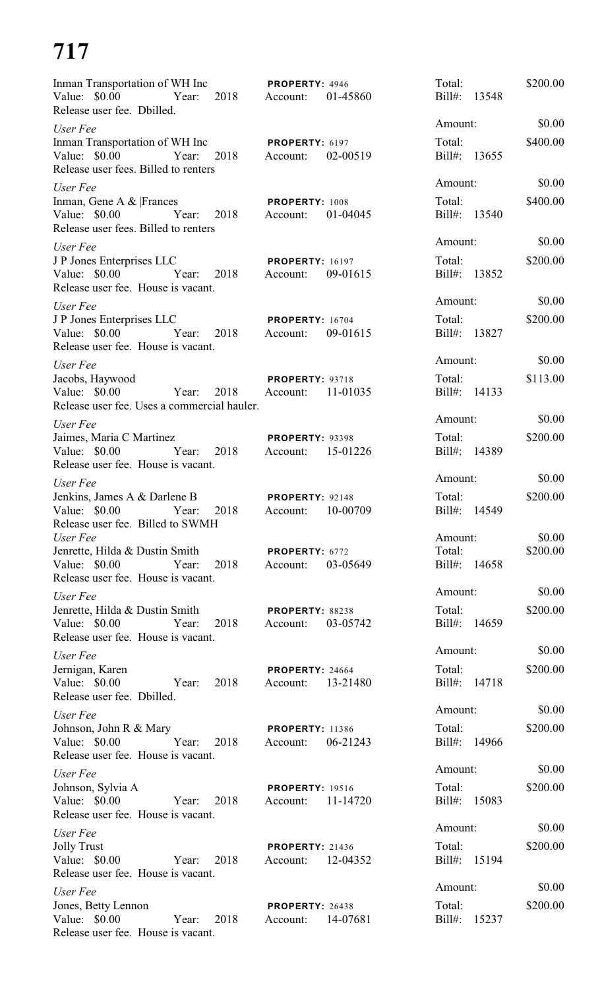| Inman Transportation of WH Inc <b>PROPERTY</b> : 4946<br>Value: $$0.00$<br>Year: 2018 Account:<br>Release user fee. Dbilled. | 01-45860                                       | Total:<br>Bill#: 13548       | \$200.00 |
|------------------------------------------------------------------------------------------------------------------------------|------------------------------------------------|------------------------------|----------|
| User Fee                                                                                                                     |                                                | Amount:                      | \$0.00   |
| Inman Transportation of WH Inc<br>Year: 2018 Account:<br>Value: \$0.00<br>Release user fees. Billed to renters               | PROPERTY: 6197<br>02-00519                     | Total:<br>Bill#: 13655       | \$400.00 |
| User Fee                                                                                                                     |                                                | Amount:                      | \$0.00   |
| Inman, Gene A & Frances<br>Value: \$0.00 Year: 2018 Account:<br>Release user fees. Billed to renters                         | PROPERTY: 1008<br>01-04045                     | Total:<br>Bill#: 13540       | \$400.00 |
| User Fee                                                                                                                     |                                                | Amount:                      | \$0.00   |
| J P Jones Enterprises LLC<br>Value: \$0.00 Year: 2018 Account:<br>Release user fee. House is vacant.                         | <b>PROPERTY: 16197</b><br>09-01615             | Total:<br>Bill#: 13852       | \$200.00 |
| User Fee                                                                                                                     |                                                | Amount:                      | \$0.00   |
| J P Jones Enterprises LLC<br>Value: \$0.00 		 Year: 2018 	 Account: 09-01615<br>Release user fee. House is vacant.           | <b>PROPERTY: 16704</b>                         | Total:<br>Bill#: 13827       | \$200.00 |
| User Fee                                                                                                                     |                                                | Amount:                      | \$0.00   |
| Jacobs, Haywood<br>Value: \$0.00 Year: 2018<br>Release user fee. Uses a commercial hauler.                                   | <b>PROPERTY: 93718</b><br>Account: 11-01035    | Total:<br>Bill#: 14133       | \$113.00 |
| User Fee                                                                                                                     |                                                | Amount:                      | \$0.00   |
| Jaimes, Maria C Martinez<br>Value: \$0.00 Year: 2018 Account: 15-01226<br>Release user fee. House is vacant.                 | <b>PROPERTY: 93398</b>                         | Total:<br>Bill#: 14389       | \$200.00 |
| User Fee                                                                                                                     |                                                | Amount:                      | \$0.00   |
| Jenkins, James A & Darlene B<br>2018<br>Value: \$0.00<br>Year:<br>Release user fee. Billed to SWMH                           | <b>PROPERTY: 92148</b><br>Account: 10-00709    | Total:<br>Bill#: 14549       | \$200.00 |
| User Fee                                                                                                                     |                                                | Amount:                      | \$0.00   |
| Jenrette, Hilda & Dustin Smith<br>Value: $$0.00$<br>Year:<br>2018<br>Release user fee. House is vacant.                      | PROPERTY: 6772<br>03-05649<br>Account:         | Total:<br>Bill#: 14658       | \$200.00 |
| User Fee                                                                                                                     |                                                | Amount:                      | \$0.00   |
| Jenrette, Hilda & Dustin Smith<br>Value: $$0.00$<br>Year:<br>2018<br>Release user fee. House is vacant.                      | PROPERTY: 88238<br>03-05742<br>Account:        | Total:<br>Bill#: 14659       | \$200.00 |
| User Fee                                                                                                                     |                                                | Amount:                      | \$0.00   |
| Jernigan, Karen<br>Value: \$0.00<br>2018<br>Year:<br>Release user fee. Dbilled.                                              | <b>PROPERTY: 24664</b><br>13-21480<br>Account: | Total:<br>Bill#: 14718       | \$200.00 |
| User Fee                                                                                                                     |                                                | Amount:                      | \$0.00   |
| Johnson, John R & Mary<br>Value: $$0.00$<br>Year:<br>2018<br>Release user fee. House is vacant.                              | <b>PROPERTY: 11386</b><br>06-21243<br>Account: | Total:<br>Bill#: 14966       | \$200.00 |
| User Fee                                                                                                                     |                                                | Amount:                      | \$0.00   |
| Johnson, Sylvia A<br>Value: $$0.00$<br>2018<br>Year:<br>Release user fee. House is vacant.                                   | <b>PROPERTY: 19516</b><br>11-14720<br>Account: | Total:<br>$Bill#$ :<br>15083 | \$200.00 |
| User Fee                                                                                                                     |                                                | Amount:                      | \$0.00   |
| <b>Jolly Trust</b><br>Value: $$0.00$<br>2018<br>Year:<br>Release user fee. House is vacant.                                  | <b>PROPERTY: 21436</b><br>12-04352<br>Account: | Total:<br>Bill#:<br>15194    | \$200.00 |
| User Fee                                                                                                                     |                                                | Amount:                      | \$0.00   |
| Jones, Betty Lennon<br>Value: $$0.00$<br>Year:<br>2018<br>Release user fee. House is vacant.                                 | <b>PROPERTY: 26438</b><br>14-07681<br>Account: | Total:<br>$Bill#$ :<br>15237 | \$200.00 |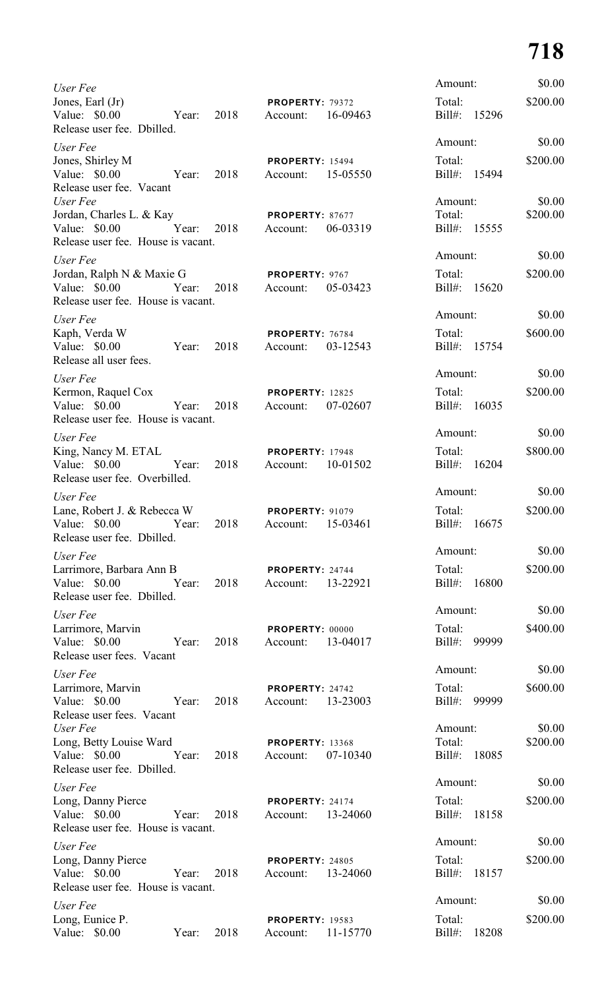| User Fee                                                                   |       |      |                                    |          | Amount:                |       | \$0.00             |
|----------------------------------------------------------------------------|-------|------|------------------------------------|----------|------------------------|-------|--------------------|
| Jones, Earl (Jr)<br>Value: \$0.00<br>Release user fee. Dbilled.            | Year: | 2018 | <b>PROPERTY: 79372</b><br>Account: | 16-09463 | Total:<br>Bill#: 15296 |       | \$200.00           |
| User Fee                                                                   |       |      |                                    |          | Amount:                |       | \$0.00             |
| Jones, Shirley M<br>Value: \$0.00<br>Release user fee. Vacant              | Year: | 2018 | <b>PROPERTY: 15494</b><br>Account: | 15-05550 | Total:<br>Bill#: 15494 |       | \$200.00           |
| User Fee<br>Jordan, Charles L. & Kay                                       |       |      | <b>PROPERTY: 87677</b>             |          | Amount:<br>Total:      |       | \$0.00<br>\$200.00 |
| Value: \$0.00<br>Release user fee. House is vacant.                        | Year: | 2018 | Account:                           | 06-03319 | Bill#: 15555           |       |                    |
| User Fee                                                                   |       |      |                                    |          | Amount:                |       | \$0.00             |
| Jordan, Ralph N & Maxie G                                                  |       |      | <b>PROPERTY: 9767</b>              |          | Total:                 |       | \$200.00           |
| Value: \$0.00<br>Release user fee. House is vacant.                        | Year: | 2018 | Account:                           | 05-03423 | Bill#: 15620           |       |                    |
| User Fee                                                                   |       |      |                                    |          | Amount:                |       | \$0.00             |
| Kaph, Verda W<br>Value: \$0.00<br>Release all user fees.                   | Year: | 2018 | <b>PROPERTY: 76784</b><br>Account: | 03-12543 | Total:<br>Bill#: 15754 |       | \$600.00           |
| User Fee                                                                   |       |      |                                    |          | Amount:                |       | \$0.00             |
| Kermon, Raquel Cox                                                         |       |      | <b>PROPERTY: 12825</b>             |          | Total:                 |       | \$200.00           |
| Value: \$0.00<br>Release user fee. House is vacant.                        | Year: | 2018 | Account:                           | 07-02607 | Bill#: 16035           |       |                    |
| User Fee                                                                   |       |      |                                    |          | Amount:                |       | \$0.00             |
| King, Nancy M. ETAL<br>Value: \$0.00                                       | Year: | 2018 | <b>PROPERTY: 17948</b><br>Account: | 10-01502 | Total:<br>Bill#: 16204 |       | \$800.00           |
| Release user fee. Overbilled.                                              |       |      |                                    |          |                        |       |                    |
| User Fee                                                                   |       |      |                                    |          | Amount:                |       | \$0.00             |
| Lane, Robert J. & Rebecca W<br>Value: \$0.00<br>Release user fee. Dbilled. | Year: | 2018 | <b>PROPERTY: 91079</b><br>Account: | 15-03461 | Total:<br>$Bill#$ :    | 16675 | \$200.00           |
| User Fee                                                                   |       |      |                                    |          | Amount:                |       | \$0.00             |
| Larrimore, Barbara Ann B<br>Value: \$0.00<br>Release user fee. Dbilled.    | Year: | 2018 | PROPERTY: 24744<br>Account:        | 13-22921 | Total:<br>Bill#: 16800 |       | \$200.00           |
|                                                                            |       |      |                                    |          | Amount:                |       | \$0.00             |
| User Fee<br>Larrimore, Marvin<br>Value: \$0.00                             | Year: | 2018 | <b>PROPERTY: 00000</b><br>Account: | 13-04017 | Total:<br>Bill#: 99999 |       | \$400.00           |
| Release user fees. Vacant                                                  |       |      |                                    |          |                        |       |                    |
| User Fee                                                                   |       |      |                                    |          | Amount:                |       | \$0.00             |
| Larrimore, Marvin<br>Value: $$0.00$<br>Release user fees. Vacant           | Year: | 2018 | PROPERTY: 24742<br>Account:        | 13-23003 | Total:<br>Bill#: 99999 |       | \$600.00           |
| User Fee                                                                   |       |      |                                    |          | Amount:                |       | \$0.00             |
| Long, Betty Louise Ward<br>Value: $$0.00$                                  | Year: | 2018 | <b>PROPERTY: 13368</b><br>Account: | 07-10340 | Total:<br>Bill#:       | 18085 | \$200.00           |
| Release user fee. Dbilled.                                                 |       |      |                                    |          |                        |       |                    |
| User Fee                                                                   |       |      |                                    |          | Amount:                |       | \$0.00             |
| Long, Danny Pierce<br>Value: $$0.00$<br>Release user fee. House is vacant. | Year: | 2018 | PROPERTY: 24174<br>Account:        | 13-24060 | Total:<br>$Bill#$ :    | 18158 | \$200.00           |
| User Fee                                                                   |       |      |                                    |          | Amount:                |       | \$0.00             |
| Long, Danny Pierce<br>Value: $$0.00$<br>Release user fee. House is vacant. | Year: | 2018 | <b>PROPERTY: 24805</b><br>Account: | 13-24060 | Total:<br>$Bill#$ :    | 18157 | \$200.00           |
| User Fee                                                                   |       |      |                                    |          | Amount:                |       | \$0.00             |
| Long, Eunice P.<br>Value: \$0.00                                           | Year: | 2018 | <b>PROPERTY: 19583</b><br>Account: | 11-15770 | Total:<br>$Bill#$ :    | 18208 | \$200.00           |
|                                                                            |       |      |                                    |          |                        |       |                    |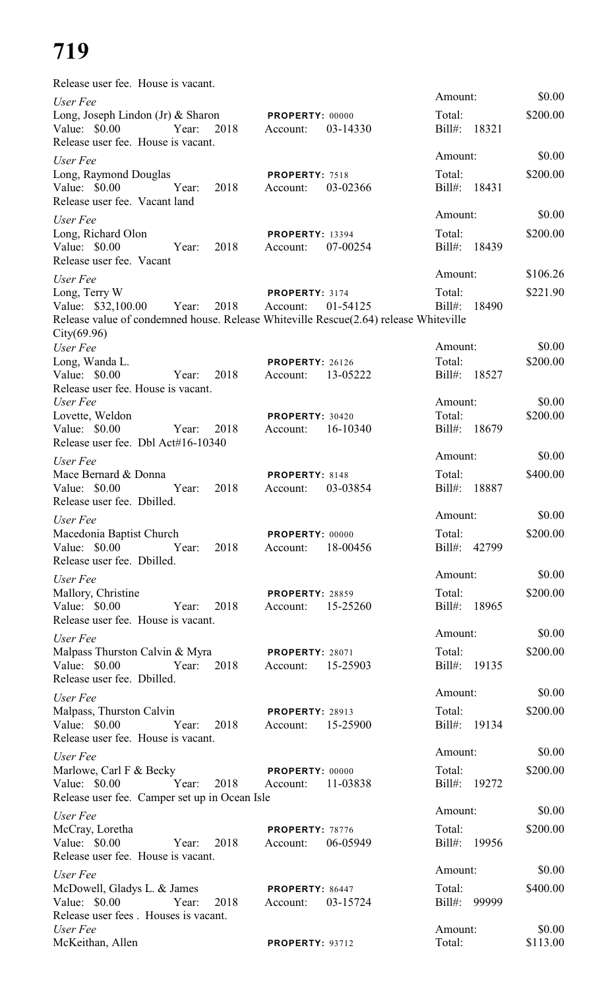| Release user fee. House is vacant.                                                   |                                                |                        |          |
|--------------------------------------------------------------------------------------|------------------------------------------------|------------------------|----------|
| User Fee                                                                             |                                                | Amount:                | \$0.00   |
| Long, Joseph Lindon (Jr) & Sharon<br>Value: \$0.00 Year:<br>2018                     | PROPERTY: 00000<br>03-14330<br>Account:        | Total:<br>Bill#: 18321 | \$200.00 |
| Release user fee. House is vacant.                                                   |                                                |                        | \$0.00   |
| User Fee                                                                             |                                                | Amount:                |          |
| Long, Raymond Douglas                                                                | PROPERTY: 7518                                 | Total:                 | \$200.00 |
| Value: \$0.00<br>2018<br>Year:<br>Release user fee. Vacant land                      | 03-02366<br>Account:                           | Bill#:<br>18431        |          |
|                                                                                      |                                                | Amount:                | \$0.00   |
| User Fee                                                                             |                                                |                        |          |
| Long, Richard Olon                                                                   | <b>PROPERTY: 13394</b>                         | Total:                 | \$200.00 |
| Value: \$0.00<br>2018<br>Year:<br>Release user fee. Vacant                           | 07-00254<br>Account:                           | $Bill#$ :<br>18439     |          |
|                                                                                      |                                                | Amount:                | \$106.26 |
| User Fee<br>Long, Terry W                                                            | PROPERTY: 3174                                 | Total:                 | \$221.90 |
| Value: \$32,100.00 Year:<br>2018                                                     | 01-54125<br>Account:                           | $Bill#$ :<br>18490     |          |
| Release value of condemned house. Release Whiteville Rescue(2.64) release Whiteville |                                                |                        |          |
| City(69.96)                                                                          |                                                |                        |          |
| User Fee                                                                             |                                                | Amount:                | \$0.00   |
| Long, Wanda L.                                                                       | <b>PROPERTY: 26126</b>                         | Total:                 | \$200.00 |
| Value: \$0.00<br>2018<br>Year:                                                       | 13-05222<br>Account:                           | Bill#: 18527           |          |
| Release user fee. House is vacant.                                                   |                                                |                        |          |
| User Fee                                                                             |                                                | Amount:                | \$0.00   |
| Lovette, Weldon                                                                      | PROPERTY: 30420                                | Total:                 | \$200.00 |
| Value: $$0.00$<br>2018<br>Year:                                                      | 16-10340<br>Account:                           | $Bill#$ :<br>18679     |          |
| Release user fee. Dbl Act#16-10340                                                   |                                                | Amount:                | \$0.00   |
| User Fee                                                                             |                                                |                        |          |
| Mace Bernard & Donna<br>2018                                                         | PROPERTY: 8148                                 | Total:                 | \$400.00 |
| Value: $$0.00$<br>Year:<br>Release user fee. Dbilled.                                | 03-03854<br>Account:                           | $Bill#$ :<br>18887     |          |
|                                                                                      |                                                | Amount:                | \$0.00   |
| User Fee                                                                             |                                                |                        |          |
| Macedonia Baptist Church<br>Value: $$0.00$<br>2018<br>Year:                          | PROPERTY: 00000<br>18-00456<br>Account:        | Total:<br>Bill#: 42799 | \$200.00 |
| Release user fee. Dbilled.                                                           |                                                |                        |          |
|                                                                                      |                                                | Amount:                | \$0.00   |
| User Fee                                                                             |                                                | Total:                 | \$200.00 |
| Mallory, Christine<br>Value: \$0.00<br>Year:<br>2018                                 | <b>PROPERTY: 28859</b><br>15-25260<br>Account: | Bill#: 18965           |          |
| Release user fee. House is vacant.                                                   |                                                |                        |          |
|                                                                                      |                                                | Amount:                | \$0.00   |
| User Fee<br>Malpass Thurston Calvin & Myra                                           | <b>PROPERTY: 28071</b>                         | Total:                 | \$200.00 |
| Value: \$0.00<br>Year:<br>2018                                                       | 15-25903<br>Account:                           | Bill#: 19135           |          |
| Release user fee. Dbilled.                                                           |                                                |                        |          |
| User Fee                                                                             |                                                | Amount:                | \$0.00   |
| Malpass, Thurston Calvin                                                             | <b>PROPERTY: 28913</b>                         | Total:                 | \$200.00 |
| Value: \$0.00<br>Year:<br>2018                                                       | 15-25900<br>Account:                           | Bill#: 19134           |          |
| Release user fee. House is vacant.                                                   |                                                |                        |          |
| User Fee                                                                             |                                                | Amount:                | \$0.00   |
| Marlowe, Carl F & Becky                                                              | <b>PROPERTY: 00000</b>                         | Total:                 | \$200.00 |
| Year:<br>Value: \$0.00<br>2018                                                       | 11-03838<br>Account:                           | Bill#: 19272           |          |
| Release user fee. Camper set up in Ocean Isle                                        |                                                |                        |          |
| User Fee                                                                             |                                                | Amount:                | \$0.00   |
| McCray, Loretha                                                                      | PROPERTY: 78776                                | Total:                 | \$200.00 |
| Value: \$0.00<br>2018<br>Year:                                                       | 06-05949<br>Account:                           | Bill#: 19956           |          |
| Release user fee. House is vacant.                                                   |                                                |                        |          |
| User Fee                                                                             |                                                | Amount:                | \$0.00   |
| McDowell, Gladys L. & James                                                          | PROPERTY: 86447                                | Total:                 | \$400.00 |
| Value: \$0.00<br>2018<br>Year:                                                       | 03-15724<br>Account:                           | Bill#: 99999           |          |
| Release user fees. Houses is vacant.                                                 |                                                |                        |          |
| User Fee                                                                             |                                                | Amount:                | \$0.00   |
| McKeithan, Allen                                                                     | PROPERTY: 93712                                | Total:                 | \$113.00 |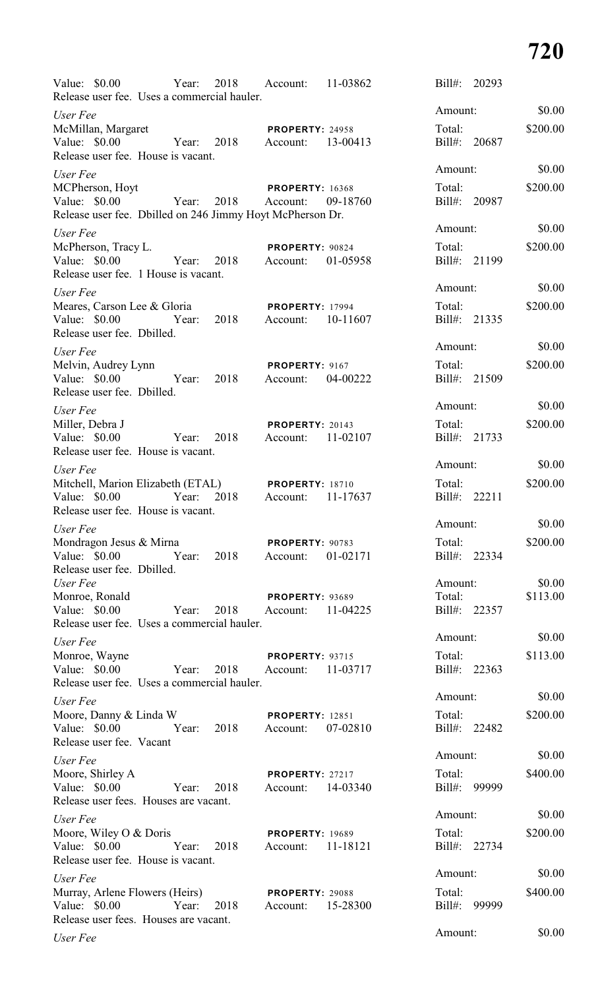| Value: $$0.00$                                                                                            | Year:      | 2018 | Account:                                    | 11-03862 | $Bill#$ :<br>20293     |          |
|-----------------------------------------------------------------------------------------------------------|------------|------|---------------------------------------------|----------|------------------------|----------|
| Release user fee. Uses a commercial hauler.<br>User Fee                                                   |            |      |                                             |          | Amount:                | \$0.00   |
| McMillan, Margaret<br>Value: \$0.00<br>Release user fee. House is vacant.                                 | Year:      | 2018 | <b>PROPERTY: 24958</b><br>Account:          | 13-00413 | Total:<br>Bill#: 20687 | \$200.00 |
| User Fee                                                                                                  |            |      |                                             |          | Amount:                | \$0.00   |
| MCPherson, Hoyt<br>Value: $$0.00$<br>Release user fee. Dbilled on 246 Jimmy Hoyt McPherson Dr.            | Year: 2018 |      | <b>PROPERTY: 16368</b><br>Account:          | 09-18760 | Total:<br>Bill#: 20987 | \$200.00 |
| User Fee                                                                                                  |            |      |                                             |          | Amount:                | \$0.00   |
| McPherson, Tracy L.<br>Value: $$0.00$<br>Release user fee. 1 House is vacant.                             | Year:      | 2018 | PROPERTY: 90824<br>Account:                 | 01-05958 | Total:<br>Bill#: 21199 | \$200.00 |
| User Fee                                                                                                  |            |      |                                             |          | Amount:                | \$0.00   |
| Meares, Carson Lee & Gloria<br>Value: $$0.00$<br>Release user fee. Dbilled.                               | Year:      | 2018 | <b>PROPERTY: 17994</b><br>Account:          | 10-11607 | Total:<br>Bill#: 21335 | \$200.00 |
| User Fee                                                                                                  |            |      |                                             |          | Amount:                | \$0.00   |
| Melvin, Audrey Lynn<br>Value: $$0.00$<br>Release user fee. Dbilled.                                       | Year:      | 2018 | PROPERTY: 9167<br>Account:                  | 04-00222 | Total:<br>Bill#: 21509 | \$200.00 |
| User Fee                                                                                                  |            |      |                                             |          | Amount:                | \$0.00   |
| Miller, Debra J<br>Value: \$0.00<br>Release user fee. House is vacant.                                    | Year:      | 2018 | <b>PROPERTY: 20143</b><br>Account:          | 11-02107 | Total:<br>Bill#: 21733 | \$200.00 |
| User Fee                                                                                                  |            |      |                                             |          | Amount:                | \$0.00   |
| Mitchell, Marion Elizabeth (ETAL) PROPERTY: 18710<br>Value: $$0.00$<br>Release user fee. House is vacant. | Year:      | 2018 | Account:                                    | 11-17637 | Total:<br>Bill#: 22211 | \$200.00 |
| User Fee                                                                                                  |            |      |                                             |          | Amount:                | \$0.00   |
| Mondragon Jesus & Mirna<br>Value: \$0.00 Year:<br>Release user fee. Dbilled.                              |            | 2018 | PROPERTY: 90783<br>Account:                 | 01-02171 | Total:<br>Bill#: 22334 | \$200.00 |
| User Fee                                                                                                  |            |      |                                             |          | Amount:                | \$0.00   |
| Monroe, Ronald<br>Value: \$0.00<br>Release user fee. Uses a commercial hauler.                            | Year:      | 2018 | <b>PROPERTY: 93689</b><br>Account:          | 11-04225 | Total:<br>Bill#: 22357 | \$113.00 |
| User Fee                                                                                                  |            |      |                                             |          | Amount:                | \$0.00   |
| Monroe, Wayne<br>Value: $$0.00$<br>Release user fee. Uses a commercial hauler.                            | Year:      | 2018 | <b>PROPERTY: 93715</b><br>Account: 11-03717 |          | Total:<br>Bill#: 22363 | \$113.00 |
| User Fee                                                                                                  |            |      |                                             |          | Amount:                | \$0.00   |
| Moore, Danny & Linda W<br>Value: \$0.00<br>Release user fee. Vacant                                       | Year:      | 2018 | <b>PROPERTY: 12851</b><br>Account:          | 07-02810 | Total:<br>Bill#: 22482 | \$200.00 |
| User Fee                                                                                                  |            |      |                                             |          | Amount:                | \$0.00   |
| Moore, Shirley A<br>Value: $$0.00$<br>Release user fees. Houses are vacant.                               | Year:      | 2018 | <b>PROPERTY: 27217</b><br>Account: 14-03340 |          | Total:<br>Bill#: 99999 | \$400.00 |
| User Fee                                                                                                  |            |      |                                             |          | Amount:                | \$0.00   |
| Moore, Wiley O & Doris<br>Value: $$0.00$<br>Release user fee. House is vacant.                            | Year:      | 2018 | <b>PROPERTY: 19689</b><br>Account: 11-18121 |          | Total:<br>Bill#: 22734 | \$200.00 |
| User Fee                                                                                                  |            |      |                                             |          | Amount:                | \$0.00   |
| Murray, Arlene Flowers (Heirs)<br>Value: \$0.00<br>Release user fees. Houses are vacant.                  | Year:      | 2018 | <b>PROPERTY: 29088</b><br>Account: 15-28300 |          | Total:<br>Bill#: 99999 | \$400.00 |
| User Fee                                                                                                  |            |      |                                             |          | Amount:                | \$0.00   |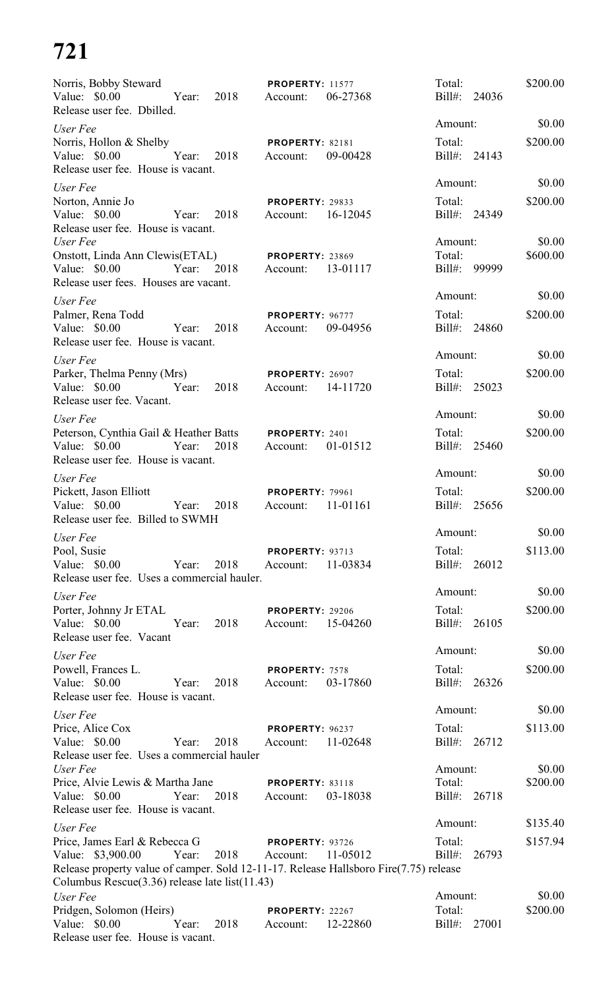| Norris, Bobby Steward                                                                                                    | <b>PROPERTY: 11577</b>                         | Total:                 | \$200.00           |
|--------------------------------------------------------------------------------------------------------------------------|------------------------------------------------|------------------------|--------------------|
| Year: 2018<br>Value: \$0.00<br>Release user fee. Dbilled.                                                                | 06-27368<br>Account:                           | Bill#: 24036           |                    |
| User Fee                                                                                                                 |                                                | Amount:                | \$0.00             |
| Norris, Hollon & Shelby<br>Value: \$0.00<br>Year:<br>2018<br>Release user fee. House is vacant.                          | <b>PROPERTY: 82181</b><br>09-00428<br>Account: | Total:<br>Bill#: 24143 | \$200.00           |
| User Fee                                                                                                                 |                                                | Amount:                | \$0.00             |
| Norton, Annie Jo<br>Year:<br>Value: \$0.00<br>2018<br>Release user fee. House is vacant.                                 | PROPERTY: 29833<br>16-12045<br>Account:        | Total:<br>Bill#: 24349 | \$200.00           |
| User Fee                                                                                                                 |                                                | Amount:                | \$0.00             |
| Onstott, Linda Ann Clewis(ETAL)                                                                                          | <b>PROPERTY: 23869</b>                         | Total:                 | \$600.00           |
| Value: \$0.00<br>Year:<br>2018<br>Release user fees. Houses are vacant.                                                  | 13-01117<br>Account:                           | Bill#: 99999           |                    |
| User Fee                                                                                                                 |                                                | Amount:                | \$0.00             |
| Palmer, Rena Todd<br>Value: \$0.00<br>Year:<br>2018<br>Release user fee. House is vacant.                                | PROPERTY: 96777<br>09-04956<br>Account:        | Total:<br>Bill#: 24860 | \$200.00           |
| User Fee                                                                                                                 |                                                | Amount:                | \$0.00             |
| Parker, Thelma Penny (Mrs)                                                                                               | <b>PROPERTY: 26907</b>                         | Total:                 | \$200.00           |
| Value: $$0.00$<br>2018<br>Year:<br>Release user fee. Vacant.                                                             | 14-11720<br>Account:                           | Bill#: 25023           |                    |
| User Fee                                                                                                                 |                                                | Amount:                | \$0.00             |
| Peterson, Cynthia Gail & Heather Batts                                                                                   | PROPERTY: 2401                                 | Total:                 | \$200.00           |
| Value: \$0.00<br>Year:<br>2018<br>Release user fee. House is vacant.                                                     | 01-01512<br>Account:                           | Bill#: 25460           |                    |
| User Fee                                                                                                                 |                                                | Amount:                | \$0.00             |
| Pickett, Jason Elliott<br>Value: \$0.00<br>Year:<br>2018<br>Release user fee. Billed to SWMH                             | <b>PROPERTY: 79961</b><br>11-01161<br>Account: | Total:<br>Bill#: 25656 | \$200.00           |
| User Fee                                                                                                                 |                                                | Amount:                | \$0.00             |
| Pool, Susie                                                                                                              | <b>PROPERTY: 93713</b>                         | Total:                 | \$113.00           |
| Value: $$0.00$<br>Year:<br>2018<br>Release user fee. Uses a commercial hauler.                                           | 11-03834<br>Account:                           | Bill#: 26012           |                    |
| User Fee                                                                                                                 |                                                | Amount:                | \$0.00             |
| Porter, Johnny Jr ETAL<br>Value: \$0.00<br>2018<br>Year:<br>Release user fee. Vacant                                     | <b>PROPERTY: 29206</b><br>15-04260<br>Account: | Total:<br>Bill#: 26105 | \$200.00           |
| User Fee                                                                                                                 |                                                | Amount:                | \$0.00             |
| Powell, Frances L.                                                                                                       | PROPERTY: 7578                                 | Total:                 | \$200.00           |
| 2018<br>Value: $$0.00$<br>Year:<br>Release user fee. House is vacant.                                                    | 03-17860<br>Account:                           | Bill#: 26326           |                    |
| User Fee                                                                                                                 |                                                | Amount:                | \$0.00             |
| Price, Alice Cox<br>Value: \$0.00<br>Year:<br>2018                                                                       | PROPERTY: 96237<br>Account:<br>11-02648        | Total:<br>Bill#: 26712 | \$113.00           |
| Release user fee. Uses a commercial hauler<br>User Fee                                                                   |                                                | Amount:                | \$0.00             |
| Price, Alvie Lewis & Martha Jane                                                                                         | <b>PROPERTY: 83118</b>                         | Total:                 | \$200.00           |
| 2018<br>Value: \$0.00<br>Year:<br>Release user fee. House is vacant.                                                     | 03-18038<br>Account:                           | Bill#: 26718           |                    |
| User Fee                                                                                                                 |                                                | Amount:                | \$135.40           |
| Price, James Earl & Rebecca G                                                                                            | PROPERTY: 93726                                | Total:                 | \$157.94           |
| Value: \$3,900.00 Year:<br>2018<br>Release property value of camper. Sold 12-11-17. Release Hallsboro Fire(7.75) release | Account:<br>11-05012                           | $Bill#$ :<br>26793     |                    |
| Columbus Rescue(3.36) release late list(11.43)                                                                           |                                                |                        |                    |
| User Fee<br>Pridgen, Solomon (Heirs)                                                                                     | PROPERTY: 22267                                | Amount:<br>Total:      | \$0.00<br>\$200.00 |
| Year:<br>Value: \$0.00<br>2018<br>Release user fee. House is vacant.                                                     | Account:<br>12-22860                           | Bill#:<br>27001        |                    |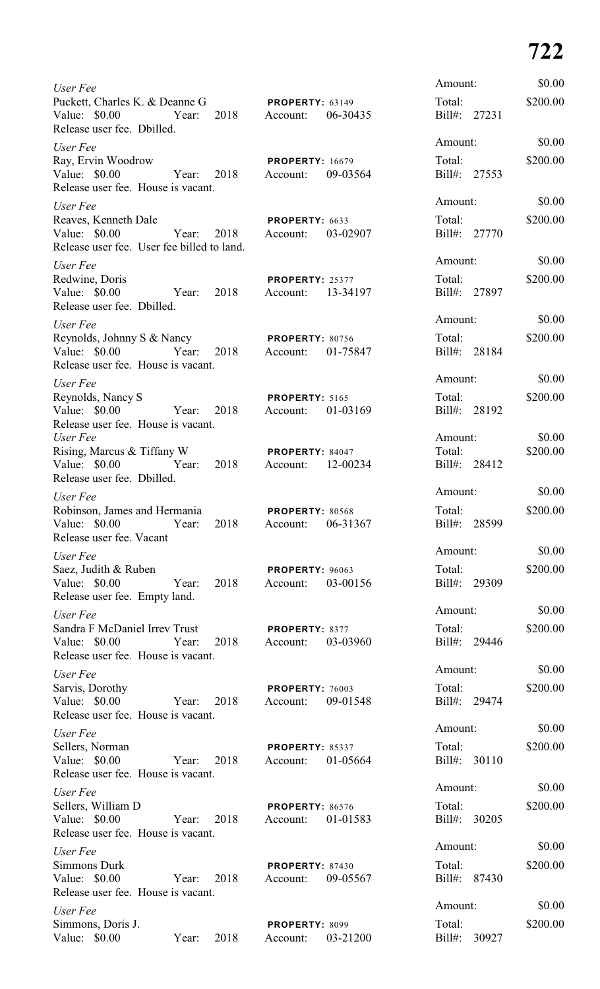| User Fee                                                                                |       |      |                                    |          | Amount:             |              | \$0.00   |
|-----------------------------------------------------------------------------------------|-------|------|------------------------------------|----------|---------------------|--------------|----------|
| Puckett, Charles K. & Deanne G<br>Value: $$0.00$<br>Release user fee. Dbilled.          | Year: | 2018 | PROPERTY: 63149<br>Account:        | 06-30435 | Total:              | Bill#: 27231 | \$200.00 |
| User Fee                                                                                |       |      |                                    |          | Amount:             |              | \$0.00   |
| Ray, Ervin Woodrow<br>Value: \$0.00<br>Release user fee. House is vacant.               | Year: | 2018 | <b>PROPERTY: 16679</b><br>Account: | 09-03564 | Total:              | Bill#: 27553 | \$200.00 |
| User Fee                                                                                |       |      |                                    |          | Amount:             |              | \$0.00   |
| Reaves, Kenneth Dale<br>Value: \$0.00<br>Release user fee. User fee billed to land.     | Year: | 2018 | PROPERTY: 6633<br>Account:         | 03-02907 | Total:              | Bill#: 27770 | \$200.00 |
| User Fee                                                                                |       |      |                                    |          | Amount:             |              | \$0.00   |
| Redwine, Doris<br>Value: \$0.00<br>Release user fee. Dbilled.                           | Year: | 2018 | PROPERTY: 25377<br>Account:        | 13-34197 | Total:              | Bill#: 27897 | \$200.00 |
| User Fee                                                                                |       |      |                                    |          | Amount:             |              | \$0.00   |
| Reynolds, Johnny S & Nancy<br>Value: \$0.00 Year:<br>Release user fee. House is vacant. |       | 2018 | <b>PROPERTY: 80756</b><br>Account: | 01-75847 | Total:              | Bill#: 28184 | \$200.00 |
| User Fee                                                                                |       |      |                                    |          | Amount:             |              | \$0.00   |
| Reynolds, Nancy S<br>Value: \$0.00<br>Year:<br>Release user fee. House is vacant.       |       | 2018 | PROPERTY: 5165<br>Account:         | 01-03169 | Total:              | Bill#: 28192 | \$200.00 |
| User Fee                                                                                |       |      |                                    |          | Amount:             |              | \$0.00   |
| Rising, Marcus & Tiffany W                                                              |       |      | PROPERTY: 84047                    |          | Total:              |              | \$200.00 |
| Value: \$0.00<br>Release user fee. Dbilled.                                             | Year: | 2018 | Account:                           | 12-00234 |                     | Bill#: 28412 |          |
| User Fee                                                                                |       |      |                                    |          | Amount:             |              | \$0.00   |
| Robinson, James and Hermania<br>Value: \$0.00<br>Release user fee. Vacant               | Year: | 2018 | PROPERTY: 80568<br>Account:        | 06-31367 | Total:<br>$Bill#$ : | 28599        | \$200.00 |
| User Fee                                                                                |       |      |                                    |          | Amount:             |              | \$0.00   |
| Saez, Judith & Ruben<br>Value: \$0.00<br>Release user fee. Empty land.                  | Year: | 2018 | PROPERTY: 96063<br>Account:        | 03-00156 | Total:<br>Bill#:    | 29309        | \$200.00 |
| User Fee                                                                                |       |      |                                    |          | Amount:             |              | \$0.00   |
| Sandra F McDaniel Irrev Trust<br>Value: \$0.00<br>Release user fee. House is vacant.    | Year: | 2018 | PROPERTY: 8377<br>Account:         | 03-03960 | Total:              | Bill#: 29446 | \$200.00 |
| User Fee                                                                                |       |      |                                    |          | Amount:             |              | \$0.00   |
| Sarvis, Dorothy<br>Value: \$0.00                                                        | Year: | 2018 | PROPERTY: 76003<br>Account:        | 09-01548 | Total:              | Bill#: 29474 | \$200.00 |
| Release user fee. House is vacant.                                                      |       |      |                                    |          | Amount:             |              | \$0.00   |
| User Fee<br>Sellers, Norman<br>Value: $$0.00$                                           | Year: | 2018 | PROPERTY: 85337<br>Account:        | 01-05664 | Total:<br>Bill#:    | 30110        | \$200.00 |
| Release user fee. House is vacant.                                                      |       |      |                                    |          | Amount:             |              | \$0.00   |
| User Fee<br>Sellers, William D                                                          |       |      | PROPERTY: 86576                    |          | Total:              |              | \$200.00 |
| Value: $$0.00$<br>Release user fee. House is vacant.                                    | Year: | 2018 | Account:                           | 01-01583 | Bill#:              | 30205        |          |
| User Fee                                                                                |       |      |                                    |          | Amount:             |              | \$0.00   |
| <b>Simmons Durk</b><br>Value: \$0.00<br>Release user fee. House is vacant.              | Year: | 2018 | PROPERTY: 87430<br>Account:        | 09-05567 | Total:<br>$Bill#$ : | 87430        | \$200.00 |
| User Fee                                                                                |       |      |                                    |          | Amount:             |              | \$0.00   |
| Simmons, Doris J.<br>Value: \$0.00                                                      | Year: | 2018 | PROPERTY: 8099<br>Account:         | 03-21200 | Total:<br>$Bill#$ : | 30927        | \$200.00 |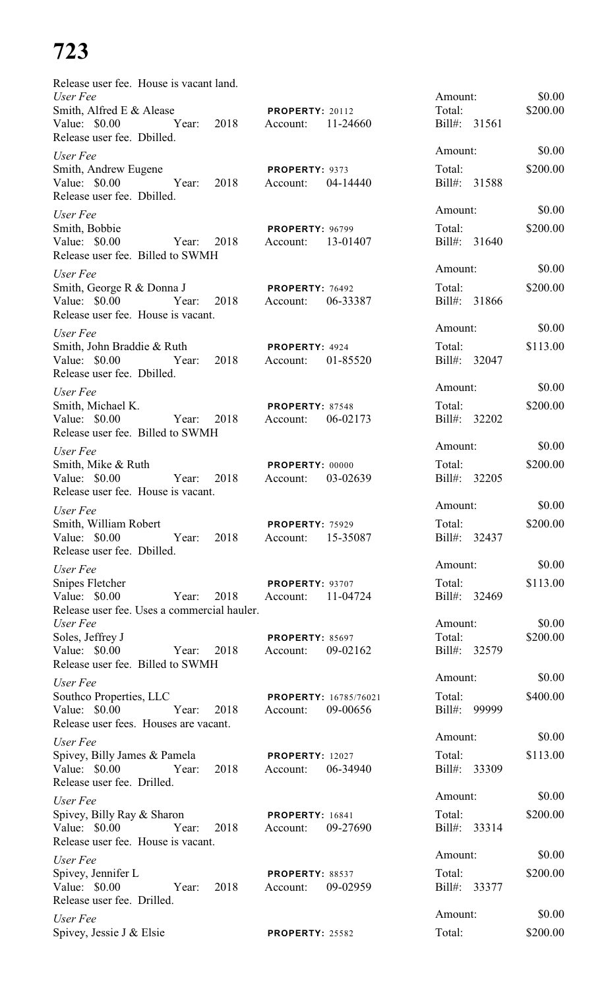| Release user fee. House is vacant land.<br>User Fee                                                         |                                                | Amount:                | \$0.00             |
|-------------------------------------------------------------------------------------------------------------|------------------------------------------------|------------------------|--------------------|
| Smith, Alfred E & Alease                                                                                    | <b>PROPERTY: 20112</b>                         | Total:                 | \$200.00           |
| Release user fee. Dbilled.                                                                                  |                                                | Bill#: 31561           |                    |
| User Fee                                                                                                    |                                                | Amount:                | \$0.00             |
| Smith, Andrew Eugene<br>Value: \$0.00 Year: 2018<br>Release user fee. Dbilled.                              | <b>PROPERTY: 9373</b><br>Account: 04-14440     | Total:<br>Bill#: 31588 | \$200.00           |
| User Fee                                                                                                    |                                                | Amount:                | \$0.00             |
| Smith, Bobbie<br>Value: \$0.00 Year: 2018<br>Release user fee. Billed to SWMH                               | <b>PROPERTY: 96799</b><br>Account: 13-01407    | Total:<br>Bill#: 31640 | \$200.00           |
| User Fee                                                                                                    |                                                | Amount:                | \$0.00             |
| Smith, George R & Donna J<br>Release user fee. House is vacant.                                             | PROPERTY: 76492                                | Total:<br>Bill#: 31866 | \$200.00           |
| User Fee                                                                                                    |                                                | Amount:                | \$0.00             |
| Smith, John Braddie & Ruth <b>PROPERTY</b> : 4924<br>Value: \$0.00 Year: 2018<br>Release user fee. Dbilled. | Account: 01-85520                              | Total:<br>Bill#: 32047 | \$113.00           |
| User Fee                                                                                                    |                                                | Amount:                | \$0.00             |
| Smith, Michael K.<br>Value: \$0.00 Year: 2018<br>Release user fee. Billed to SWMH                           | PROPERTY: 87548<br>Account: 06-02173           | Total:<br>Bill#: 32202 | \$200.00           |
| User Fee                                                                                                    |                                                | Amount:                | \$0.00             |
| Smith, Mike & Ruth                                                                                          | PROPERTY: 00000                                | Total:                 | \$200.00           |
| Value: \$0.00 Year: 2018<br>Release user fee. House is vacant.                                              | Account: 03-02639                              | Bill#: 32205           |                    |
| User Fee                                                                                                    |                                                | Amount:                | \$0.00             |
| Smith, William Robert<br>Value: $$0.00$<br>2018<br>Year:<br>Release user fee. Dbilled.                      | PROPERTY: 75929<br>15-35087<br>Account:        | Total:<br>Bill#: 32437 | \$200.00           |
| User Fee                                                                                                    |                                                | Amount:                | \$0.00             |
| <b>Snipes Fletcher</b>                                                                                      | PROPERTY: 93707                                | Total:                 | \$113.00           |
| Value: \$0.00<br>2018<br>Year:<br>Release user fee. Uses a commercial hauler.                               | 11-04724<br>Account:                           | Bill#: 32469           |                    |
| User Fee<br>Soles, Jeffrey J                                                                                | <b>PROPERTY: 85697</b>                         | Amount:<br>Total:      | \$0.00<br>\$200.00 |
| Value: \$0.00<br>2018<br>Year:<br>Release user fee. Billed to SWMH                                          | 09-02162<br>Account:                           | Bill#: 32579           |                    |
| User Fee                                                                                                    |                                                | Amount:                | \$0.00             |
| Southco Properties, LLC                                                                                     | <b>PROPERTY: 16785/76021</b>                   | Total:                 | \$400.00           |
| Value: \$0.00 Year:<br>2018<br>Release user fees. Houses are vacant.                                        | 09-00656<br>Account:                           | Bill#: 99999           |                    |
| User Fee                                                                                                    |                                                | Amount:                | \$0.00             |
| Spivey, Billy James & Pamela                                                                                | <b>PROPERTY: 12027</b>                         | Total:                 | \$113.00           |
| Value: \$0.00 Year:<br>2018<br>Release user fee. Drilled.                                                   | Account:<br>06-34940                           | Bill#: 33309           |                    |
| User Fee                                                                                                    |                                                | Amount:                | \$0.00             |
| Spivey, Billy Ray & Sharon<br>Value: \$0.00<br>2018<br>Year:<br>Release user fee. House is vacant.          | <b>PROPERTY: 16841</b><br>09-27690<br>Account: | Total:<br>Bill#: 33314 | \$200.00           |
| User Fee                                                                                                    |                                                | Amount:                | \$0.00             |
| Spivey, Jennifer L<br>Value: \$0.00<br>2018<br>Year:<br>Release user fee. Drilled.                          | <b>PROPERTY: 88537</b><br>Account:<br>09-02959 | Total:<br>Bill#: 33377 | \$200.00           |
| User Fee                                                                                                    |                                                | Amount:                | \$0.00             |
| Spivey, Jessie J & Elsie                                                                                    | <b>PROPERTY: 25582</b>                         | Total:                 | \$200.00           |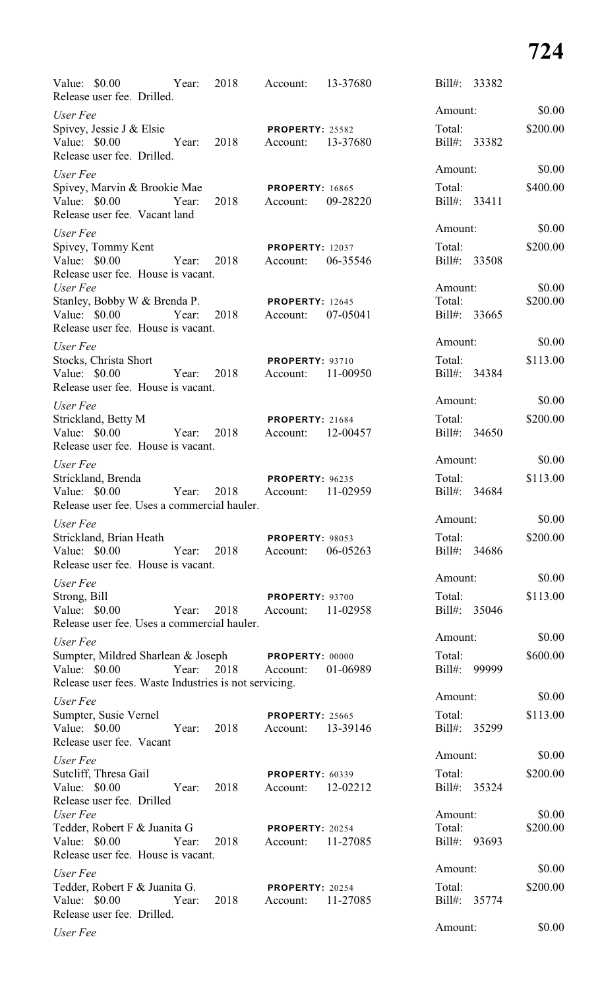| Value: \$0.00<br>Year:<br>Release user fee. Drilled.                               |       | 2018 | Account:                           | 13-37680 | Bill#: 33382           |                    |
|------------------------------------------------------------------------------------|-------|------|------------------------------------|----------|------------------------|--------------------|
| User Fee                                                                           |       |      |                                    |          | Amount:                | \$0.00             |
| Spivey, Jessie J & Elsie<br>Value: \$0.00                                          |       |      | <b>PROPERTY: 25582</b>             |          | Total:                 | \$200.00           |
| Release user fee. Drilled.                                                         | Year: | 2018 | Account:                           | 13-37680 | Bill#: 33382           |                    |
| User Fee                                                                           |       |      |                                    |          | Amount:                | \$0.00             |
| Spivey, Marvin & Brookie Mae<br>Value: \$0.00<br>Release user fee. Vacant land     | Year: | 2018 | <b>PROPERTY: 16865</b><br>Account: | 09-28220 | Total:<br>Bill#: 33411 | \$400.00           |
| User Fee                                                                           |       |      |                                    |          | Amount:                | \$0.00             |
| Spivey, Tommy Kent<br>Value: \$0.00<br>Release user fee. House is vacant.          | Year: | 2018 | <b>PROPERTY: 12037</b><br>Account: | 06-35546 | Total:<br>Bill#: 33508 | \$200.00           |
| User Fee<br>Stanley, Bobby W & Brenda P.                                           |       |      | <b>PROPERTY: 12645</b>             |          | Amount:<br>Total:      | \$0.00<br>\$200.00 |
| Value: \$0.00<br>Year:<br>Release user fee. House is vacant.                       |       | 2018 | Account:                           | 07-05041 | Bill#: 33665           |                    |
| User Fee                                                                           |       |      |                                    |          | Amount:                | \$0.00             |
| Stocks, Christa Short<br>Value: $$0.00$<br>Release user fee. House is vacant.      | Year: | 2018 | <b>PROPERTY: 93710</b><br>Account: | 11-00950 | Total:<br>Bill#: 34384 | \$113.00           |
|                                                                                    |       |      |                                    |          | Amount:                | \$0.00             |
| User Fee<br>Strickland, Betty M<br>Value: \$0.00                                   | Year: | 2018 | <b>PROPERTY: 21684</b><br>Account: | 12-00457 | Total:<br>Bill#: 34650 | \$200.00           |
| Release user fee. House is vacant.                                                 |       |      |                                    |          |                        |                    |
| User Fee                                                                           |       |      |                                    |          | Amount:                | \$0.00             |
| Strickland, Brenda<br>Value: \$0.00<br>Release user fee. Uses a commercial hauler. | Year: | 2018 | PROPERTY: 96235<br>Account:        | 11-02959 | Total:<br>Bill#: 34684 | \$113.00           |
| User Fee                                                                           |       |      |                                    |          | Amount:                | \$0.00             |
| Strickland, Brian Heath                                                            |       |      | <b>PROPERTY: 98053</b>             |          | Total:                 | \$200.00           |
| Value: $$0.00$<br>Release user fee. House is vacant.                               | Year: | 2018 | Account:                           | 06-05263 | Bill#: 34686           |                    |
| User Fee                                                                           |       |      |                                    |          | Amount:                | \$0.00             |
| Strong, Bill<br>Value: \$0.00<br>Release user fee. Uses a commercial hauler.       | Year: | 2018 | PROPERTY: 93700<br>Account:        | 11-02958 | Total:<br>Bill#: 35046 | \$113.00           |
| User Fee                                                                           |       |      |                                    |          | Amount:                | \$0.00             |
| Sumpter, Mildred Sharlean & Joseph PROPERTY: 00000<br>Value: \$0.00                | Year: | 2018 | Account:                           | 01-06989 | Total:<br>Bill#: 99999 | \$600.00           |
| Release user fees. Waste Industries is not servicing.                              |       |      |                                    |          | Amount:                | \$0.00             |
| User Fee<br>Sumpter, Susie Vernel                                                  |       |      | <b>PROPERTY: 25665</b>             |          | Total:                 | \$113.00           |
| Value: \$0.00<br>Release user fee. Vacant                                          | Year: | 2018 | Account:                           | 13-39146 | Bill#: 35299           |                    |
| User Fee                                                                           |       |      |                                    |          | Amount:                | \$0.00             |
| Sutcliff, Thresa Gail<br>Value: $$0.00$<br>Release user fee. Drilled               | Year: | 2018 | <b>PROPERTY: 60339</b><br>Account: | 12-02212 | Total:<br>Bill#: 35324 | \$200.00           |
| User Fee                                                                           |       |      |                                    |          | Amount:                | \$0.00             |
| Tedder, Robert F & Juanita G<br>Value: \$0.00                                      | Year: | 2018 | <b>PROPERTY: 20254</b><br>Account: | 11-27085 | Total:<br>Bill#: 93693 | \$200.00           |
| Release user fee. House is vacant.                                                 |       |      |                                    |          | Amount:                | \$0.00             |
| User Fee<br>Tedder, Robert F & Juanita G.                                          |       |      |                                    |          | Total:                 | \$200.00           |
| Value: \$0.00<br>Release user fee. Drilled.                                        | Year: | 2018 | <b>PROPERTY: 20254</b><br>Account: | 11-27085 | Bill#: 35774           |                    |
| UseFep                                                                             |       |      |                                    |          | Amount:                | \$0.00             |

*User Fee*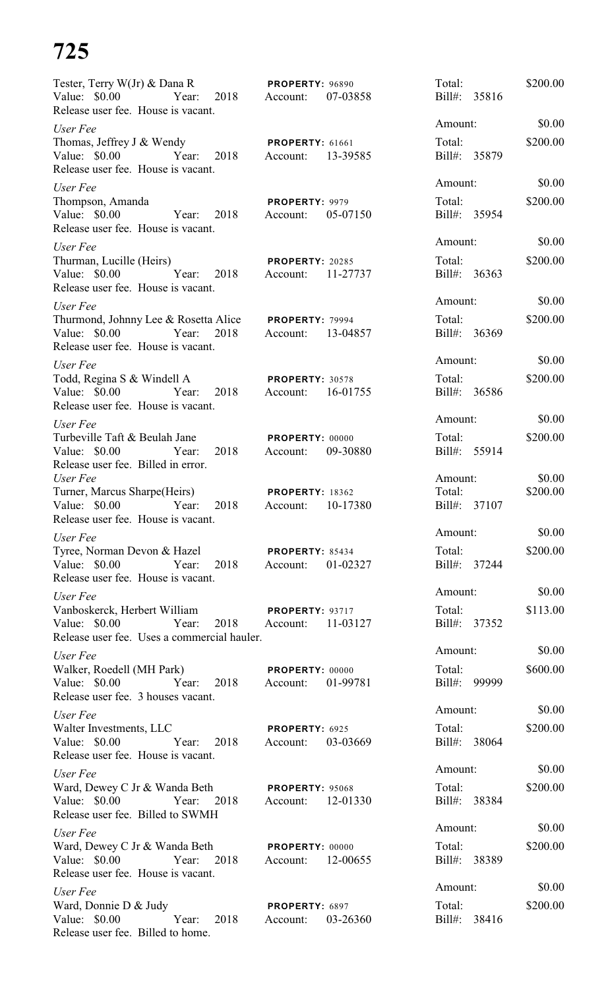| Tester, Terry W(Jr) & Dana R <b>PROPERTY</b> : 96890<br>Value: \$0.00 Year: 2018 Account:                                           |      |                                             | 07-03858 | Total:<br>Bill#: 35816            | \$200.00           |
|-------------------------------------------------------------------------------------------------------------------------------------|------|---------------------------------------------|----------|-----------------------------------|--------------------|
| Release user fee. House is vacant.                                                                                                  |      |                                             |          |                                   |                    |
| User Fee                                                                                                                            |      |                                             |          | Amount:                           | \$0.00             |
| Thomas, Jeffrey J & Wendy PROPERTY: 61661<br>Value: \$0.00 		 Year: 2018 		 Account: 13-39585<br>Release user fee. House is vacant. |      |                                             |          | Total:<br>Bill#: 35879            | \$200.00           |
| User Fee                                                                                                                            |      |                                             |          | Amount:                           | \$0.00             |
| Thompson, Amanda<br>Value: \$0.00 Year: 2018<br>Release user fee. House is vacant.                                                  |      | PROPERTY: 9979<br>Account: 05-07150         |          | Total:<br>Bill#: 35954            | \$200.00           |
| User Fee                                                                                                                            |      |                                             |          | Amount:                           | \$0.00             |
| Thurman, Lucille (Heirs) PROPERTY: 20285<br>Value: \$0.00 Year: 2018<br>Release user fee. House is vacant.                          |      | Account: 11-27737                           |          | Total:<br>Bill#: 36363            | \$200.00           |
| User Fee                                                                                                                            |      |                                             |          | Amount:                           | \$0.00             |
| Thurmond, Johnny Lee & Rosetta Alice PROPERTY: 79994<br>Value: \$0.00 Year: 2018<br>Release user fee. House is vacant.              |      | Account: 13-04857                           |          | Total:<br>Bill#: 36369            | \$200.00           |
| User Fee                                                                                                                            |      |                                             |          | Amount:                           | \$0.00             |
| Todd, Regina S & Windell A PROPERTY: 30578<br>Value: \$0.00 Year: 2018<br>Release user fee. House is vacant.                        |      | Account: 16-01755                           |          | Total:<br>Bill#: 36586            | \$200.00           |
| User Fee                                                                                                                            |      |                                             |          | Amount:                           | \$0.00             |
| Turbeville Taft & Beulah Jane<br>Value: \$0.00 Year:<br>Release user fee. Billed in error.                                          | 2018 | PROPERTY: 00000<br>Account: 09-30880        |          | Total:<br>Bill#: 55914            | \$200.00           |
| User Fee<br>Turner, Marcus Sharpe(Heirs)<br>Value: \$0.00 Year:<br>Release user fee. House is vacant.                               |      | <b>PROPERTY: 18362</b><br>2018 Account:     | 10-17380 | Amount:<br>Total:<br>Bill#: 37107 | \$0.00<br>\$200.00 |
| User Fee                                                                                                                            |      |                                             |          | Amount:                           | \$0.00             |
| Tyree, Norman Devon & Hazel<br>Value: \$0.00<br>Year:<br>Release user fee. House is vacant.                                         | 2018 | PROPERTY: 85434<br>Account:                 | 01-02327 | Total:<br>Bill#: 37244            | \$200.00           |
| User Fee                                                                                                                            |      |                                             |          | Amount:                           | \$0.00             |
| Vanboskerck, Herbert William<br>Value: $$0.00$<br>Year:<br>Release user fee. Uses a commercial hauler.                              | 2018 | <b>PROPERTY: 93717</b><br>Account:          | 11-03127 | Total:<br>Bill#: 37352            | \$113.00           |
| User Fee                                                                                                                            |      |                                             |          | Amount:                           | \$0.00             |
| Walker, Roedell (MH Park)<br>Value: \$0.00 Year:<br>Release user fee. 3 houses vacant.                                              | 2018 | PROPERTY: 00000<br>Account:                 | 01-99781 | Total:<br>Bill#: 99999            | \$600.00           |
| User Fee                                                                                                                            |      |                                             |          | Amount:                           | \$0.00             |
| Walter Investments, LLC<br>Value: \$0.00 Year:<br>Release user fee. House is vacant.                                                | 2018 | PROPERTY: 6925<br>Account:                  | 03-03669 | Total:<br>Bill#: 38064            | \$200.00           |
| User Fee                                                                                                                            |      |                                             |          | Amount:                           | \$0.00             |
| Ward, Dewey C Jr & Wanda Beth<br>Value: \$0.00<br>Year:<br>Release user fee. Billed to SWMH                                         | 2018 | <b>PROPERTY: 95068</b><br>Account:          | 12-01330 | Total:<br>Bill#: 38384            | \$200.00           |
| User Fee                                                                                                                            |      |                                             |          | Amount:                           | \$0.00             |
| Ward, Dewey C Jr & Wanda Beth<br>Value: \$0.00 Year: 2018<br>Release user fee. House is vacant.                                     |      | <b>PROPERTY: 00000</b><br>Account: 12-00655 |          | Total:<br>Bill#: 38389            | \$200.00           |
| User Fee                                                                                                                            |      |                                             |          | Amount:                           | \$0.00             |
| Ward, Donnie D & Judy<br>Value: \$0.00<br>Year:<br>Release user fee. Billed to home.                                                | 2018 | PROPERTY: 6897<br>Account:                  | 03-26360 | Total:<br>Bill#: 38416            | \$200.00           |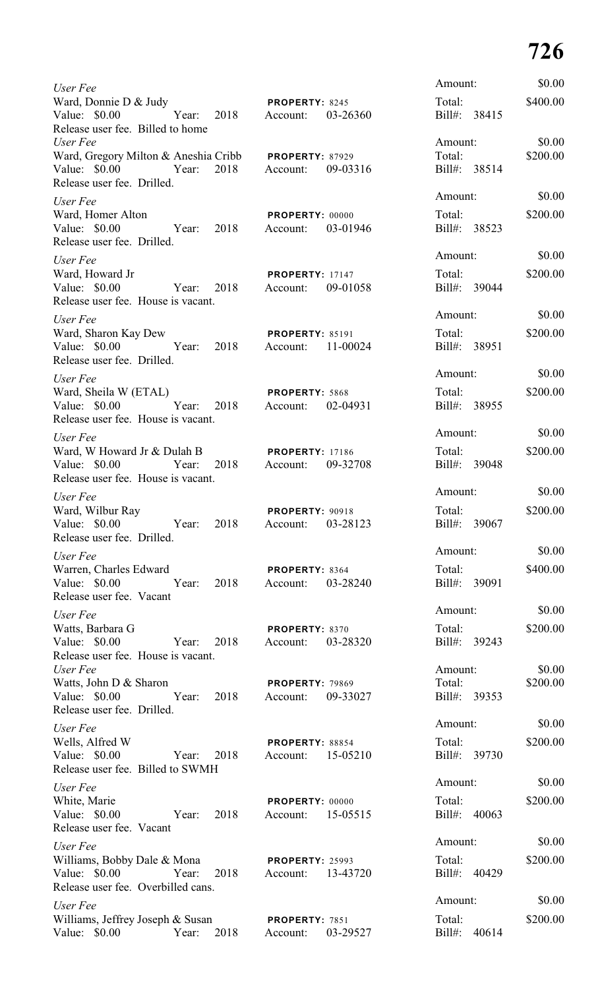| User Fee                                                                               |       |      |                                         |          | Amount:                           |       | \$0.00             |
|----------------------------------------------------------------------------------------|-------|------|-----------------------------------------|----------|-----------------------------------|-------|--------------------|
| Ward, Donnie D & Judy<br>Value: \$0.00<br>Release user fee. Billed to home<br>User Fee | Year: | 2018 | <b>PROPERTY: 8245</b><br>Account:       | 03-26360 | Total:<br>Bill#: 38415<br>Amount: |       | \$400.00<br>\$0.00 |
| Ward, Gregory Milton & Aneshia Cribb<br>Value: \$0.00<br>Release user fee. Drilled.    | Year: | 2018 | <b>PROPERTY: 87929</b><br>Account:      | 09-03316 | Total:<br>Bill#: 38514            |       | \$200.00           |
| User Fee                                                                               |       |      |                                         |          | Amount:                           |       | \$0.00             |
| Ward, Homer Alton<br>Value: $$0.00$<br>Release user fee. Drilled.                      | Year: | 2018 | <b>PROPERTY: 00000</b><br>Account:      | 03-01946 | Total:<br>Bill#: 38523            |       | \$200.00           |
| User Fee                                                                               |       |      |                                         |          | Amount:                           |       | \$0.00             |
| Ward, Howard Jr<br>Value: \$0.00<br>Release user fee. House is vacant.                 | Year: | 2018 | <b>PROPERTY: 17147</b><br>Account:      | 09-01058 | Total:<br>Bill#: 39044            |       | \$200.00           |
| User Fee                                                                               |       |      |                                         |          | Amount:                           |       | \$0.00             |
| Ward, Sharon Kay Dew<br>Value: \$0.00<br>Release user fee. Drilled.                    | Year: | 2018 | <b>PROPERTY: 85191</b><br>Account:      | 11-00024 | Total:<br>Bill#: 38951            |       | \$200.00           |
| User Fee                                                                               |       |      |                                         |          | Amount:                           |       | \$0.00             |
| Ward, Sheila W (ETAL)<br>Value: $$0.00$<br>Release user fee. House is vacant.          | Year: | 2018 | PROPERTY: 5868<br>Account:              | 02-04931 | Total:<br>Bill#: 38955            |       | \$200.00           |
| User Fee                                                                               |       |      |                                         |          | Amount:                           |       | \$0.00             |
| Ward, W Howard Jr & Dulah B<br>Value: $$0.00$<br>Release user fee. House is vacant.    | Year: |      | <b>PROPERTY: 17186</b><br>2018 Account: | 09-32708 | Total:<br>Bill#: 39048            |       | \$200.00           |
| User Fee                                                                               |       |      |                                         |          | Amount:                           |       | \$0.00             |
| Ward, Wilbur Ray<br>Value: $$0.00$<br>Release user fee. Drilled.                       | Year: | 2018 | PROPERTY: 90918<br>Account:             | 03-28123 | Total:<br>Bill#: 39067            |       | \$200.00           |
| User Fee                                                                               |       |      |                                         |          | Amount:                           |       | \$0.00             |
| Warren, Charles Edward<br>Value: $$0.00$<br>Release user fee. Vacant                   | Year: | 2018 | PROPERTY: 8364<br>Account:              | 03-28240 | Total:<br>Bill#: 39091            |       | \$400.00           |
| User Fee                                                                               |       |      |                                         |          | Amount:                           |       | \$0.00             |
| Watts, Barbara G<br>Value: \$0.00<br>Release user fee. House is vacant.                | Year: | 2018 | PROPERTY: 8370<br>Account:              | 03-28320 | Total:<br>Bill#: 39243            |       | \$200.00           |
| User Fee                                                                               |       |      |                                         |          | Amount:                           |       | \$0.00             |
| Watts, John D & Sharon<br>Value: $$0.00$<br>Release user fee. Drilled.                 | Year: | 2018 | <b>PROPERTY: 79869</b><br>Account:      | 09-33027 | Total:<br>Bill#: 39353            |       | \$200.00           |
| User Fee                                                                               |       |      |                                         |          | Amount:                           |       | \$0.00             |
| Wells, Alfred W<br>Value: \$0.00<br>Release user fee. Billed to SWMH                   | Year: | 2018 | PROPERTY: 88854<br>Account:             | 15-05210 | Total:<br>Bill#: 39730            |       | \$200.00           |
| User Fee                                                                               |       |      |                                         |          | Amount:                           |       | \$0.00             |
| White, Marie<br>Value: \$0.00<br>Release user fee. Vacant                              | Year: | 2018 | PROPERTY: 00000<br>Account:             | 15-05515 | Total:<br>Bill#: 40063            |       | \$200.00           |
| User Fee                                                                               |       |      |                                         |          | Amount:                           |       | \$0.00             |
| Williams, Bobby Dale & Mona<br>Value: $$0.00$<br>Release user fee. Overbilled cans.    | Year: | 2018 | <b>PROPERTY: 25993</b><br>Account:      | 13-43720 | Total:<br>Bill#: 40429            |       | \$200.00           |
| User Fee                                                                               |       |      |                                         |          | Amount:                           |       | \$0.00             |
| Williams, Jeffrey Joseph & Susan<br>Value: \$0.00                                      | Year: | 2018 | PROPERTY: 7851<br>Account:              | 03-29527 | Total:<br>$Bill#$ :               | 40614 | \$200.00           |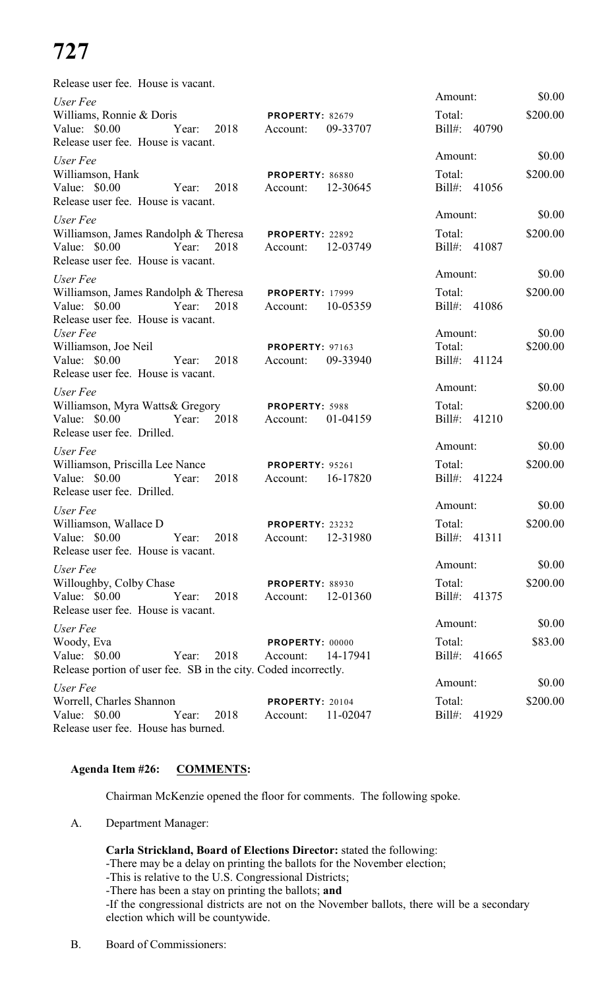| Release user fee. House is vacant.                              |       |      |                                    |          |         |              |          |
|-----------------------------------------------------------------|-------|------|------------------------------------|----------|---------|--------------|----------|
| User Fee                                                        |       |      |                                    |          | Amount: |              | \$0.00   |
| Williams, Ronnie & Doris<br>Value: \$0.00                       | Year: | 2018 | <b>PROPERTY: 82679</b><br>Account: | 09-33707 | Total:  | Bill#: 40790 | \$200.00 |
| Release user fee. House is vacant.                              |       |      |                                    |          |         |              |          |
| User Fee                                                        |       |      |                                    |          | Amount: |              | \$0.00   |
| Williamson, Hank                                                |       |      | PROPERTY: 86880                    |          | Total:  |              | \$200.00 |
| Value: \$0.00                                                   | Year: | 2018 | Account:                           | 12-30645 |         | Bill#: 41056 |          |
| Release user fee. House is vacant.                              |       |      |                                    |          |         |              |          |
| User Fee                                                        |       |      |                                    |          | Amount: |              | \$0.00   |
| Williamson, James Randolph & Theresa                            |       |      | PROPERTY: 22892                    |          | Total:  |              | \$200.00 |
| Value: \$0.00                                                   | Year: | 2018 | Account:                           | 12-03749 |         | Bill#: 41087 |          |
| Release user fee. House is vacant.                              |       |      |                                    |          |         |              |          |
| User Fee                                                        |       |      |                                    |          | Amount: |              | \$0.00   |
| Williamson, James Randolph & Theresa                            |       |      | <b>PROPERTY: 17999</b>             |          | Total:  |              | \$200.00 |
| Value: \$0.00<br>Release user fee. House is vacant.             | Year: | 2018 | Account:                           | 10-05359 |         | Bill#: 41086 |          |
| User Fee                                                        |       |      |                                    |          | Amount: |              | \$0.00   |
| Williamson, Joe Neil                                            |       |      | <b>PROPERTY: 97163</b>             |          | Total:  |              | \$200.00 |
| Value: \$0.00                                                   | Year: | 2018 | Account:                           | 09-33940 |         | Bill#: 41124 |          |
| Release user fee. House is vacant.                              |       |      |                                    |          |         |              |          |
| User Fee                                                        |       |      |                                    |          | Amount: |              | \$0.00   |
| Williamson, Myra Watts& Gregory                                 |       |      | PROPERTY: 5988                     |          | Total:  |              | \$200.00 |
| Value: $$0.00$                                                  | Year: | 2018 | Account:                           | 01-04159 |         | Bill#: 41210 |          |
| Release user fee. Drilled.                                      |       |      |                                    |          |         |              |          |
| User Fee                                                        |       |      |                                    |          | Amount: |              | \$0.00   |
| Williamson, Priscilla Lee Nance                                 |       |      | PROPERTY: 95261                    |          | Total:  |              | \$200.00 |
| Value: $$0.00$                                                  | Year: | 2018 | Account:                           | 16-17820 |         | Bill#: 41224 |          |
| Release user fee. Drilled.                                      |       |      |                                    |          | Amount: |              | \$0.00   |
| User Fee                                                        |       |      |                                    |          |         |              |          |
| Williamson, Wallace D<br>Value: \$0.00                          | Year: | 2018 | PROPERTY: 23232                    | 12-31980 | Total:  | Bill#: 41311 | \$200.00 |
| Release user fee. House is vacant.                              |       |      | Account:                           |          |         |              |          |
|                                                                 |       |      |                                    |          | Amount: |              | \$0.00   |
| User Fee<br>Willoughby, Colby Chase                             |       |      | <b>PROPERTY: 88930</b>             |          | Total:  |              | \$200.00 |
| Value: $$0.00$                                                  | Year: | 2018 | Account:                           | 12-01360 |         | Bill#: 41375 |          |
| Release user fee. House is vacant.                              |       |      |                                    |          |         |              |          |
| User Fee                                                        |       |      |                                    |          | Amount: |              | \$0.00   |
| Woody, Eva                                                      |       |      | PROPERTY: 00000                    |          | Total:  |              | \$83.00  |
| Value: $$0.00$                                                  | Year: | 2018 | Account:                           | 14-17941 | Bill#:  | 41665        |          |
| Release portion of user fee. SB in the city. Coded incorrectly. |       |      |                                    |          |         |              |          |
| User Fee                                                        |       |      |                                    |          | Amount: |              | \$0.00   |
| Worrell, Charles Shannon                                        |       |      | <b>PROPERTY: 20104</b>             |          | Total:  |              | \$200.00 |
| Value: $$0.00$                                                  | Year: | 2018 | Account:                           | 11-02047 | Bill#:  | 41929        |          |
| Release user fee. House has burned.                             |       |      |                                    |          |         |              |          |

### **Agenda Item #26: COMMENTS:**

Chairman McKenzie opened the floor for comments. The following spoke.

A. Department Manager:

**Carla Strickland, Board of Elections Director:** stated the following:

-There may be a delay on printing the ballots for the November election;

-This is relative to the U.S. Congressional Districts;

-There has been a stay on printing the ballots; **and**

-If the congressional districts are not on the November ballots, there will be a secondary election which will be countywide.

B. Board of Commissioners: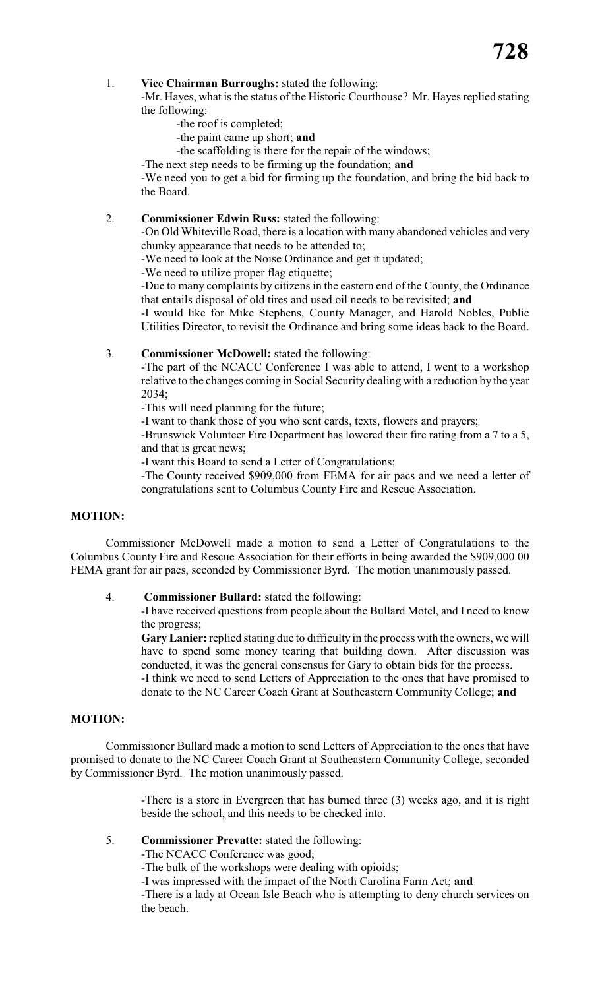#### 1. **Vice Chairman Burroughs:** stated the following:

-Mr. Hayes, what is the status of the Historic Courthouse? Mr. Hayes replied stating the following:

- -the roof is completed;
- -the paint came up short; **and**

-the scaffolding is there for the repair of the windows;

-The next step needs to be firming up the foundation; **and**

-We need you to get a bid for firming up the foundation, and bring the bid back to the Board.

#### 2. **Commissioner Edwin Russ:** stated the following:

-On Old Whiteville Road, there is a location with many abandoned vehicles and very chunky appearance that needs to be attended to;

-We need to look at the Noise Ordinance and get it updated;

-We need to utilize proper flag etiquette;

-Due to many complaints by citizens in the eastern end of the County, the Ordinance that entails disposal of old tires and used oil needs to be revisited; **and**

-I would like for Mike Stephens, County Manager, and Harold Nobles, Public Utilities Director, to revisit the Ordinance and bring some ideas back to the Board.

#### 3. **Commissioner McDowell:** stated the following:

-The part of the NCACC Conference I was able to attend, I went to a workshop relative to the changes coming in Social Security dealing with a reduction by the year 2034;

-This will need planning for the future;

-I want to thank those of you who sent cards, texts, flowers and prayers;

-Brunswick Volunteer Fire Department has lowered their fire rating from a 7 to a 5, and that is great news;

-I want this Board to send a Letter of Congratulations;

-The County received \$909,000 from FEMA for air pacs and we need a letter of congratulations sent to Columbus County Fire and Rescue Association.

#### **MOTION:**

Commissioner McDowell made a motion to send a Letter of Congratulations to the Columbus County Fire and Rescue Association for their efforts in being awarded the \$909,000.00 FEMA grant for air pacs, seconded by Commissioner Byrd. The motion unanimously passed.

#### 4. **Commissioner Bullard:** stated the following:

-I have received questions from people about the Bullard Motel, and I need to know the progress;

**Gary Lanier:** replied stating due to difficulty in the process with the owners, we will have to spend some money tearing that building down. After discussion was conducted, it was the general consensus for Gary to obtain bids for the process. -I think we need to send Letters of Appreciation to the ones that have promised to donate to the NC Career Coach Grant at Southeastern Community College; **and**

#### **MOTION:**

Commissioner Bullard made a motion to send Letters of Appreciation to the ones that have promised to donate to the NC Career Coach Grant at Southeastern Community College, seconded by Commissioner Byrd. The motion unanimously passed.

> -There is a store in Evergreen that has burned three (3) weeks ago, and it is right beside the school, and this needs to be checked into.

#### 5. **Commissioner Prevatte:** stated the following:

-The NCACC Conference was good;

-The bulk of the workshops were dealing with opioids;

-I was impressed with the impact of the North Carolina Farm Act; **and**

-There is a lady at Ocean Isle Beach who is attempting to deny church services on the beach.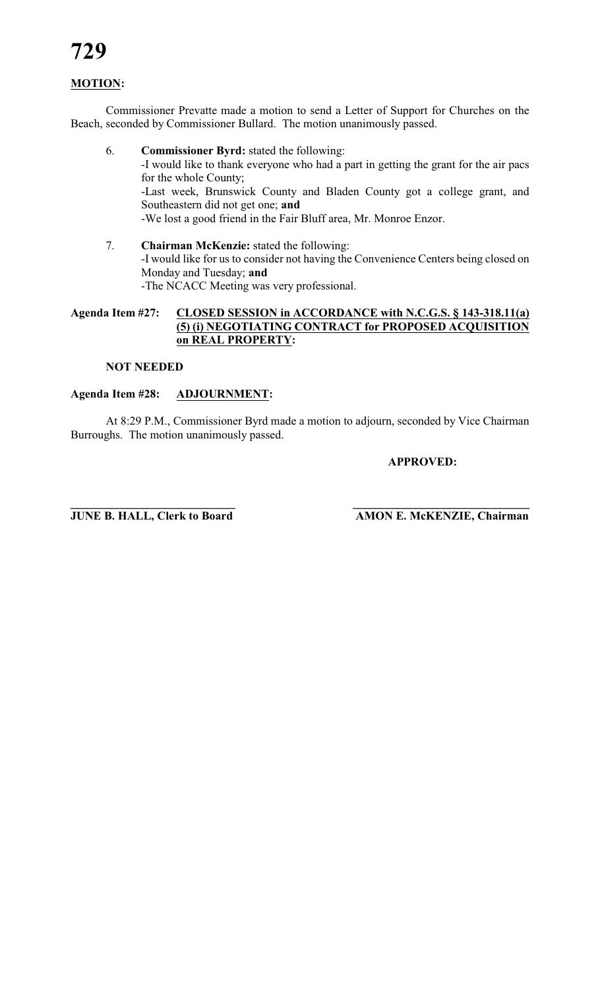### **MOTION:**

Commissioner Prevatte made a motion to send a Letter of Support for Churches on the Beach, seconded by Commissioner Bullard. The motion unanimously passed.

- 6. **Commissioner Byrd:** stated the following: -I would like to thank everyone who had a part in getting the grant for the air pacs for the whole County; -Last week, Brunswick County and Bladen County got a college grant, and Southeastern did not get one; **and** -We lost a good friend in the Fair Bluff area, Mr. Monroe Enzor.
- 7. **Chairman McKenzie:** stated the following: -I would like for us to consider not having the Convenience Centers being closed on Monday and Tuesday; **and** -The NCACC Meeting was very professional.

#### **Agenda Item #27: CLOSED SESSION in ACCORDANCE with N.C.G.S. § 143-318.11(a) (5) (i) NEGOTIATING CONTRACT for PROPOSED ACQUISITION on REAL PROPERTY:**

#### **NOT NEEDED**

#### **Agenda Item #28: ADJOURNMENT:**

At 8:29 P.M., Commissioner Byrd made a motion to adjourn, seconded by Vice Chairman Burroughs. The motion unanimously passed.

#### **APPROVED:**

**\_\_\_\_\_\_\_\_\_\_\_\_\_\_\_\_\_\_\_\_\_\_\_\_\_\_\_\_ \_\_\_\_\_\_\_\_\_\_\_\_\_\_\_\_\_\_\_\_\_\_\_\_\_\_\_\_\_\_\_ JUNE B. HALL, Clerk to Board AMON E. McKENZIE, Chairman**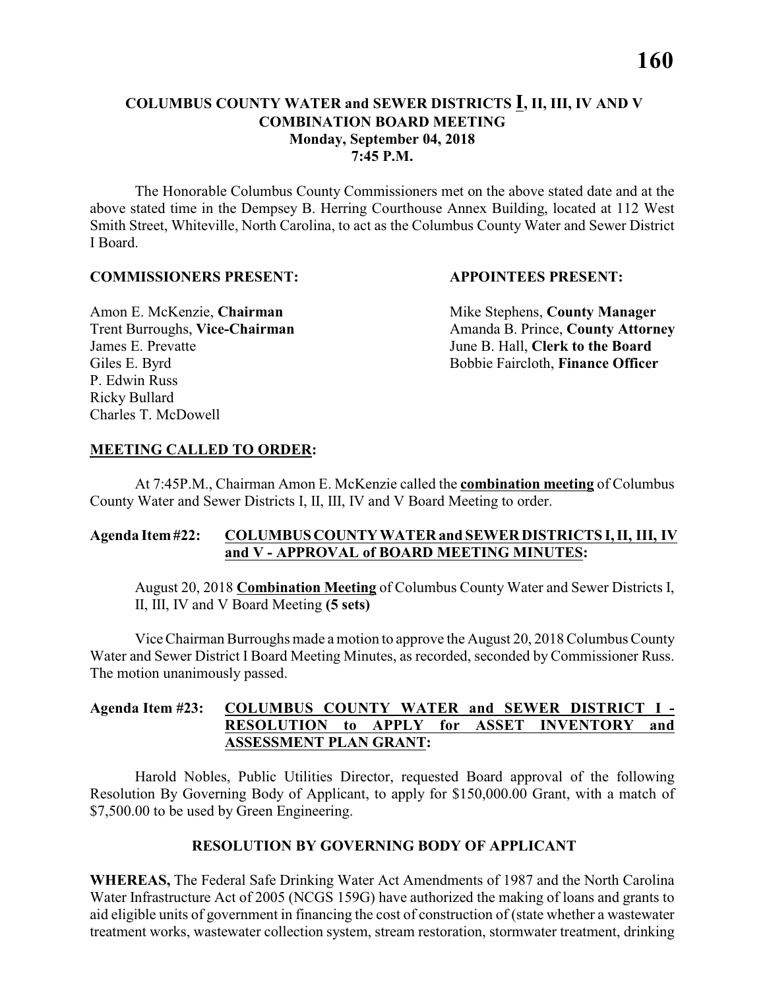#### **COLUMBUS COUNTY WATER and SEWER DISTRICTS I, II, III, IV AND V COMBINATION BOARD MEETING Monday, September 04, 2018 7:45 P.M.**

The Honorable Columbus County Commissioners met on the above stated date and at the above stated time in the Dempsey B. Herring Courthouse Annex Building, located at 112 West Smith Street, Whiteville, North Carolina, to act as the Columbus County Water and Sewer District I Board.

#### **COMMISSIONERS PRESENT: APPOINTEES PRESENT:**

James E. Prevatte June B. Hall, **Clerk to the Board** P. Edwin Russ Ricky Bullard Charles T. McDowell

Amon E. McKenzie, **Chairman** Mike Stephens, **County Manager** Trent Burroughs, Vice-Chairman Amanda B. Prince, County Attorney Giles E. Byrd **Bobbie Faircloth, Finance Officer** 

#### **MEETING CALLED TO ORDER:**

At 7:45P.M., Chairman Amon E. McKenzie called the **combination meeting** of Columbus County Water and Sewer Districts I, II, III, IV and V Board Meeting to order.

#### **Agenda Item #22: COLUMBUS COUNTY WATER and SEWER DISTRICTS I, II, III, IV and V - APPROVAL of BOARD MEETING MINUTES:**

August 20, 2018 **Combination Meeting** of Columbus County Water and Sewer Districts I, II, III, IV and V Board Meeting **(5 sets)**

Vice Chairman Burroughs made a motion to approve the August 20, 2018 Columbus County Water and Sewer District I Board Meeting Minutes, as recorded, seconded by Commissioner Russ. The motion unanimously passed.

#### **Agenda Item #23: COLUMBUS COUNTY WATER and SEWER DISTRICT I - RESOLUTION to APPLY for ASSET INVENTORY and ASSESSMENT PLAN GRANT:**

Harold Nobles, Public Utilities Director, requested Board approval of the following Resolution By Governing Body of Applicant, to apply for \$150,000.00 Grant, with a match of \$7,500.00 to be used by Green Engineering.

#### **RESOLUTION BY GOVERNING BODY OF APPLICANT**

**WHEREAS,** The Federal Safe Drinking Water Act Amendments of 1987 and the North Carolina Water Infrastructure Act of 2005 (NCGS 159G) have authorized the making of loans and grants to aid eligible units of government in financing the cost of construction of (state whether a wastewater treatment works, wastewater collection system, stream restoration, stormwater treatment, drinking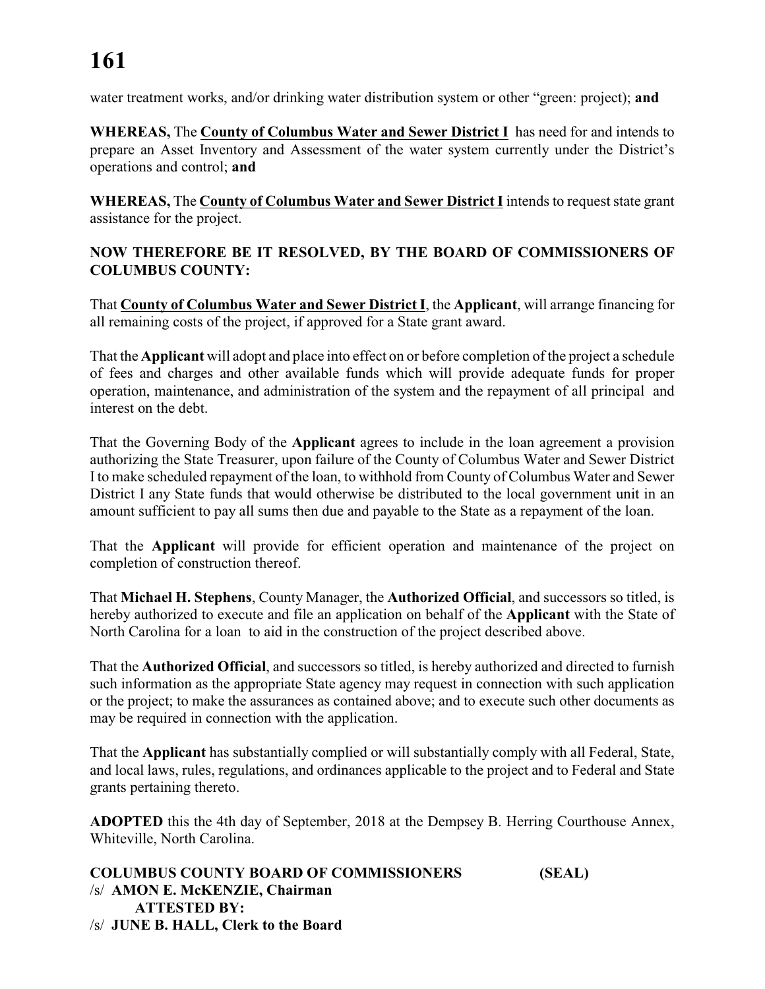water treatment works, and/or drinking water distribution system or other "green: project); **and**

**WHEREAS,** The **County of Columbus Water and Sewer District I** has need for and intends to prepare an Asset Inventory and Assessment of the water system currently under the District's operations and control; **and**

**WHEREAS,** The **County of Columbus Water and Sewer District I** intends to request state grant assistance for the project.

#### **NOW THEREFORE BE IT RESOLVED, BY THE BOARD OF COMMISSIONERS OF COLUMBUS COUNTY:**

That **County of Columbus Water and Sewer District I**, the **Applicant**, will arrange financing for all remaining costs of the project, if approved for a State grant award.

That the **Applicant** will adopt and place into effect on or before completion of the project a schedule of fees and charges and other available funds which will provide adequate funds for proper operation, maintenance, and administration of the system and the repayment of all principal and interest on the debt.

That the Governing Body of the **Applicant** agrees to include in the loan agreement a provision authorizing the State Treasurer, upon failure of the County of Columbus Water and Sewer District I to make scheduled repayment of the loan, to withhold from County of Columbus Water and Sewer District I any State funds that would otherwise be distributed to the local government unit in an amount sufficient to pay all sums then due and payable to the State as a repayment of the loan.

That the **Applicant** will provide for efficient operation and maintenance of the project on completion of construction thereof.

That **Michael H. Stephens**, County Manager, the **Authorized Official**, and successors so titled, is hereby authorized to execute and file an application on behalf of the **Applicant** with the State of North Carolina for a loan to aid in the construction of the project described above.

That the **Authorized Official**, and successors so titled, is hereby authorized and directed to furnish such information as the appropriate State agency may request in connection with such application or the project; to make the assurances as contained above; and to execute such other documents as may be required in connection with the application.

That the **Applicant** has substantially complied or will substantially comply with all Federal, State, and local laws, rules, regulations, and ordinances applicable to the project and to Federal and State grants pertaining thereto.

**ADOPTED** this the 4th day of September, 2018 at the Dempsey B. Herring Courthouse Annex, Whiteville, North Carolina.

```
COLUMBUS COUNTY BOARD OF COMMISSIONERS (SEAL)
/s/ AMON E. McKENZIE, Chairman
     ATTESTED BY:
/s/ JUNE B. HALL, Clerk to the Board
```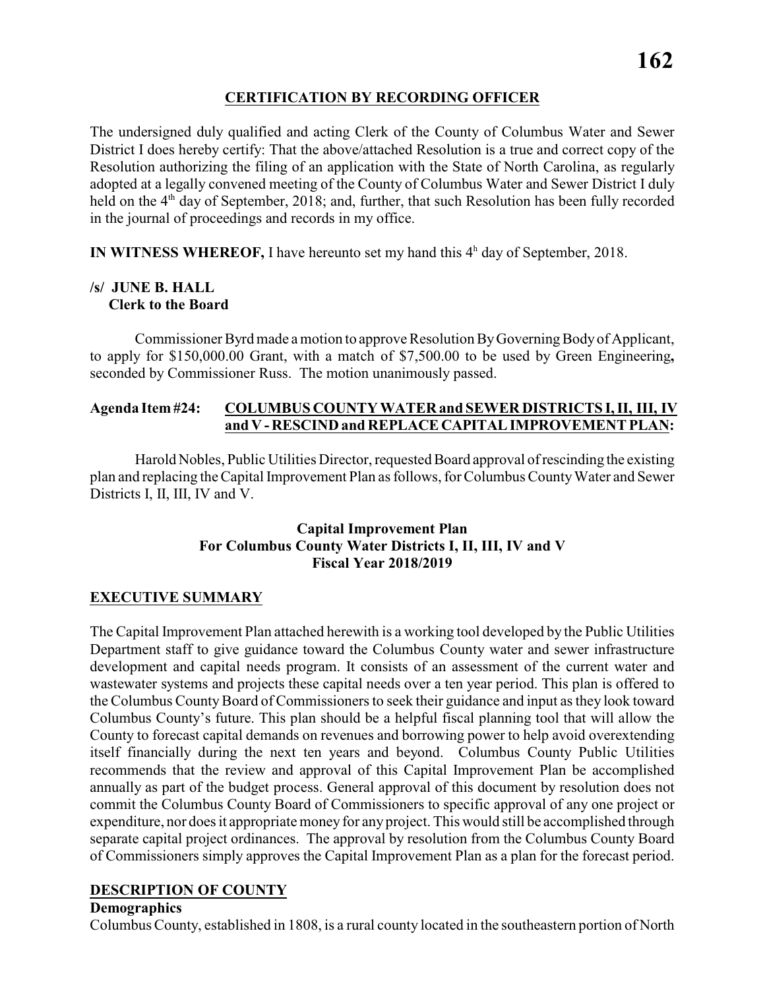#### **CERTIFICATION BY RECORDING OFFICER**

The undersigned duly qualified and acting Clerk of the County of Columbus Water and Sewer District I does hereby certify: That the above/attached Resolution is a true and correct copy of the Resolution authorizing the filing of an application with the State of North Carolina, as regularly adopted at a legally convened meeting of the County of Columbus Water and Sewer District I duly held on the  $4<sup>th</sup>$  day of September, 2018; and, further, that such Resolution has been fully recorded in the journal of proceedings and records in my office.

**IN WITNESS WHEREOF,** I have hereunto set my hand this  $4<sup>h</sup>$  day of September, 2018.

#### **/s/ JUNE B. HALL Clerk to the Board**

Commissioner Byrd made amotion to approve Resolution By Governing Body of Applicant, to apply for \$150,000.00 Grant, with a match of \$7,500.00 to be used by Green Engineering**,** seconded by Commissioner Russ. The motion unanimously passed.

#### **Agenda Item #24: COLUMBUS COUNTY WATER and SEWER DISTRICTS I, II, III, IV and V - RESCIND and REPLACE CAPITAL IMPROVEMENT PLAN:**

Harold Nobles, Public Utilities Director, requested Board approval of rescinding the existing plan and replacing the Capital Improvement Plan as follows, for Columbus County Water and Sewer Districts I, II, III, IV and V.

#### **Capital Improvement Plan For Columbus County Water Districts I, II, III, IV and V Fiscal Year 2018/2019**

#### **EXECUTIVE SUMMARY**

The Capital Improvement Plan attached herewith is a working tool developed by the Public Utilities Department staff to give guidance toward the Columbus County water and sewer infrastructure development and capital needs program. It consists of an assessment of the current water and wastewater systems and projects these capital needs over a ten year period. This plan is offered to the Columbus CountyBoard of Commissioners to seek their guidance and input as they look toward Columbus County's future. This plan should be a helpful fiscal planning tool that will allow the County to forecast capital demands on revenues and borrowing power to help avoid overextending itself financially during the next ten years and beyond. Columbus County Public Utilities recommends that the review and approval of this Capital Improvement Plan be accomplished annually as part of the budget process. General approval of this document by resolution does not commit the Columbus County Board of Commissioners to specific approval of any one project or expenditure, nor does it appropriate money for any project. This would still be accomplished through separate capital project ordinances. The approval by resolution from the Columbus County Board of Commissioners simply approves the Capital Improvement Plan as a plan for the forecast period.

#### **DESCRIPTION OF COUNTY**

#### **Demographics**

Columbus County, established in 1808, is a rural county located in the southeastern portion of North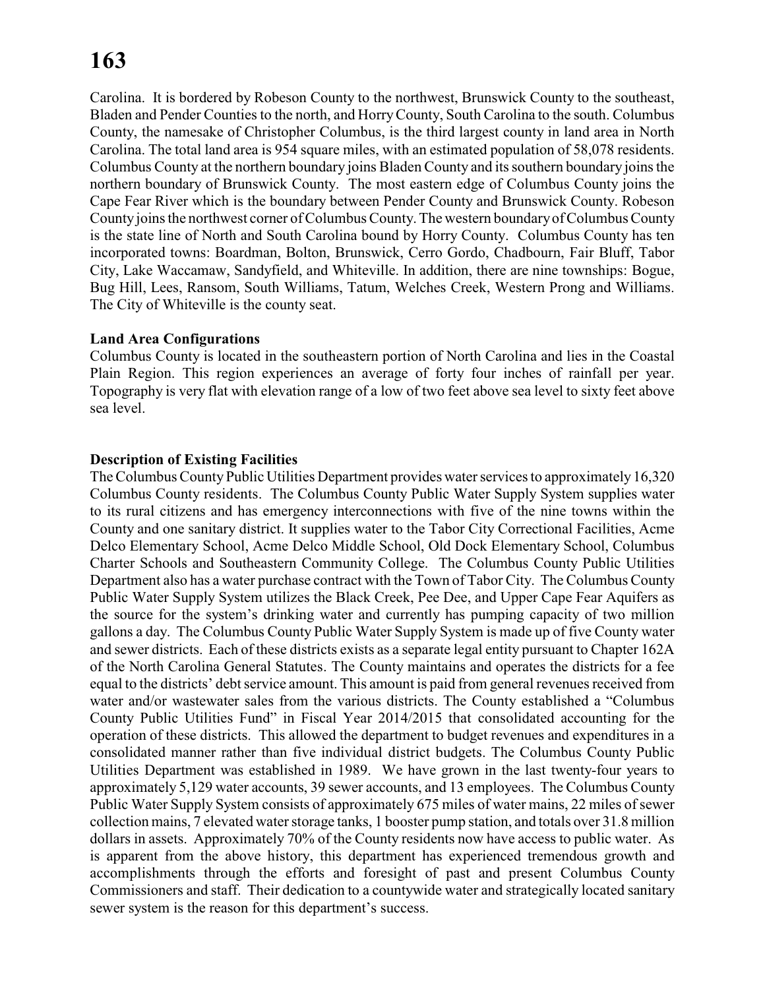Carolina. It is bordered by Robeson County to the northwest, Brunswick County to the southeast, Bladen and Pender Counties to the north, and HorryCounty, South Carolina to the south. Columbus County, the namesake of Christopher Columbus, is the third largest county in land area in North Carolina. The total land area is 954 square miles, with an estimated population of 58,078 residents. Columbus County at the northern boundary joins Bladen County and its southern boundary joins the northern boundary of Brunswick County. The most eastern edge of Columbus County joins the Cape Fear River which is the boundary between Pender County and Brunswick County. Robeson County joins the northwest corner of Columbus County. The western boundary of Columbus County is the state line of North and South Carolina bound by Horry County. Columbus County has ten incorporated towns: Boardman, Bolton, Brunswick, Cerro Gordo, Chadbourn, Fair Bluff, Tabor City, Lake Waccamaw, Sandyfield, and Whiteville. In addition, there are nine townships: Bogue, Bug Hill, Lees, Ransom, South Williams, Tatum, Welches Creek, Western Prong and Williams. The City of Whiteville is the county seat.

#### **Land Area Configurations**

Columbus County is located in the southeastern portion of North Carolina and lies in the Coastal Plain Region. This region experiences an average of forty four inches of rainfall per year. Topography is very flat with elevation range of a low of two feet above sea level to sixty feet above sea level.

#### **Description of Existing Facilities**

The Columbus County Public Utilities Department provides water services to approximately 16,320 Columbus County residents. The Columbus County Public Water Supply System supplies water to its rural citizens and has emergency interconnections with five of the nine towns within the County and one sanitary district. It supplies water to the Tabor City Correctional Facilities, Acme Delco Elementary School, Acme Delco Middle School, Old Dock Elementary School, Columbus Charter Schools and Southeastern Community College. The Columbus County Public Utilities Department also has a water purchase contract with the Town of Tabor City. The Columbus County Public Water Supply System utilizes the Black Creek, Pee Dee, and Upper Cape Fear Aquifers as the source for the system's drinking water and currently has pumping capacity of two million gallons a day. The Columbus County Public Water Supply System is made up of five County water and sewer districts. Each of these districts exists as a separate legal entity pursuant to Chapter 162A of the North Carolina General Statutes. The County maintains and operates the districts for a fee equal to the districts' debt service amount. This amount is paid from general revenues received from water and/or wastewater sales from the various districts. The County established a "Columbus County Public Utilities Fund" in Fiscal Year 2014/2015 that consolidated accounting for the operation of these districts. This allowed the department to budget revenues and expenditures in a consolidated manner rather than five individual district budgets. The Columbus County Public Utilities Department was established in 1989. We have grown in the last twenty-four years to approximately 5,129 water accounts, 39 sewer accounts, and 13 employees. The Columbus County Public Water Supply System consists of approximately 675 miles of water mains, 22 miles of sewer collection mains, 7 elevated water storage tanks, 1 booster pump station, and totals over 31.8 million dollars in assets. Approximately 70% of the County residents now have access to public water. As is apparent from the above history, this department has experienced tremendous growth and accomplishments through the efforts and foresight of past and present Columbus County Commissioners and staff. Their dedication to a countywide water and strategically located sanitary sewer system is the reason for this department's success.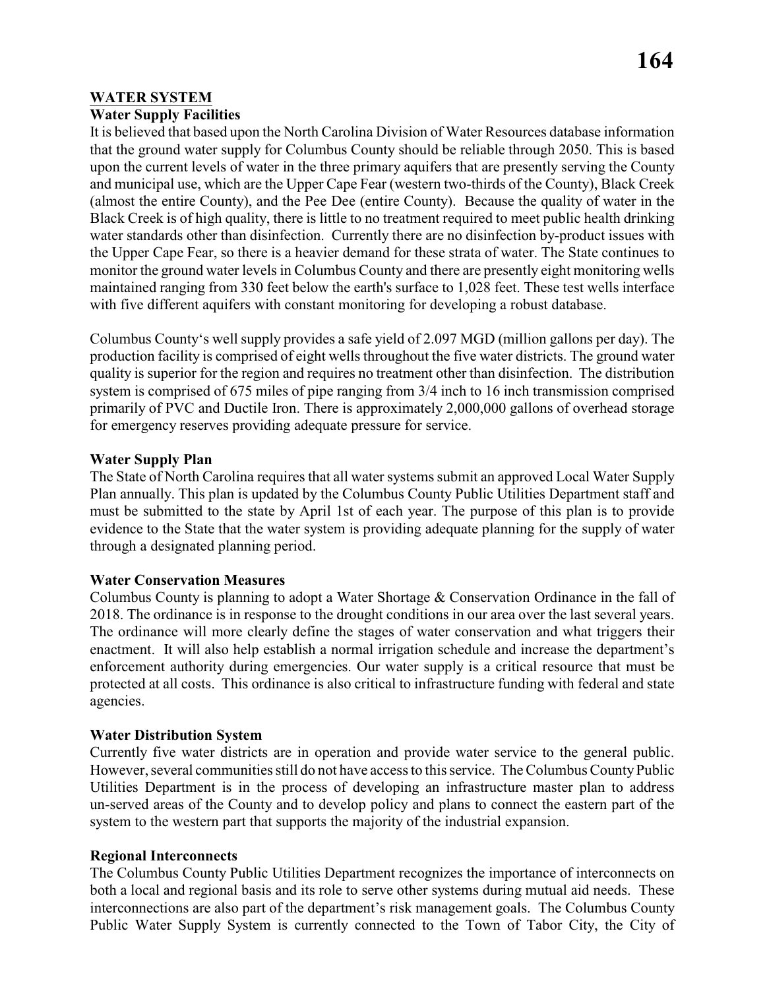#### **WATER SYSTEM**

#### **Water Supply Facilities**

It is believed that based upon the North Carolina Division of Water Resources database information that the ground water supply for Columbus County should be reliable through 2050. This is based upon the current levels of water in the three primary aquifers that are presently serving the County and municipal use, which are the Upper Cape Fear (western two-thirds of the County), Black Creek (almost the entire County), and the Pee Dee (entire County). Because the quality of water in the Black Creek is of high quality, there is little to no treatment required to meet public health drinking water standards other than disinfection. Currently there are no disinfection by-product issues with the Upper Cape Fear, so there is a heavier demand for these strata of water. The State continues to monitor the ground water levels in Columbus County and there are presently eight monitoring wells maintained ranging from 330 feet below the earth's surface to 1,028 feet. These test wells interface with five different aquifers with constant monitoring for developing a robust database.

Columbus County's well supply provides a safe yield of 2.097 MGD (million gallons per day). The production facility is comprised of eight wells throughout the five water districts. The ground water quality is superior for the region and requires no treatment other than disinfection. The distribution system is comprised of 675 miles of pipe ranging from 3/4 inch to 16 inch transmission comprised primarily of PVC and Ductile Iron. There is approximately 2,000,000 gallons of overhead storage for emergency reserves providing adequate pressure for service.

#### **Water Supply Plan**

The State of North Carolina requires that all water systems submit an approved Local Water Supply Plan annually. This plan is updated by the Columbus County Public Utilities Department staff and must be submitted to the state by April 1st of each year. The purpose of this plan is to provide evidence to the State that the water system is providing adequate planning for the supply of water through a designated planning period.

#### **Water Conservation Measures**

Columbus County is planning to adopt a Water Shortage & Conservation Ordinance in the fall of 2018. The ordinance is in response to the drought conditions in our area over the last several years. The ordinance will more clearly define the stages of water conservation and what triggers their enactment. It will also help establish a normal irrigation schedule and increase the department's enforcement authority during emergencies. Our water supply is a critical resource that must be protected at all costs. This ordinance is also critical to infrastructure funding with federal and state agencies.

#### **Water Distribution System**

Currently five water districts are in operation and provide water service to the general public. However, several communities still do not have access to this service. The Columbus County Public Utilities Department is in the process of developing an infrastructure master plan to address un-served areas of the County and to develop policy and plans to connect the eastern part of the system to the western part that supports the majority of the industrial expansion.

#### **Regional Interconnects**

The Columbus County Public Utilities Department recognizes the importance of interconnects on both a local and regional basis and its role to serve other systems during mutual aid needs. These interconnections are also part of the department's risk management goals. The Columbus County Public Water Supply System is currently connected to the Town of Tabor City, the City of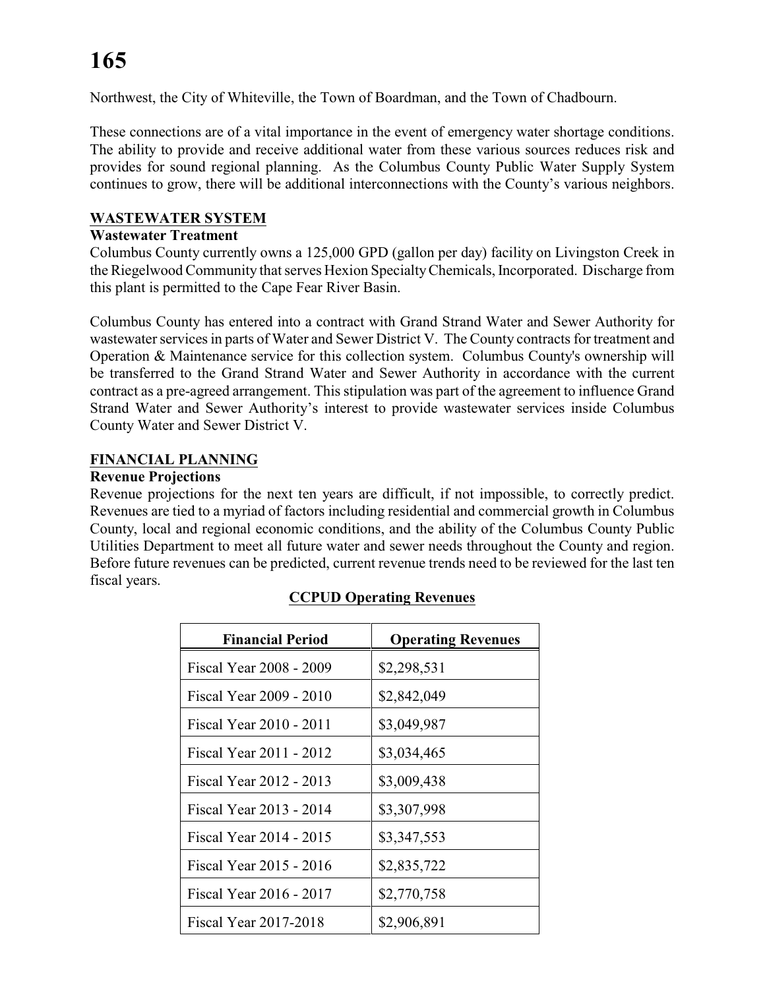Northwest, the City of Whiteville, the Town of Boardman, and the Town of Chadbourn.

These connections are of a vital importance in the event of emergency water shortage conditions. The ability to provide and receive additional water from these various sources reduces risk and provides for sound regional planning. As the Columbus County Public Water Supply System continues to grow, there will be additional interconnections with the County's various neighbors.

#### **WASTEWATER SYSTEM**

#### **Wastewater Treatment**

Columbus County currently owns a 125,000 GPD (gallon per day) facility on Livingston Creek in the Riegelwood Community that serves Hexion SpecialtyChemicals, Incorporated. Discharge from this plant is permitted to the Cape Fear River Basin.

Columbus County has entered into a contract with Grand Strand Water and Sewer Authority for wastewater services in parts of Water and Sewer District V. The County contracts for treatment and Operation & Maintenance service for this collection system. Columbus County's ownership will be transferred to the Grand Strand Water and Sewer Authority in accordance with the current contract as a pre-agreed arrangement. This stipulation was part of the agreement to influence Grand Strand Water and Sewer Authority's interest to provide wastewater services inside Columbus County Water and Sewer District V.

#### **FINANCIAL PLANNING**

#### **Revenue Projections**

Revenue projections for the next ten years are difficult, if not impossible, to correctly predict. Revenues are tied to a myriad of factors including residential and commercial growth in Columbus County, local and regional economic conditions, and the ability of the Columbus County Public Utilities Department to meet all future water and sewer needs throughout the County and region. Before future revenues can be predicted, current revenue trends need to be reviewed for the last ten fiscal years.

| <b>Financial Period</b> | <b>Operating Revenues</b> |
|-------------------------|---------------------------|
| Fiscal Year 2008 - 2009 | \$2,298,531               |
| Fiscal Year 2009 - 2010 | \$2,842,049               |
| Fiscal Year 2010 - 2011 | \$3,049,987               |
| Fiscal Year 2011 - 2012 | \$3,034,465               |
| Fiscal Year 2012 - 2013 | \$3,009,438               |
| Fiscal Year 2013 - 2014 | \$3,307,998               |
| Fiscal Year 2014 - 2015 | \$3,347,553               |
| Fiscal Year 2015 - 2016 | \$2,835,722               |
| Fiscal Year 2016 - 2017 | \$2,770,758               |
| Fiscal Year 2017-2018   | \$2,906,891               |

#### **CCPUD Operating Revenues**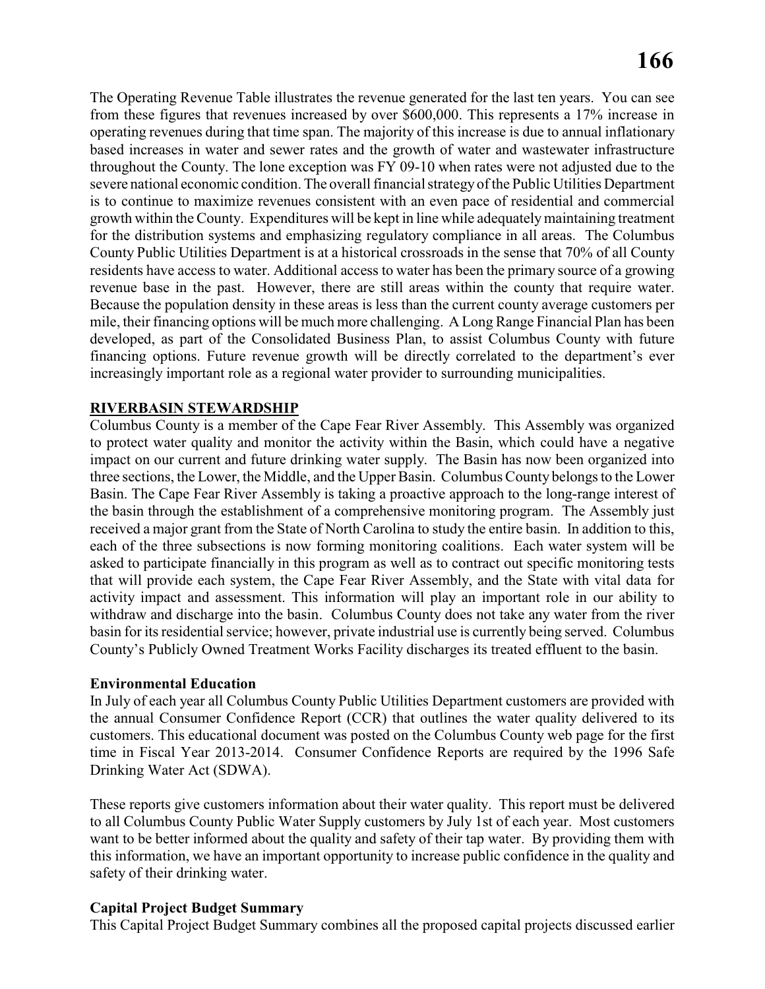The Operating Revenue Table illustrates the revenue generated for the last ten years. You can see from these figures that revenues increased by over \$600,000. This represents a 17% increase in operating revenues during that time span. The majority of this increase is due to annual inflationary based increases in water and sewer rates and the growth of water and wastewater infrastructure throughout the County. The lone exception was FY 09-10 when rates were not adjusted due to the severe national economic condition. The overall financial strategy of the Public Utilities Department is to continue to maximize revenues consistent with an even pace of residential and commercial growth within the County. Expenditures will be kept in line while adequately maintaining treatment for the distribution systems and emphasizing regulatory compliance in all areas. The Columbus County Public Utilities Department is at a historical crossroads in the sense that 70% of all County residents have access to water. Additional access to water has been the primary source of a growing revenue base in the past. However, there are still areas within the county that require water. Because the population density in these areas is less than the current county average customers per mile, their financing options will be much more challenging. A Long Range Financial Plan has been developed, as part of the Consolidated Business Plan, to assist Columbus County with future financing options. Future revenue growth will be directly correlated to the department's ever increasingly important role as a regional water provider to surrounding municipalities.

#### **RIVERBASIN STEWARDSHIP**

Columbus County is a member of the Cape Fear River Assembly. This Assembly was organized to protect water quality and monitor the activity within the Basin, which could have a negative impact on our current and future drinking water supply. The Basin has now been organized into three sections, the Lower, the Middle, and the Upper Basin. Columbus County belongs to the Lower Basin. The Cape Fear River Assembly is taking a proactive approach to the long-range interest of the basin through the establishment of a comprehensive monitoring program. The Assembly just received a major grant from the State of North Carolina to study the entire basin. In addition to this, each of the three subsections is now forming monitoring coalitions. Each water system will be asked to participate financially in this program as well as to contract out specific monitoring tests that will provide each system, the Cape Fear River Assembly, and the State with vital data for activity impact and assessment. This information will play an important role in our ability to withdraw and discharge into the basin. Columbus County does not take any water from the river basin for its residential service; however, private industrial use is currently being served. Columbus County's Publicly Owned Treatment Works Facility discharges its treated effluent to the basin.

#### **Environmental Education**

In July of each year all Columbus County Public Utilities Department customers are provided with the annual Consumer Confidence Report (CCR) that outlines the water quality delivered to its customers. This educational document was posted on the Columbus County web page for the first time in Fiscal Year 2013-2014. Consumer Confidence Reports are required by the 1996 Safe Drinking Water Act (SDWA).

These reports give customers information about their water quality. This report must be delivered to all Columbus County Public Water Supply customers by July 1st of each year. Most customers want to be better informed about the quality and safety of their tap water. By providing them with this information, we have an important opportunity to increase public confidence in the quality and safety of their drinking water.

#### **Capital Project Budget Summary**

This Capital Project Budget Summary combines all the proposed capital projects discussed earlier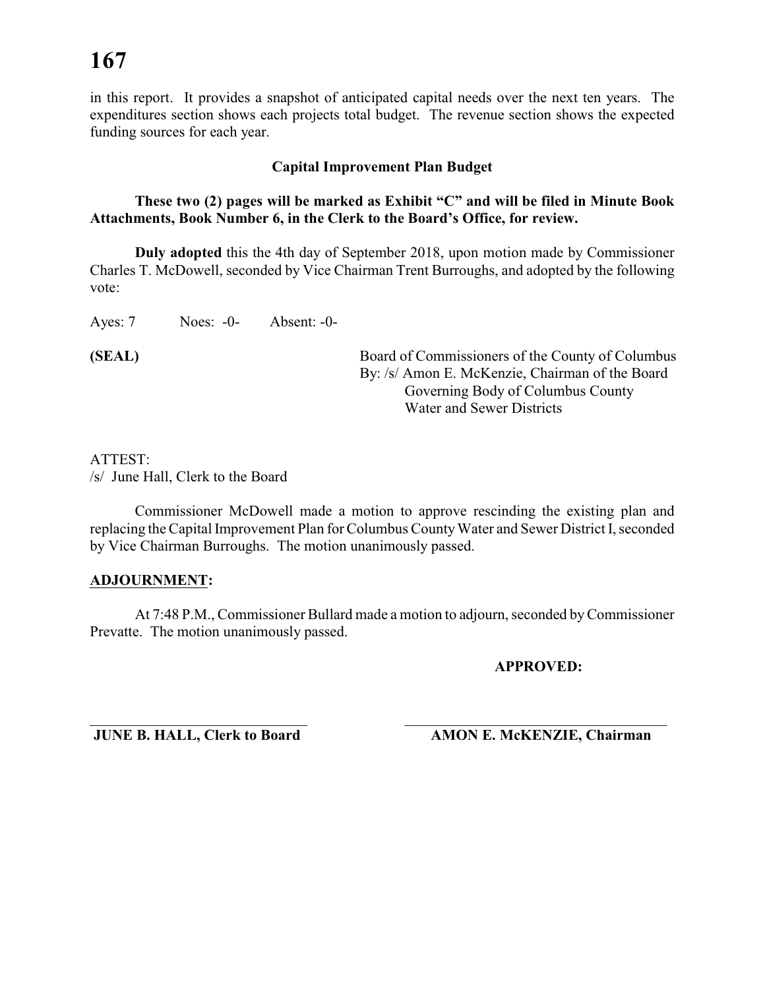in this report. It provides a snapshot of anticipated capital needs over the next ten years. The expenditures section shows each projects total budget. The revenue section shows the expected funding sources for each year.

#### **Capital Improvement Plan Budget**

#### **These two (2) pages will be marked as Exhibit "C" and will be filed in Minute Book Attachments, Book Number 6, in the Clerk to the Board's Office, for review.**

**Duly adopted** this the 4th day of September 2018, upon motion made by Commissioner Charles T. McDowell, seconded by Vice Chairman Trent Burroughs, and adopted by the following vote:

Ayes: 7 Noes: -0- Absent: -0-

**(SEAL)** Board of Commissioners of the County of Columbus By: /s/ Amon E. McKenzie, Chairman of the Board Governing Body of Columbus County Water and Sewer Districts

#### ATTEST:

/s/ June Hall, Clerk to the Board

Commissioner McDowell made a motion to approve rescinding the existing plan and replacing the Capital Improvement Plan for Columbus County Water and Sewer District I, seconded by Vice Chairman Burroughs. The motion unanimously passed.

#### **ADJOURNMENT:**

At 7:48 P.M., Commissioner Bullard made a motion to adjourn, seconded by Commissioner Prevatte. The motion unanimously passed.

#### **APPROVED:**

\_\_\_\_\_\_\_\_\_\_\_\_\_\_\_\_\_\_\_\_\_\_\_\_\_\_\_\_\_ \_\_\_\_\_\_\_\_\_\_\_\_\_\_\_\_\_\_\_\_\_\_\_\_\_\_\_\_\_\_\_\_\_\_\_

**JUNE B. HALL, Clerk to Board AMON E. McKENZIE, Chairman**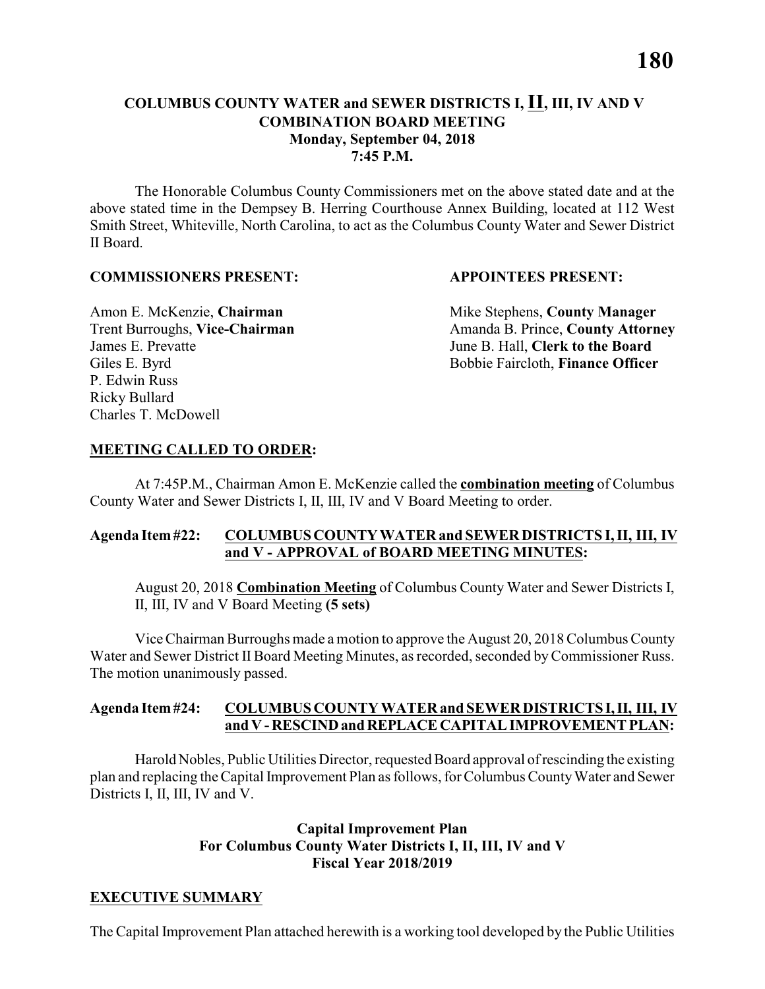#### **COLUMBUS COUNTY WATER and SEWER DISTRICTS I, II, III, IV AND V COMBINATION BOARD MEETING Monday, September 04, 2018 7:45 P.M.**

The Honorable Columbus County Commissioners met on the above stated date and at the above stated time in the Dempsey B. Herring Courthouse Annex Building, located at 112 West Smith Street, Whiteville, North Carolina, to act as the Columbus County Water and Sewer District II Board.

#### **COMMISSIONERS PRESENT: APPOINTEES PRESENT:**

James E. Prevatte June B. Hall, **Clerk to the Board** P. Edwin Russ Ricky Bullard Charles T. McDowell

Amon E. McKenzie, **Chairman** Mike Stephens, **County Manager** Trent Burroughs, Vice-Chairman Amanda B. Prince, County Attorney Giles E. Byrd **Bobbie Faircloth, Finance Officer** 

#### **MEETING CALLED TO ORDER:**

At 7:45P.M., Chairman Amon E. McKenzie called the **combination meeting** of Columbus County Water and Sewer Districts I, II, III, IV and V Board Meeting to order.

#### **Agenda Item #22: COLUMBUS COUNTY WATER and SEWER DISTRICTS I, II, III, IV and V - APPROVAL of BOARD MEETING MINUTES:**

August 20, 2018 **Combination Meeting** of Columbus County Water and Sewer Districts I, II, III, IV and V Board Meeting **(5 sets)**

Vice Chairman Burroughs made a motion to approve the August 20, 2018 Columbus County Water and Sewer District II Board Meeting Minutes, as recorded, seconded by Commissioner Russ. The motion unanimously passed.

#### **Agenda Item #24: COLUMBUS COUNTY WATER and SEWER DISTRICTS I, II, III, IV and V - RESCIND and REPLACE CAPITAL IMPROVEMENT PLAN:**

Harold Nobles, Public Utilities Director, requested Board approval of rescinding the existing plan and replacing the Capital Improvement Plan as follows, for Columbus County Water and Sewer Districts I, II, III, IV and V.

#### **Capital Improvement Plan For Columbus County Water Districts I, II, III, IV and V Fiscal Year 2018/2019**

#### **EXECUTIVE SUMMARY**

The Capital Improvement Plan attached herewith is a working tool developed by the Public Utilities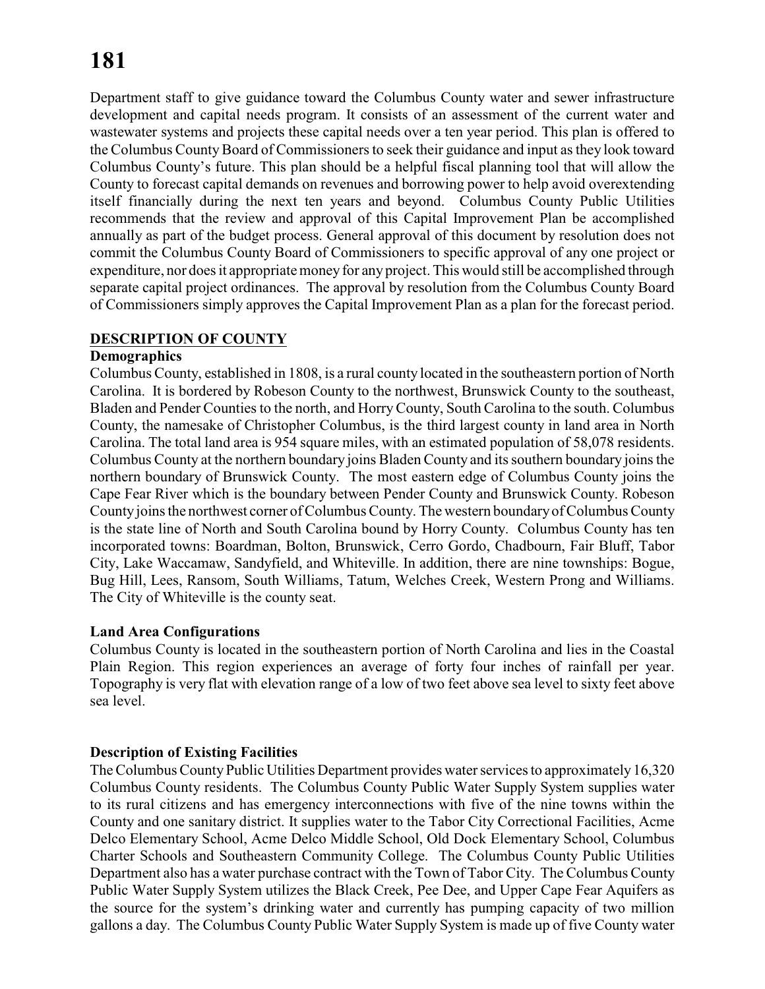Department staff to give guidance toward the Columbus County water and sewer infrastructure development and capital needs program. It consists of an assessment of the current water and wastewater systems and projects these capital needs over a ten year period. This plan is offered to the Columbus County Board of Commissioners to seek their guidance and input as they look toward Columbus County's future. This plan should be a helpful fiscal planning tool that will allow the County to forecast capital demands on revenues and borrowing power to help avoid overextending itself financially during the next ten years and beyond. Columbus County Public Utilities recommends that the review and approval of this Capital Improvement Plan be accomplished annually as part of the budget process. General approval of this document by resolution does not commit the Columbus County Board of Commissioners to specific approval of any one project or expenditure, nor does it appropriate money for anyproject. This would still be accomplished through separate capital project ordinances. The approval by resolution from the Columbus County Board of Commissioners simply approves the Capital Improvement Plan as a plan for the forecast period.

#### **DESCRIPTION OF COUNTY**

#### **Demographics**

Columbus County, established in 1808, is a rural county located in the southeastern portion of North Carolina. It is bordered by Robeson County to the northwest, Brunswick County to the southeast, Bladen and Pender Counties to the north, and HorryCounty, South Carolina to the south. Columbus County, the namesake of Christopher Columbus, is the third largest county in land area in North Carolina. The total land area is 954 square miles, with an estimated population of 58,078 residents. Columbus County at the northern boundary joins Bladen County and its southern boundary joins the northern boundary of Brunswick County. The most eastern edge of Columbus County joins the Cape Fear River which is the boundary between Pender County and Brunswick County. Robeson County joins the northwest corner of Columbus County. The western boundary of Columbus County is the state line of North and South Carolina bound by Horry County. Columbus County has ten incorporated towns: Boardman, Bolton, Brunswick, Cerro Gordo, Chadbourn, Fair Bluff, Tabor City, Lake Waccamaw, Sandyfield, and Whiteville. In addition, there are nine townships: Bogue, Bug Hill, Lees, Ransom, South Williams, Tatum, Welches Creek, Western Prong and Williams. The City of Whiteville is the county seat.

#### **Land Area Configurations**

Columbus County is located in the southeastern portion of North Carolina and lies in the Coastal Plain Region. This region experiences an average of forty four inches of rainfall per year. Topography is very flat with elevation range of a low of two feet above sea level to sixty feet above sea level.

#### **Description of Existing Facilities**

The Columbus County Public Utilities Department provides water services to approximately 16,320 Columbus County residents. The Columbus County Public Water Supply System supplies water to its rural citizens and has emergency interconnections with five of the nine towns within the County and one sanitary district. It supplies water to the Tabor City Correctional Facilities, Acme Delco Elementary School, Acme Delco Middle School, Old Dock Elementary School, Columbus Charter Schools and Southeastern Community College. The Columbus County Public Utilities Department also has a water purchase contract with the Town of Tabor City. The Columbus County Public Water Supply System utilizes the Black Creek, Pee Dee, and Upper Cape Fear Aquifers as the source for the system's drinking water and currently has pumping capacity of two million gallons a day. The Columbus County Public Water Supply System is made up of five County water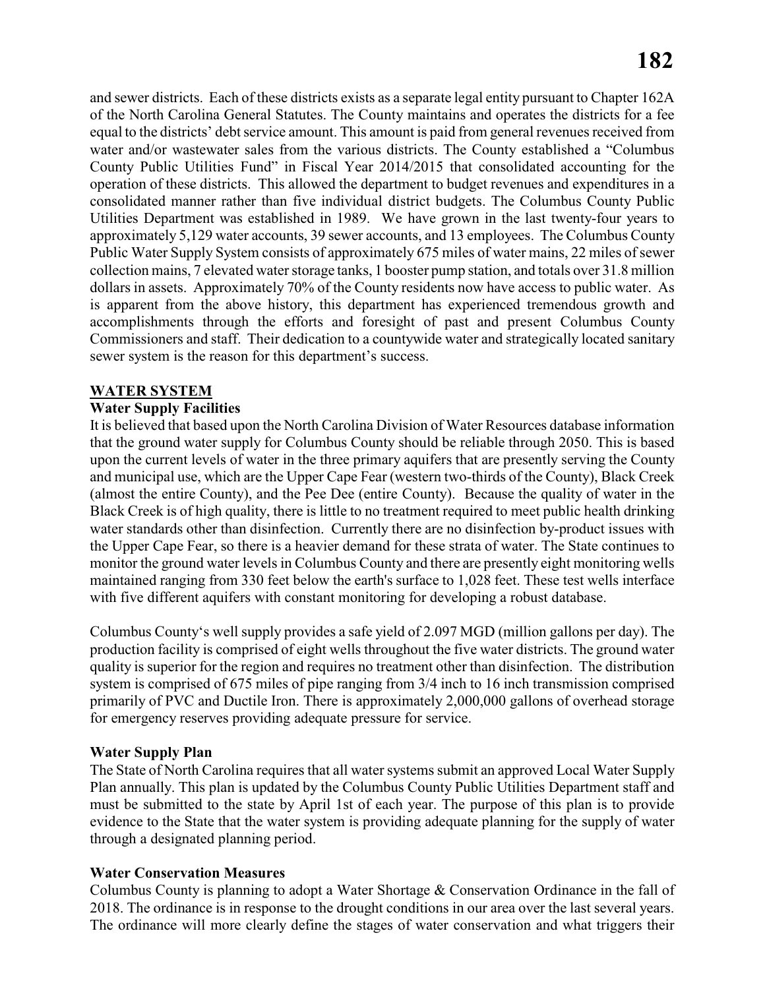and sewer districts. Each of these districts exists as a separate legal entity pursuant to Chapter 162A of the North Carolina General Statutes. The County maintains and operates the districts for a fee equal to the districts' debt service amount. This amount is paid from general revenues received from water and/or wastewater sales from the various districts. The County established a "Columbus County Public Utilities Fund" in Fiscal Year 2014/2015 that consolidated accounting for the operation of these districts. This allowed the department to budget revenues and expenditures in a consolidated manner rather than five individual district budgets. The Columbus County Public Utilities Department was established in 1989. We have grown in the last twenty-four years to approximately 5,129 water accounts, 39 sewer accounts, and 13 employees. The Columbus County Public Water Supply System consists of approximately 675 miles of water mains, 22 miles of sewer collection mains, 7 elevated water storage tanks, 1 booster pump station, and totals over 31.8 million dollars in assets. Approximately 70% of the County residents now have access to public water. As is apparent from the above history, this department has experienced tremendous growth and accomplishments through the efforts and foresight of past and present Columbus County Commissioners and staff. Their dedication to a countywide water and strategically located sanitary sewer system is the reason for this department's success.

#### **WATER SYSTEM**

#### **Water Supply Facilities**

It is believed that based upon the North Carolina Division of Water Resources database information that the ground water supply for Columbus County should be reliable through 2050. This is based upon the current levels of water in the three primary aquifers that are presently serving the County and municipal use, which are the Upper Cape Fear (western two-thirds of the County), Black Creek (almost the entire County), and the Pee Dee (entire County). Because the quality of water in the Black Creek is of high quality, there is little to no treatment required to meet public health drinking water standards other than disinfection. Currently there are no disinfection by-product issues with the Upper Cape Fear, so there is a heavier demand for these strata of water. The State continues to monitor the ground water levels in Columbus County and there are presently eight monitoring wells maintained ranging from 330 feet below the earth's surface to 1,028 feet. These test wells interface with five different aquifers with constant monitoring for developing a robust database.

Columbus County's well supply provides a safe yield of 2.097 MGD (million gallons per day). The production facility is comprised of eight wells throughout the five water districts. The ground water quality is superior for the region and requires no treatment other than disinfection. The distribution system is comprised of 675 miles of pipe ranging from 3/4 inch to 16 inch transmission comprised primarily of PVC and Ductile Iron. There is approximately 2,000,000 gallons of overhead storage for emergency reserves providing adequate pressure for service.

#### **Water Supply Plan**

The State of North Carolina requires that all water systems submit an approved Local Water Supply Plan annually. This plan is updated by the Columbus County Public Utilities Department staff and must be submitted to the state by April 1st of each year. The purpose of this plan is to provide evidence to the State that the water system is providing adequate planning for the supply of water through a designated planning period.

#### **Water Conservation Measures**

Columbus County is planning to adopt a Water Shortage & Conservation Ordinance in the fall of 2018. The ordinance is in response to the drought conditions in our area over the last several years. The ordinance will more clearly define the stages of water conservation and what triggers their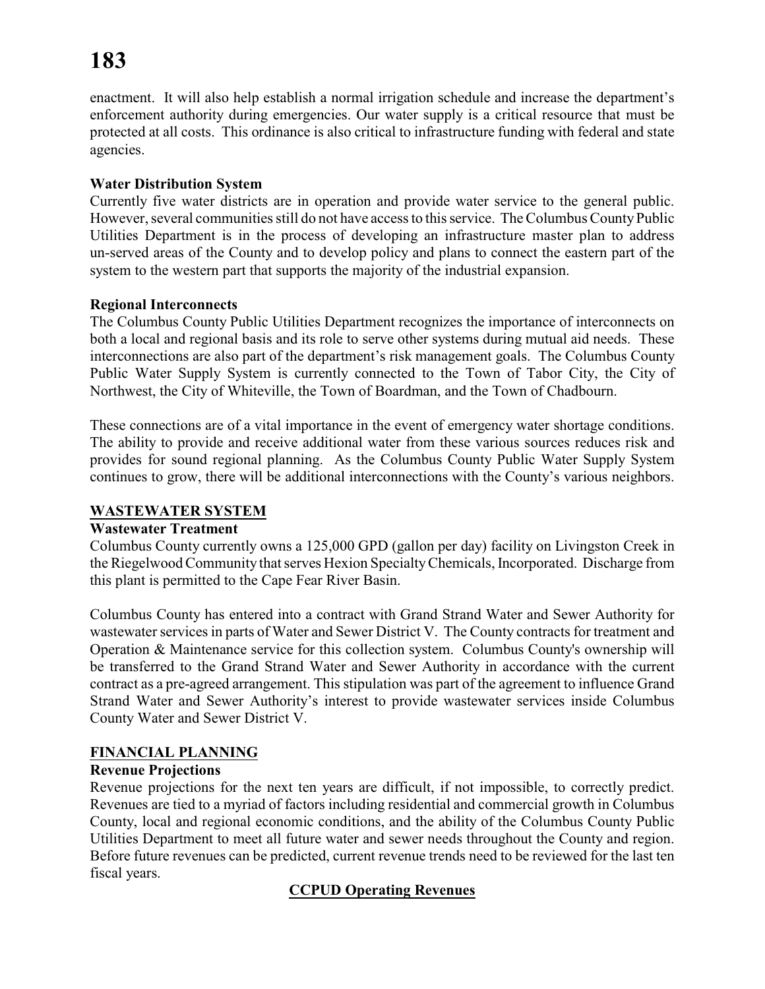enactment. It will also help establish a normal irrigation schedule and increase the department's enforcement authority during emergencies. Our water supply is a critical resource that must be protected at all costs. This ordinance is also critical to infrastructure funding with federal and state agencies.

#### **Water Distribution System**

Currently five water districts are in operation and provide water service to the general public. However, several communities still do not have access to this service. The Columbus County Public Utilities Department is in the process of developing an infrastructure master plan to address un-served areas of the County and to develop policy and plans to connect the eastern part of the system to the western part that supports the majority of the industrial expansion.

#### **Regional Interconnects**

The Columbus County Public Utilities Department recognizes the importance of interconnects on both a local and regional basis and its role to serve other systems during mutual aid needs. These interconnections are also part of the department's risk management goals. The Columbus County Public Water Supply System is currently connected to the Town of Tabor City, the City of Northwest, the City of Whiteville, the Town of Boardman, and the Town of Chadbourn.

These connections are of a vital importance in the event of emergency water shortage conditions. The ability to provide and receive additional water from these various sources reduces risk and provides for sound regional planning. As the Columbus County Public Water Supply System continues to grow, there will be additional interconnections with the County's various neighbors.

#### **WASTEWATER SYSTEM**

#### **Wastewater Treatment**

Columbus County currently owns a 125,000 GPD (gallon per day) facility on Livingston Creek in the Riegelwood Community that serves Hexion SpecialtyChemicals, Incorporated. Discharge from this plant is permitted to the Cape Fear River Basin.

Columbus County has entered into a contract with Grand Strand Water and Sewer Authority for wastewater services in parts of Water and Sewer District V. The County contracts for treatment and Operation & Maintenance service for this collection system. Columbus County's ownership will be transferred to the Grand Strand Water and Sewer Authority in accordance with the current contract as a pre-agreed arrangement. This stipulation was part of the agreement to influence Grand Strand Water and Sewer Authority's interest to provide wastewater services inside Columbus County Water and Sewer District V.

#### **FINANCIAL PLANNING**

#### **Revenue Projections**

Revenue projections for the next ten years are difficult, if not impossible, to correctly predict. Revenues are tied to a myriad of factors including residential and commercial growth in Columbus County, local and regional economic conditions, and the ability of the Columbus County Public Utilities Department to meet all future water and sewer needs throughout the County and region. Before future revenues can be predicted, current revenue trends need to be reviewed for the last ten fiscal years.

#### **CCPUD Operating Revenues**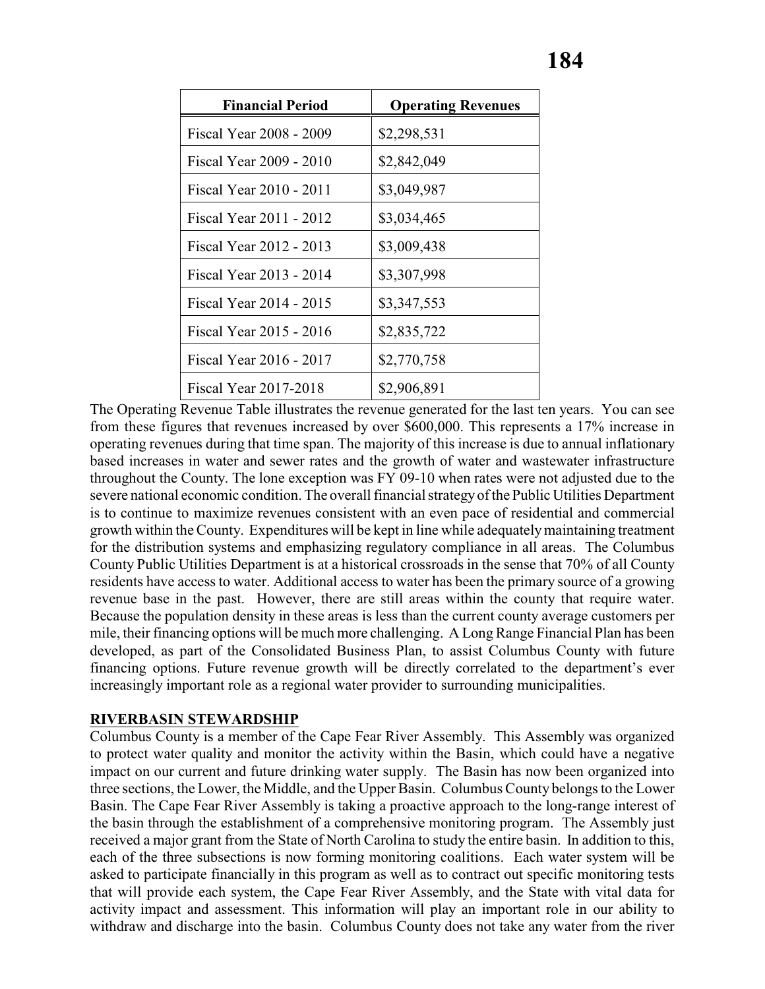| <b>Financial Period</b> | <b>Operating Revenues</b> |
|-------------------------|---------------------------|
| Fiscal Year 2008 - 2009 | \$2,298,531               |
| Fiscal Year 2009 - 2010 | \$2,842,049               |
| Fiscal Year 2010 - 2011 | \$3,049,987               |
| Fiscal Year 2011 - 2012 | \$3,034,465               |
| Fiscal Year 2012 - 2013 | \$3,009,438               |
| Fiscal Year 2013 - 2014 | \$3,307,998               |
| Fiscal Year 2014 - 2015 | \$3,347,553               |
| Fiscal Year 2015 - 2016 | \$2,835,722               |
| Fiscal Year 2016 - 2017 | \$2,770,758               |
| Fiscal Year 2017-2018   | \$2,906,891               |

The Operating Revenue Table illustrates the revenue generated for the last ten years. You can see from these figures that revenues increased by over \$600,000. This represents a 17% increase in operating revenues during that time span. The majority of this increase is due to annual inflationary based increases in water and sewer rates and the growth of water and wastewater infrastructure throughout the County. The lone exception was FY 09-10 when rates were not adjusted due to the severe national economic condition. The overall financial strategyof the Public Utilities Department is to continue to maximize revenues consistent with an even pace of residential and commercial growth within the County. Expenditures will be kept in line while adequately maintaining treatment for the distribution systems and emphasizing regulatory compliance in all areas. The Columbus County Public Utilities Department is at a historical crossroads in the sense that 70% of all County residents have access to water. Additional access to water has been the primary source of a growing revenue base in the past. However, there are still areas within the county that require water. Because the population density in these areas is less than the current county average customers per mile, their financing options will be much more challenging. A Long Range Financial Plan has been developed, as part of the Consolidated Business Plan, to assist Columbus County with future financing options. Future revenue growth will be directly correlated to the department's ever increasingly important role as a regional water provider to surrounding municipalities.

#### **RIVERBASIN STEWARDSHIP**

Columbus County is a member of the Cape Fear River Assembly. This Assembly was organized to protect water quality and monitor the activity within the Basin, which could have a negative impact on our current and future drinking water supply. The Basin has now been organized into three sections, the Lower, the Middle, and the Upper Basin. Columbus County belongs to the Lower Basin. The Cape Fear River Assembly is taking a proactive approach to the long-range interest of the basin through the establishment of a comprehensive monitoring program. The Assembly just received a major grant from the State of North Carolina to study the entire basin. In addition to this, each of the three subsections is now forming monitoring coalitions. Each water system will be asked to participate financially in this program as well as to contract out specific monitoring tests that will provide each system, the Cape Fear River Assembly, and the State with vital data for activity impact and assessment. This information will play an important role in our ability to withdraw and discharge into the basin. Columbus County does not take any water from the river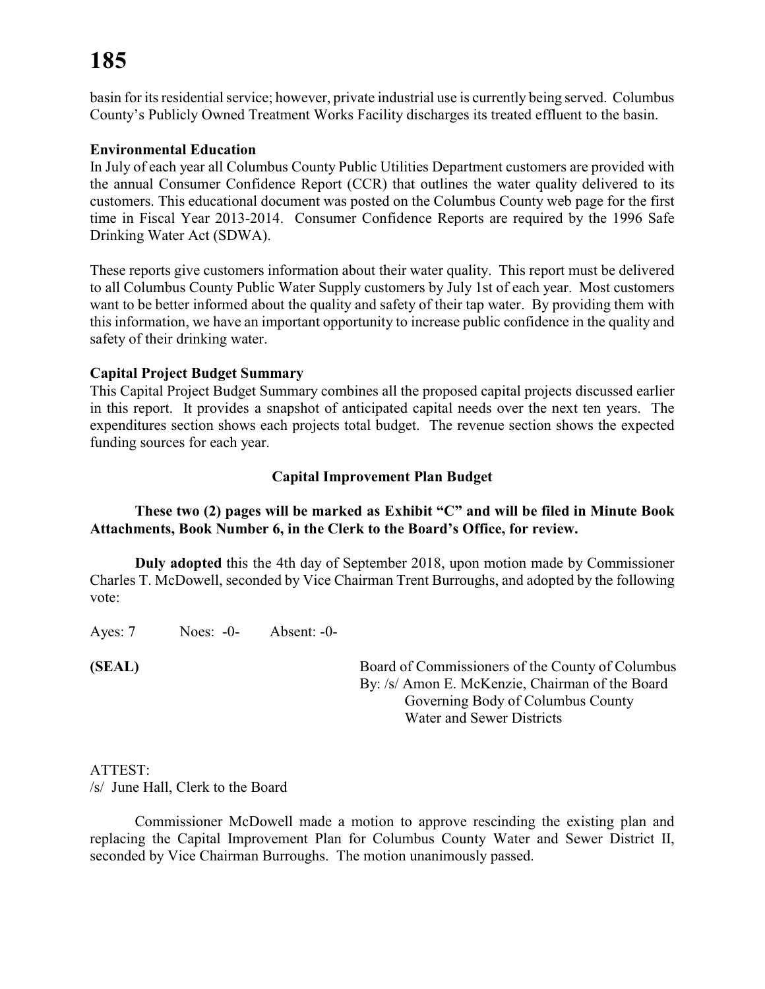basin for its residential service; however, private industrial use is currently being served. Columbus County's Publicly Owned Treatment Works Facility discharges its treated effluent to the basin.

#### **Environmental Education**

In July of each year all Columbus County Public Utilities Department customers are provided with the annual Consumer Confidence Report (CCR) that outlines the water quality delivered to its customers. This educational document was posted on the Columbus County web page for the first time in Fiscal Year 2013-2014. Consumer Confidence Reports are required by the 1996 Safe Drinking Water Act (SDWA).

These reports give customers information about their water quality. This report must be delivered to all Columbus County Public Water Supply customers by July 1st of each year. Most customers want to be better informed about the quality and safety of their tap water. By providing them with this information, we have an important opportunity to increase public confidence in the quality and safety of their drinking water.

#### **Capital Project Budget Summary**

This Capital Project Budget Summary combines all the proposed capital projects discussed earlier in this report. It provides a snapshot of anticipated capital needs over the next ten years. The expenditures section shows each projects total budget. The revenue section shows the expected funding sources for each year.

#### **Capital Improvement Plan Budget**

#### **These two (2) pages will be marked as Exhibit "C" and will be filed in Minute Book Attachments, Book Number 6, in the Clerk to the Board's Office, for review.**

**Duly adopted** this the 4th day of September 2018, upon motion made by Commissioner Charles T. McDowell, seconded by Vice Chairman Trent Burroughs, and adopted by the following vote:

Ayes: 7 Noes: -0- Absent: -0-

**(SEAL)** Board of Commissioners of the County of Columbus By: /s/ Amon E. McKenzie, Chairman of the Board Governing Body of Columbus County Water and Sewer Districts

#### ATTEST:

/s/ June Hall, Clerk to the Board

Commissioner McDowell made a motion to approve rescinding the existing plan and replacing the Capital Improvement Plan for Columbus County Water and Sewer District II, seconded by Vice Chairman Burroughs. The motion unanimously passed.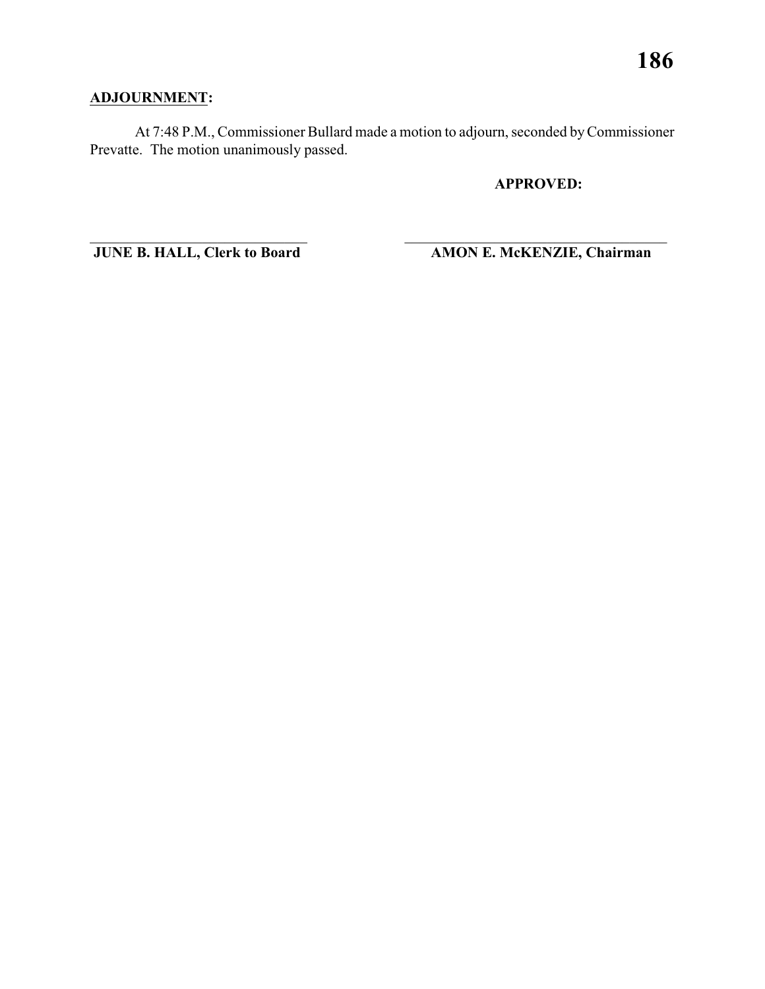### **ADJOURNMENT:**

At 7:48 P.M., Commissioner Bullard made a motion to adjourn, seconded by Commissioner Prevatte. The motion unanimously passed.

\_\_\_\_\_\_\_\_\_\_\_\_\_\_\_\_\_\_\_\_\_\_\_\_\_\_\_\_\_ \_\_\_\_\_\_\_\_\_\_\_\_\_\_\_\_\_\_\_\_\_\_\_\_\_\_\_\_\_\_\_\_\_\_\_

**APPROVED:**

**JUNE B. HALL, Clerk to Board AMON E. McKENZIE, Chairman**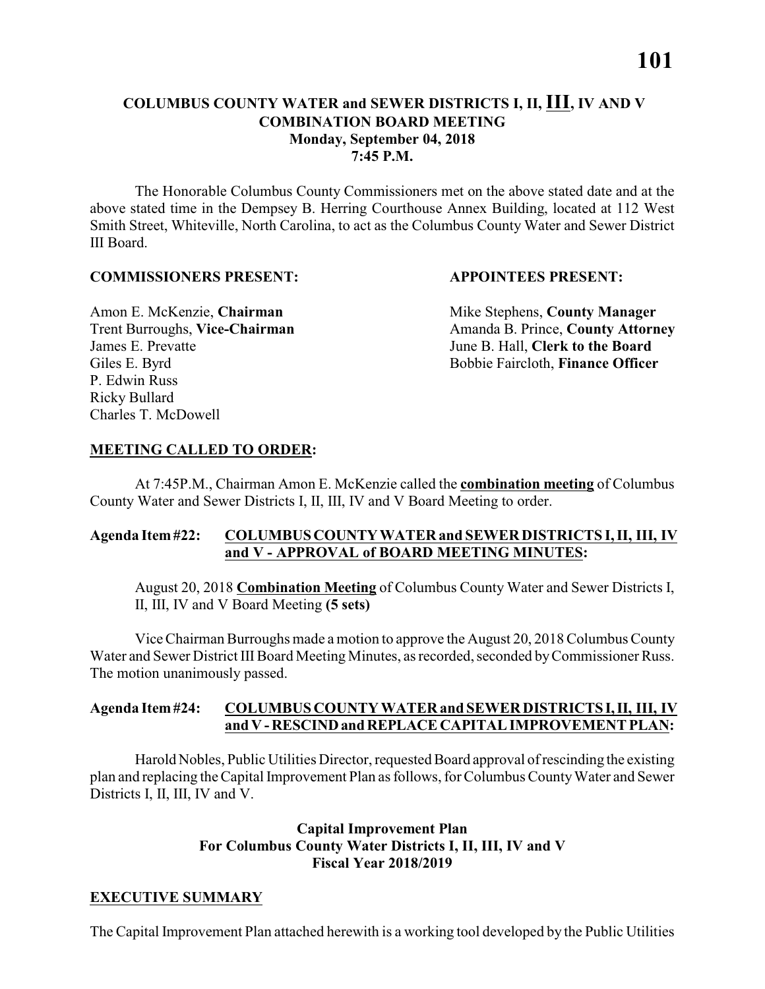The Honorable Columbus County Commissioners met on the above stated date and at the above stated time in the Dempsey B. Herring Courthouse Annex Building, located at 112 West Smith Street, Whiteville, North Carolina, to act as the Columbus County Water and Sewer District III Board.

#### **COMMISSIONERS PRESENT: APPOINTEES PRESENT:**

James E. Prevatte June B. Hall, **Clerk to the Board** P. Edwin Russ Ricky Bullard Charles T. McDowell

Amon E. McKenzie, **Chairman** Mike Stephens, **County Manager** Trent Burroughs, Vice-Chairman Amanda B. Prince, County Attorney Giles E. Byrd **Bobbie Faircloth, Finance Officer** 

#### **MEETING CALLED TO ORDER:**

At 7:45P.M., Chairman Amon E. McKenzie called the **combination meeting** of Columbus County Water and Sewer Districts I, II, III, IV and V Board Meeting to order.

#### **Agenda Item #22: COLUMBUS COUNTY WATER and SEWER DISTRICTS I, II, III, IV and V - APPROVAL of BOARD MEETING MINUTES:**

August 20, 2018 **Combination Meeting** of Columbus County Water and Sewer Districts I, II, III, IV and V Board Meeting **(5 sets)**

Vice Chairman Burroughs made a motion to approve the August 20, 2018 Columbus County Water and Sewer District III Board Meeting Minutes, as recorded, seconded by Commissioner Russ. The motion unanimously passed.

#### **Agenda Item #24: COLUMBUS COUNTY WATER and SEWER DISTRICTS I, II, III, IV and V - RESCIND and REPLACE CAPITAL IMPROVEMENT PLAN:**

Harold Nobles, Public Utilities Director, requested Board approval of rescinding the existing plan and replacing the Capital Improvement Plan as follows, for Columbus County Water and Sewer Districts I, II, III, IV and V.

#### **Capital Improvement Plan For Columbus County Water Districts I, II, III, IV and V Fiscal Year 2018/2019**

#### **EXECUTIVE SUMMARY**

The Capital Improvement Plan attached herewith is a working tool developed by the Public Utilities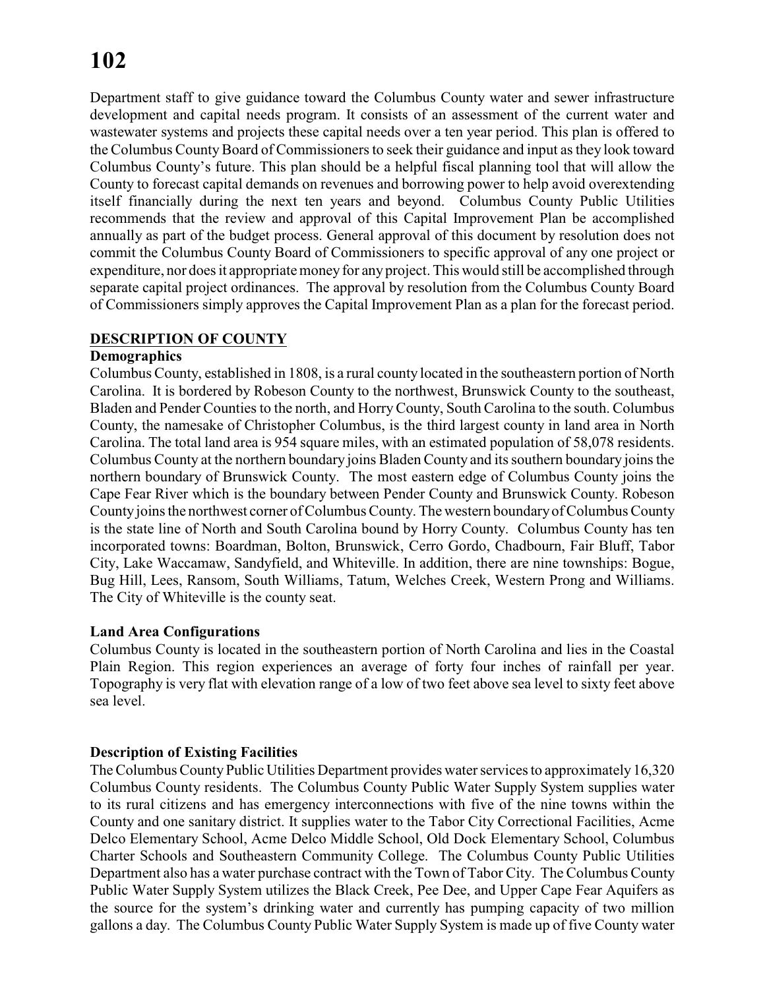Department staff to give guidance toward the Columbus County water and sewer infrastructure development and capital needs program. It consists of an assessment of the current water and wastewater systems and projects these capital needs over a ten year period. This plan is offered to the Columbus County Board of Commissioners to seek their guidance and input as they look toward Columbus County's future. This plan should be a helpful fiscal planning tool that will allow the County to forecast capital demands on revenues and borrowing power to help avoid overextending itself financially during the next ten years and beyond. Columbus County Public Utilities recommends that the review and approval of this Capital Improvement Plan be accomplished annually as part of the budget process. General approval of this document by resolution does not commit the Columbus County Board of Commissioners to specific approval of any one project or expenditure, nor does it appropriate money for anyproject. This would still be accomplished through separate capital project ordinances. The approval by resolution from the Columbus County Board of Commissioners simply approves the Capital Improvement Plan as a plan for the forecast period.

#### **DESCRIPTION OF COUNTY**

#### **Demographics**

Columbus County, established in 1808, is a rural county located in the southeastern portion of North Carolina. It is bordered by Robeson County to the northwest, Brunswick County to the southeast, Bladen and Pender Counties to the north, and HorryCounty, South Carolina to the south. Columbus County, the namesake of Christopher Columbus, is the third largest county in land area in North Carolina. The total land area is 954 square miles, with an estimated population of 58,078 residents. Columbus County at the northern boundary joins Bladen County and its southern boundary joins the northern boundary of Brunswick County. The most eastern edge of Columbus County joins the Cape Fear River which is the boundary between Pender County and Brunswick County. Robeson County joins the northwest corner of Columbus County. The western boundary of Columbus County is the state line of North and South Carolina bound by Horry County. Columbus County has ten incorporated towns: Boardman, Bolton, Brunswick, Cerro Gordo, Chadbourn, Fair Bluff, Tabor City, Lake Waccamaw, Sandyfield, and Whiteville. In addition, there are nine townships: Bogue, Bug Hill, Lees, Ransom, South Williams, Tatum, Welches Creek, Western Prong and Williams. The City of Whiteville is the county seat.

#### **Land Area Configurations**

Columbus County is located in the southeastern portion of North Carolina and lies in the Coastal Plain Region. This region experiences an average of forty four inches of rainfall per year. Topography is very flat with elevation range of a low of two feet above sea level to sixty feet above sea level.

#### **Description of Existing Facilities**

The Columbus County Public Utilities Department provides water services to approximately 16,320 Columbus County residents. The Columbus County Public Water Supply System supplies water to its rural citizens and has emergency interconnections with five of the nine towns within the County and one sanitary district. It supplies water to the Tabor City Correctional Facilities, Acme Delco Elementary School, Acme Delco Middle School, Old Dock Elementary School, Columbus Charter Schools and Southeastern Community College. The Columbus County Public Utilities Department also has a water purchase contract with the Town of Tabor City. The Columbus County Public Water Supply System utilizes the Black Creek, Pee Dee, and Upper Cape Fear Aquifers as the source for the system's drinking water and currently has pumping capacity of two million gallons a day. The Columbus County Public Water Supply System is made up of five County water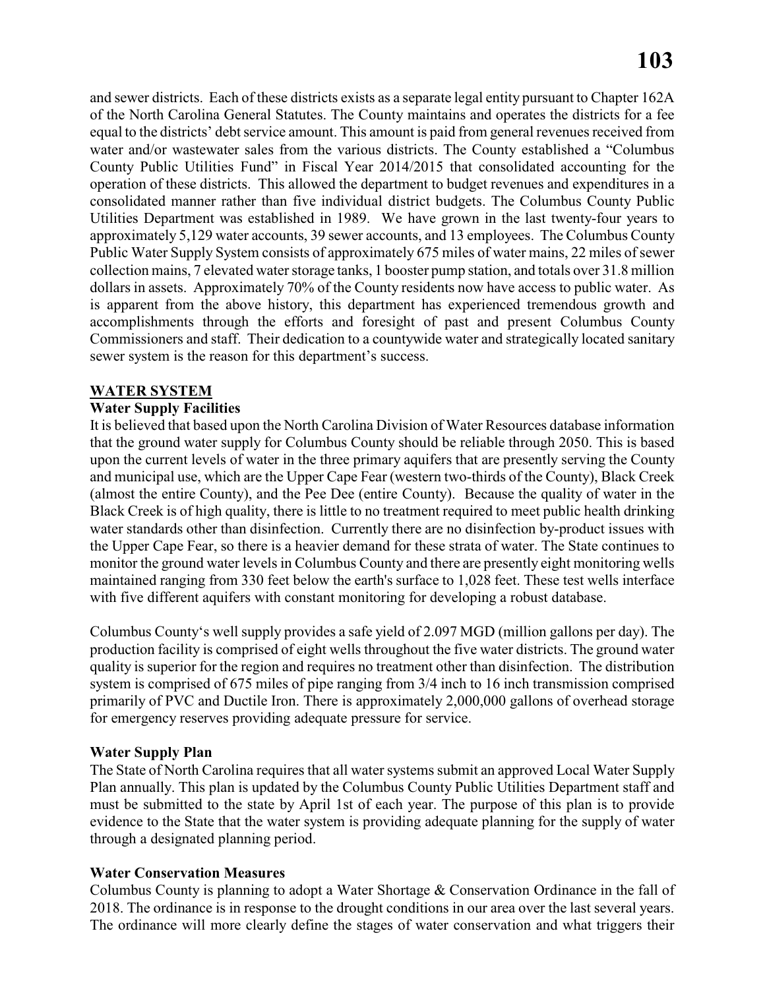and sewer districts. Each of these districts exists as a separate legal entity pursuant to Chapter 162A of the North Carolina General Statutes. The County maintains and operates the districts for a fee equal to the districts' debt service amount. This amount is paid from general revenues received from water and/or wastewater sales from the various districts. The County established a "Columbus County Public Utilities Fund" in Fiscal Year 2014/2015 that consolidated accounting for the operation of these districts. This allowed the department to budget revenues and expenditures in a consolidated manner rather than five individual district budgets. The Columbus County Public Utilities Department was established in 1989. We have grown in the last twenty-four years to approximately 5,129 water accounts, 39 sewer accounts, and 13 employees. The Columbus County Public Water Supply System consists of approximately 675 miles of water mains, 22 miles of sewer collection mains, 7 elevated water storage tanks, 1 booster pump station, and totals over 31.8 million dollars in assets. Approximately 70% of the County residents now have access to public water. As is apparent from the above history, this department has experienced tremendous growth and accomplishments through the efforts and foresight of past and present Columbus County Commissioners and staff. Their dedication to a countywide water and strategically located sanitary sewer system is the reason for this department's success.

#### **WATER SYSTEM**

#### **Water Supply Facilities**

It is believed that based upon the North Carolina Division of Water Resources database information that the ground water supply for Columbus County should be reliable through 2050. This is based upon the current levels of water in the three primary aquifers that are presently serving the County and municipal use, which are the Upper Cape Fear (western two-thirds of the County), Black Creek (almost the entire County), and the Pee Dee (entire County). Because the quality of water in the Black Creek is of high quality, there is little to no treatment required to meet public health drinking water standards other than disinfection. Currently there are no disinfection by-product issues with the Upper Cape Fear, so there is a heavier demand for these strata of water. The State continues to monitor the ground water levels in Columbus County and there are presently eight monitoring wells maintained ranging from 330 feet below the earth's surface to 1,028 feet. These test wells interface with five different aquifers with constant monitoring for developing a robust database.

Columbus County's well supply provides a safe yield of 2.097 MGD (million gallons per day). The production facility is comprised of eight wells throughout the five water districts. The ground water quality is superior for the region and requires no treatment other than disinfection. The distribution system is comprised of 675 miles of pipe ranging from 3/4 inch to 16 inch transmission comprised primarily of PVC and Ductile Iron. There is approximately 2,000,000 gallons of overhead storage for emergency reserves providing adequate pressure for service.

#### **Water Supply Plan**

The State of North Carolina requires that all water systems submit an approved Local Water Supply Plan annually. This plan is updated by the Columbus County Public Utilities Department staff and must be submitted to the state by April 1st of each year. The purpose of this plan is to provide evidence to the State that the water system is providing adequate planning for the supply of water through a designated planning period.

#### **Water Conservation Measures**

Columbus County is planning to adopt a Water Shortage & Conservation Ordinance in the fall of 2018. The ordinance is in response to the drought conditions in our area over the last several years. The ordinance will more clearly define the stages of water conservation and what triggers their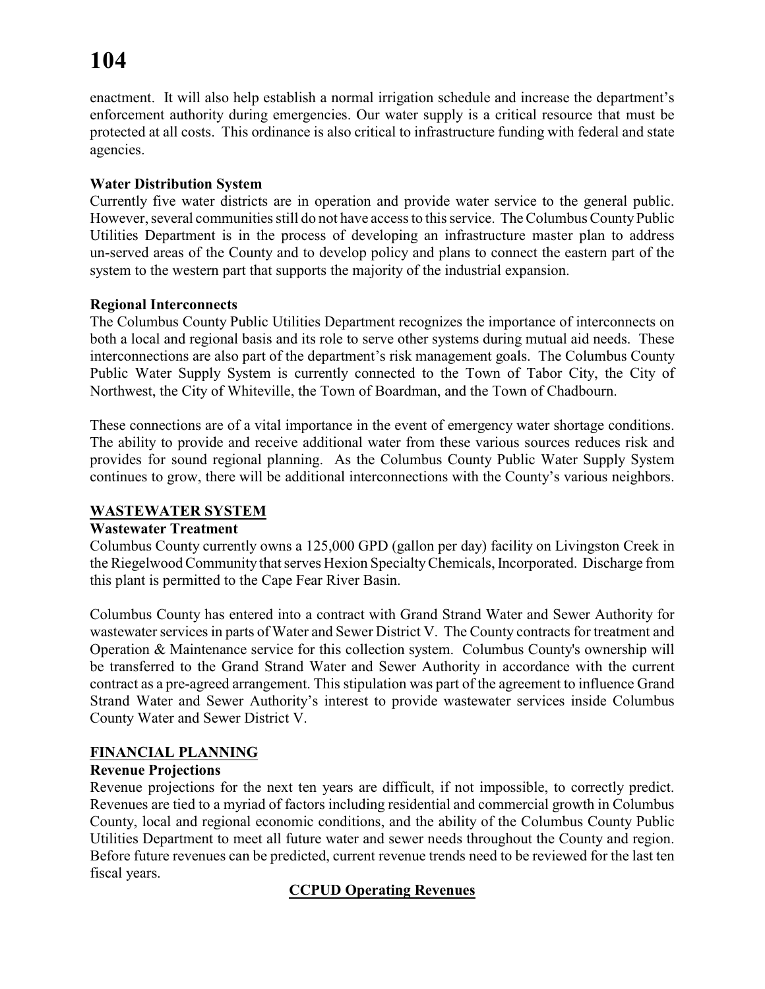enactment. It will also help establish a normal irrigation schedule and increase the department's enforcement authority during emergencies. Our water supply is a critical resource that must be protected at all costs. This ordinance is also critical to infrastructure funding with federal and state agencies.

#### **Water Distribution System**

Currently five water districts are in operation and provide water service to the general public. However, several communities still do not have access to this service. The Columbus County Public Utilities Department is in the process of developing an infrastructure master plan to address un-served areas of the County and to develop policy and plans to connect the eastern part of the system to the western part that supports the majority of the industrial expansion.

#### **Regional Interconnects**

The Columbus County Public Utilities Department recognizes the importance of interconnects on both a local and regional basis and its role to serve other systems during mutual aid needs. These interconnections are also part of the department's risk management goals. The Columbus County Public Water Supply System is currently connected to the Town of Tabor City, the City of Northwest, the City of Whiteville, the Town of Boardman, and the Town of Chadbourn.

These connections are of a vital importance in the event of emergency water shortage conditions. The ability to provide and receive additional water from these various sources reduces risk and provides for sound regional planning. As the Columbus County Public Water Supply System continues to grow, there will be additional interconnections with the County's various neighbors.

#### **WASTEWATER SYSTEM**

#### **Wastewater Treatment**

Columbus County currently owns a 125,000 GPD (gallon per day) facility on Livingston Creek in the Riegelwood Community that serves Hexion SpecialtyChemicals, Incorporated. Discharge from this plant is permitted to the Cape Fear River Basin.

Columbus County has entered into a contract with Grand Strand Water and Sewer Authority for wastewater services in parts of Water and Sewer District V. The County contracts for treatment and Operation & Maintenance service for this collection system. Columbus County's ownership will be transferred to the Grand Strand Water and Sewer Authority in accordance with the current contract as a pre-agreed arrangement. This stipulation was part of the agreement to influence Grand Strand Water and Sewer Authority's interest to provide wastewater services inside Columbus County Water and Sewer District V.

#### **FINANCIAL PLANNING**

#### **Revenue Projections**

Revenue projections for the next ten years are difficult, if not impossible, to correctly predict. Revenues are tied to a myriad of factors including residential and commercial growth in Columbus County, local and regional economic conditions, and the ability of the Columbus County Public Utilities Department to meet all future water and sewer needs throughout the County and region. Before future revenues can be predicted, current revenue trends need to be reviewed for the last ten fiscal years.

#### **CCPUD Operating Revenues**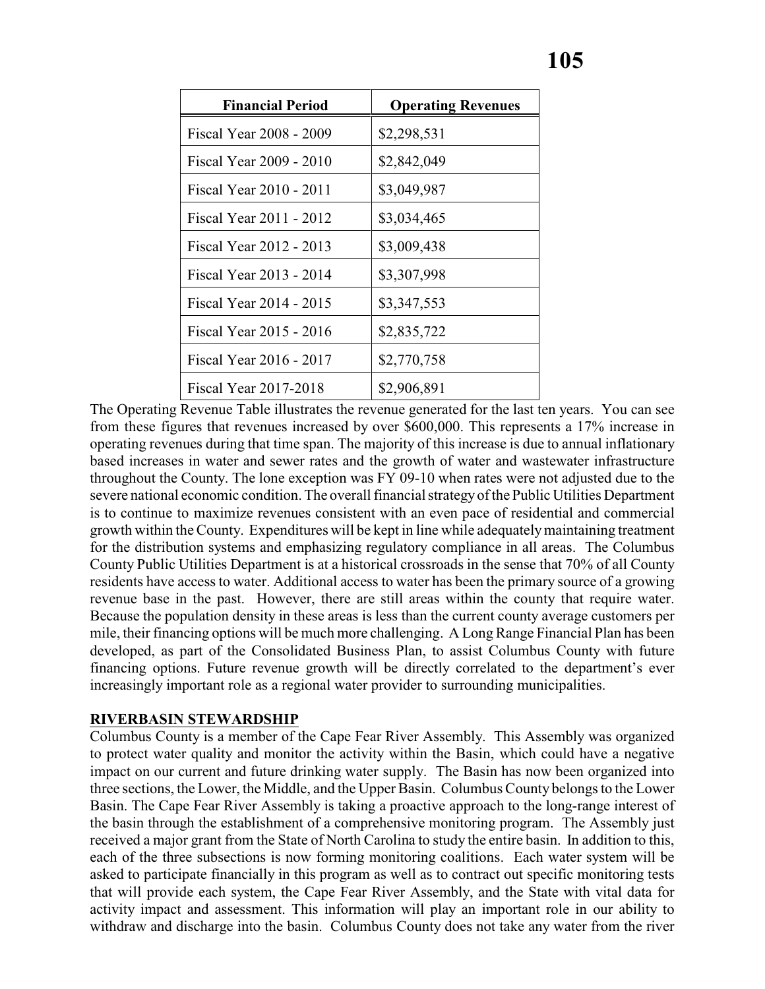| <b>Financial Period</b> | <b>Operating Revenues</b> |
|-------------------------|---------------------------|
| Fiscal Year 2008 - 2009 | \$2,298,531               |
| Fiscal Year 2009 - 2010 | \$2,842,049               |
| Fiscal Year 2010 - 2011 | \$3,049,987               |
| Fiscal Year 2011 - 2012 | \$3,034,465               |
| Fiscal Year 2012 - 2013 | \$3,009,438               |
| Fiscal Year 2013 - 2014 | \$3,307,998               |
| Fiscal Year 2014 - 2015 | \$3,347,553               |
| Fiscal Year 2015 - 2016 | \$2,835,722               |
| Fiscal Year 2016 - 2017 | \$2,770,758               |
| Fiscal Year 2017-2018   | \$2,906,891               |

The Operating Revenue Table illustrates the revenue generated for the last ten years. You can see from these figures that revenues increased by over \$600,000. This represents a 17% increase in operating revenues during that time span. The majority of this increase is due to annual inflationary based increases in water and sewer rates and the growth of water and wastewater infrastructure throughout the County. The lone exception was FY 09-10 when rates were not adjusted due to the severe national economic condition. The overall financial strategyof the Public Utilities Department is to continue to maximize revenues consistent with an even pace of residential and commercial growth within the County. Expenditures will be kept in line while adequately maintaining treatment for the distribution systems and emphasizing regulatory compliance in all areas. The Columbus County Public Utilities Department is at a historical crossroads in the sense that 70% of all County residents have access to water. Additional access to water has been the primary source of a growing revenue base in the past. However, there are still areas within the county that require water. Because the population density in these areas is less than the current county average customers per mile, their financing options will be much more challenging. A Long Range Financial Plan has been developed, as part of the Consolidated Business Plan, to assist Columbus County with future financing options. Future revenue growth will be directly correlated to the department's ever increasingly important role as a regional water provider to surrounding municipalities.

#### **RIVERBASIN STEWARDSHIP**

Columbus County is a member of the Cape Fear River Assembly. This Assembly was organized to protect water quality and monitor the activity within the Basin, which could have a negative impact on our current and future drinking water supply. The Basin has now been organized into three sections, the Lower, the Middle, and the Upper Basin. Columbus County belongs to the Lower Basin. The Cape Fear River Assembly is taking a proactive approach to the long-range interest of the basin through the establishment of a comprehensive monitoring program. The Assembly just received a major grant from the State of North Carolina to study the entire basin. In addition to this, each of the three subsections is now forming monitoring coalitions. Each water system will be asked to participate financially in this program as well as to contract out specific monitoring tests that will provide each system, the Cape Fear River Assembly, and the State with vital data for activity impact and assessment. This information will play an important role in our ability to withdraw and discharge into the basin. Columbus County does not take any water from the river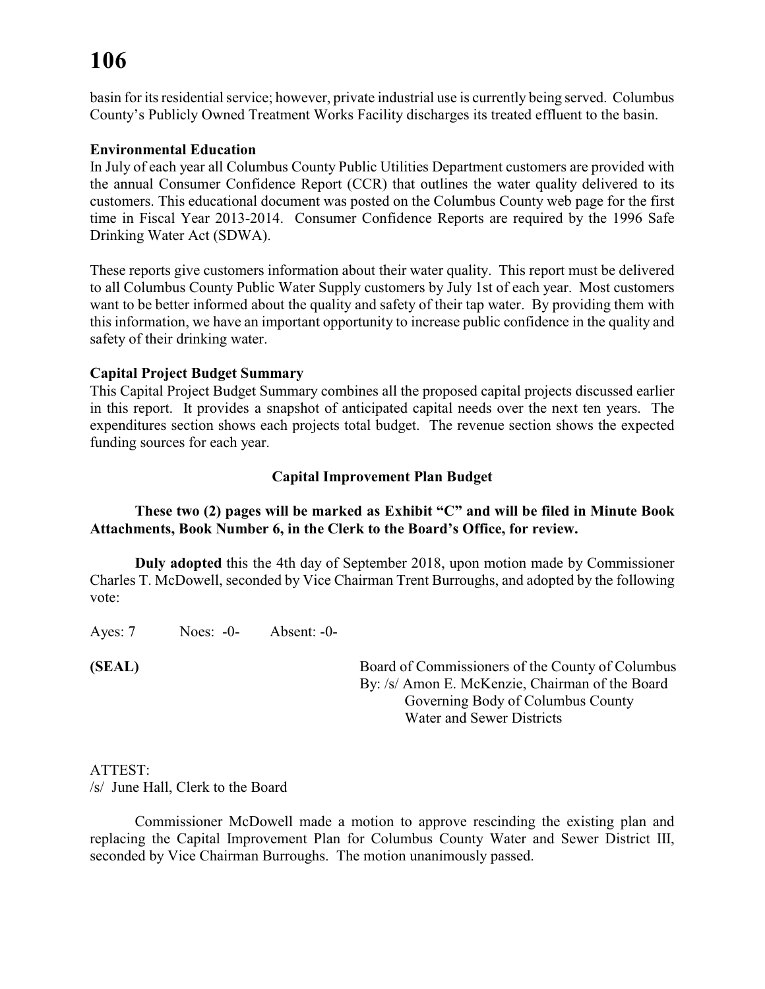basin for its residential service; however, private industrial use is currently being served. Columbus County's Publicly Owned Treatment Works Facility discharges its treated effluent to the basin.

#### **Environmental Education**

In July of each year all Columbus County Public Utilities Department customers are provided with the annual Consumer Confidence Report (CCR) that outlines the water quality delivered to its customers. This educational document was posted on the Columbus County web page for the first time in Fiscal Year 2013-2014. Consumer Confidence Reports are required by the 1996 Safe Drinking Water Act (SDWA).

These reports give customers information about their water quality. This report must be delivered to all Columbus County Public Water Supply customers by July 1st of each year. Most customers want to be better informed about the quality and safety of their tap water. By providing them with this information, we have an important opportunity to increase public confidence in the quality and safety of their drinking water.

#### **Capital Project Budget Summary**

This Capital Project Budget Summary combines all the proposed capital projects discussed earlier in this report. It provides a snapshot of anticipated capital needs over the next ten years. The expenditures section shows each projects total budget. The revenue section shows the expected funding sources for each year.

#### **Capital Improvement Plan Budget**

#### **These two (2) pages will be marked as Exhibit "C" and will be filed in Minute Book Attachments, Book Number 6, in the Clerk to the Board's Office, for review.**

**Duly adopted** this the 4th day of September 2018, upon motion made by Commissioner Charles T. McDowell, seconded by Vice Chairman Trent Burroughs, and adopted by the following vote:

Ayes: 7 Noes: -0- Absent: -0-

**(SEAL)** Board of Commissioners of the County of Columbus By: /s/ Amon E. McKenzie, Chairman of the Board Governing Body of Columbus County Water and Sewer Districts

#### ATTEST:

/s/ June Hall, Clerk to the Board

Commissioner McDowell made a motion to approve rescinding the existing plan and replacing the Capital Improvement Plan for Columbus County Water and Sewer District III, seconded by Vice Chairman Burroughs. The motion unanimously passed.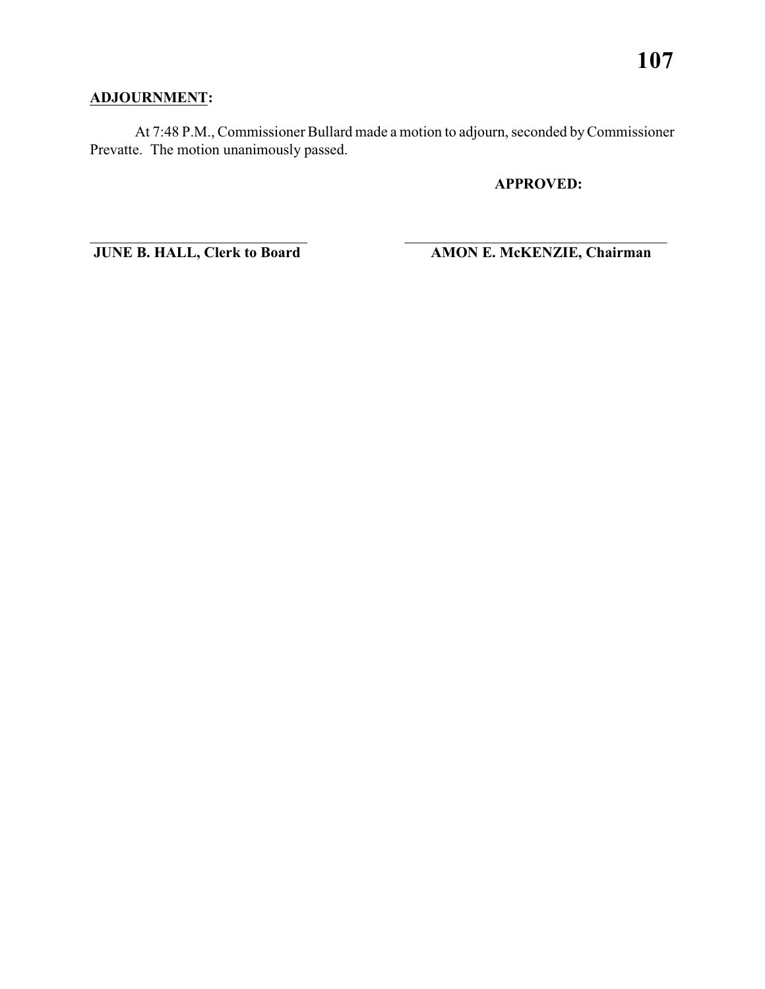### **ADJOURNMENT:**

At 7:48 P.M., Commissioner Bullard made a motion to adjourn, seconded by Commissioner Prevatte. The motion unanimously passed.

\_\_\_\_\_\_\_\_\_\_\_\_\_\_\_\_\_\_\_\_\_\_\_\_\_\_\_\_\_ \_\_\_\_\_\_\_\_\_\_\_\_\_\_\_\_\_\_\_\_\_\_\_\_\_\_\_\_\_\_\_\_\_\_\_

**APPROVED:**

**JUNE B. HALL, Clerk to Board AMON E. McKENZIE, Chairman**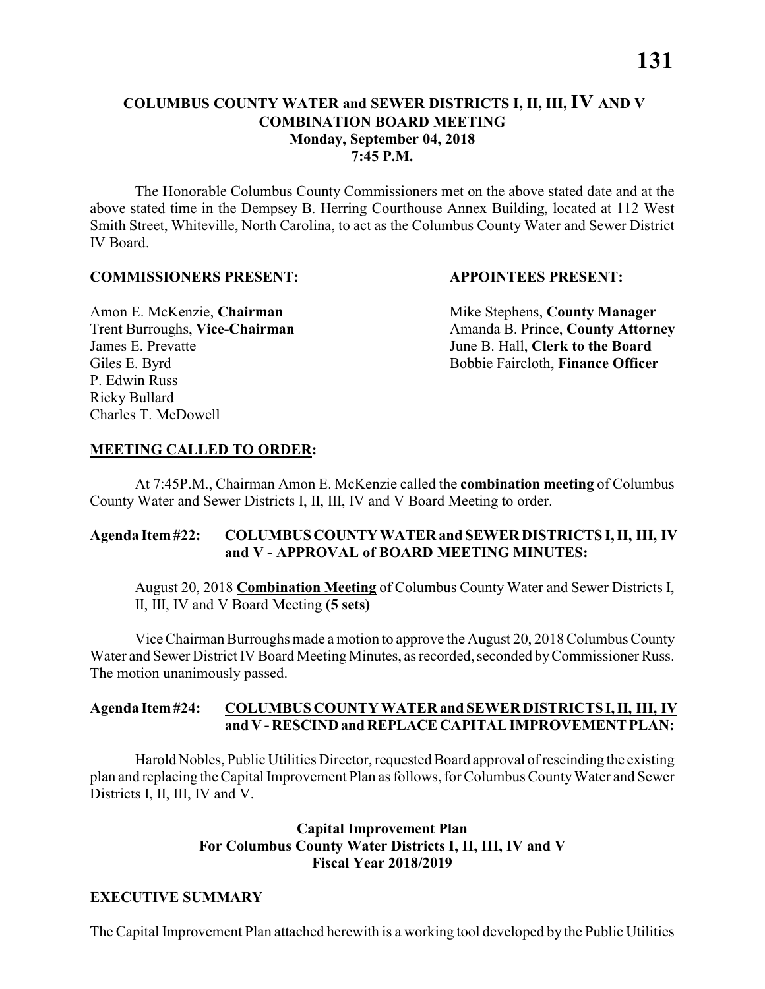#### **COLUMBUS COUNTY WATER and SEWER DISTRICTS I, II, III, IV AND V COMBINATION BOARD MEETING Monday, September 04, 2018 7:45 P.M.**

The Honorable Columbus County Commissioners met on the above stated date and at the above stated time in the Dempsey B. Herring Courthouse Annex Building, located at 112 West Smith Street, Whiteville, North Carolina, to act as the Columbus County Water and Sewer District IV Board.

#### **COMMISSIONERS PRESENT: APPOINTEES PRESENT:**

James E. Prevatte June B. Hall, **Clerk to the Board** P. Edwin Russ Ricky Bullard Charles T. McDowell

Amon E. McKenzie, **Chairman** Mike Stephens, **County Manager** Trent Burroughs, Vice-Chairman Amanda B. Prince, County Attorney Giles E. Byrd **Bobbie Faircloth, Finance Officer** 

#### **MEETING CALLED TO ORDER:**

At 7:45P.M., Chairman Amon E. McKenzie called the **combination meeting** of Columbus County Water and Sewer Districts I, II, III, IV and V Board Meeting to order.

#### **Agenda Item #22: COLUMBUS COUNTY WATER and SEWER DISTRICTS I, II, III, IV and V - APPROVAL of BOARD MEETING MINUTES:**

August 20, 2018 **Combination Meeting** of Columbus County Water and Sewer Districts I, II, III, IV and V Board Meeting **(5 sets)**

Vice Chairman Burroughs made a motion to approve the August 20, 2018 Columbus County Water and Sewer District IV Board Meeting Minutes, as recorded, seconded by Commissioner Russ. The motion unanimously passed.

#### **Agenda Item #24: COLUMBUS COUNTY WATER and SEWER DISTRICTS I, II, III, IV and V - RESCIND and REPLACE CAPITAL IMPROVEMENT PLAN:**

Harold Nobles, Public Utilities Director, requested Board approval of rescinding the existing plan and replacing the Capital Improvement Plan as follows, for Columbus County Water and Sewer Districts I, II, III, IV and V.

#### **Capital Improvement Plan For Columbus County Water Districts I, II, III, IV and V Fiscal Year 2018/2019**

#### **EXECUTIVE SUMMARY**

The Capital Improvement Plan attached herewith is a working tool developed by the Public Utilities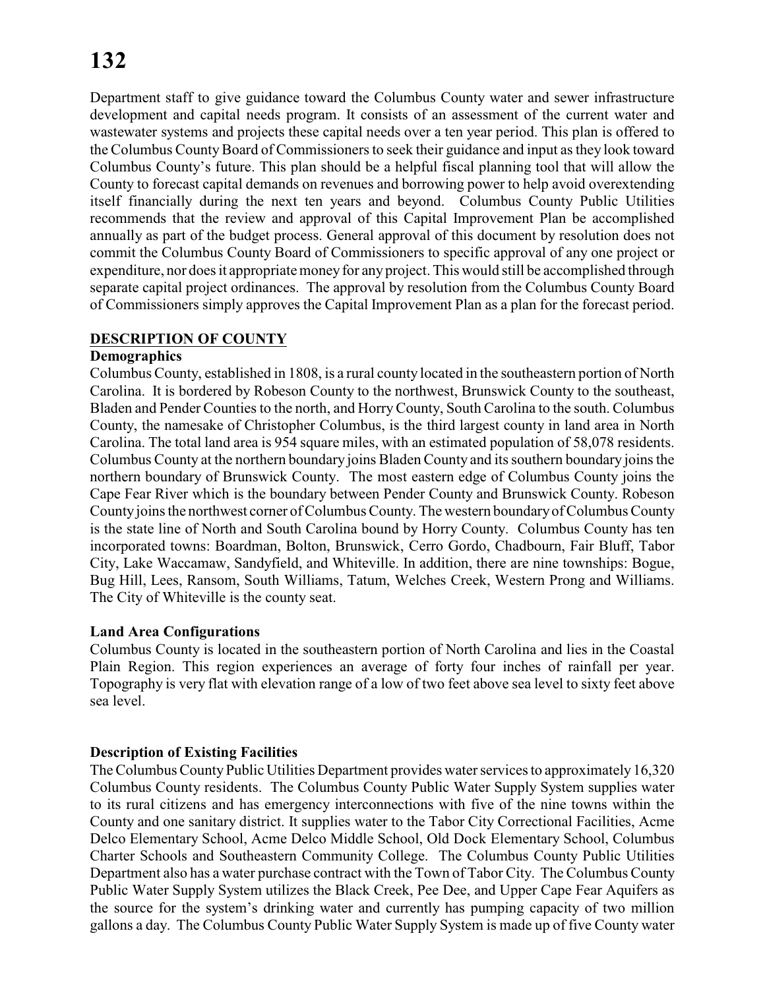Department staff to give guidance toward the Columbus County water and sewer infrastructure development and capital needs program. It consists of an assessment of the current water and wastewater systems and projects these capital needs over a ten year period. This plan is offered to the Columbus County Board of Commissioners to seek their guidance and input as they look toward Columbus County's future. This plan should be a helpful fiscal planning tool that will allow the County to forecast capital demands on revenues and borrowing power to help avoid overextending itself financially during the next ten years and beyond. Columbus County Public Utilities recommends that the review and approval of this Capital Improvement Plan be accomplished annually as part of the budget process. General approval of this document by resolution does not commit the Columbus County Board of Commissioners to specific approval of any one project or expenditure, nor does it appropriate money for anyproject. This would still be accomplished through separate capital project ordinances. The approval by resolution from the Columbus County Board of Commissioners simply approves the Capital Improvement Plan as a plan for the forecast period.

#### **DESCRIPTION OF COUNTY**

#### **Demographics**

Columbus County, established in 1808, is a rural county located in the southeastern portion of North Carolina. It is bordered by Robeson County to the northwest, Brunswick County to the southeast, Bladen and Pender Counties to the north, and HorryCounty, South Carolina to the south. Columbus County, the namesake of Christopher Columbus, is the third largest county in land area in North Carolina. The total land area is 954 square miles, with an estimated population of 58,078 residents. Columbus County at the northern boundary joins Bladen County and its southern boundary joins the northern boundary of Brunswick County. The most eastern edge of Columbus County joins the Cape Fear River which is the boundary between Pender County and Brunswick County. Robeson County joins the northwest corner of Columbus County. The western boundary of Columbus County is the state line of North and South Carolina bound by Horry County. Columbus County has ten incorporated towns: Boardman, Bolton, Brunswick, Cerro Gordo, Chadbourn, Fair Bluff, Tabor City, Lake Waccamaw, Sandyfield, and Whiteville. In addition, there are nine townships: Bogue, Bug Hill, Lees, Ransom, South Williams, Tatum, Welches Creek, Western Prong and Williams. The City of Whiteville is the county seat.

#### **Land Area Configurations**

Columbus County is located in the southeastern portion of North Carolina and lies in the Coastal Plain Region. This region experiences an average of forty four inches of rainfall per year. Topography is very flat with elevation range of a low of two feet above sea level to sixty feet above sea level.

#### **Description of Existing Facilities**

The Columbus County Public Utilities Department provides water services to approximately 16,320 Columbus County residents. The Columbus County Public Water Supply System supplies water to its rural citizens and has emergency interconnections with five of the nine towns within the County and one sanitary district. It supplies water to the Tabor City Correctional Facilities, Acme Delco Elementary School, Acme Delco Middle School, Old Dock Elementary School, Columbus Charter Schools and Southeastern Community College. The Columbus County Public Utilities Department also has a water purchase contract with the Town of Tabor City. The Columbus County Public Water Supply System utilizes the Black Creek, Pee Dee, and Upper Cape Fear Aquifers as the source for the system's drinking water and currently has pumping capacity of two million gallons a day. The Columbus County Public Water Supply System is made up of five County water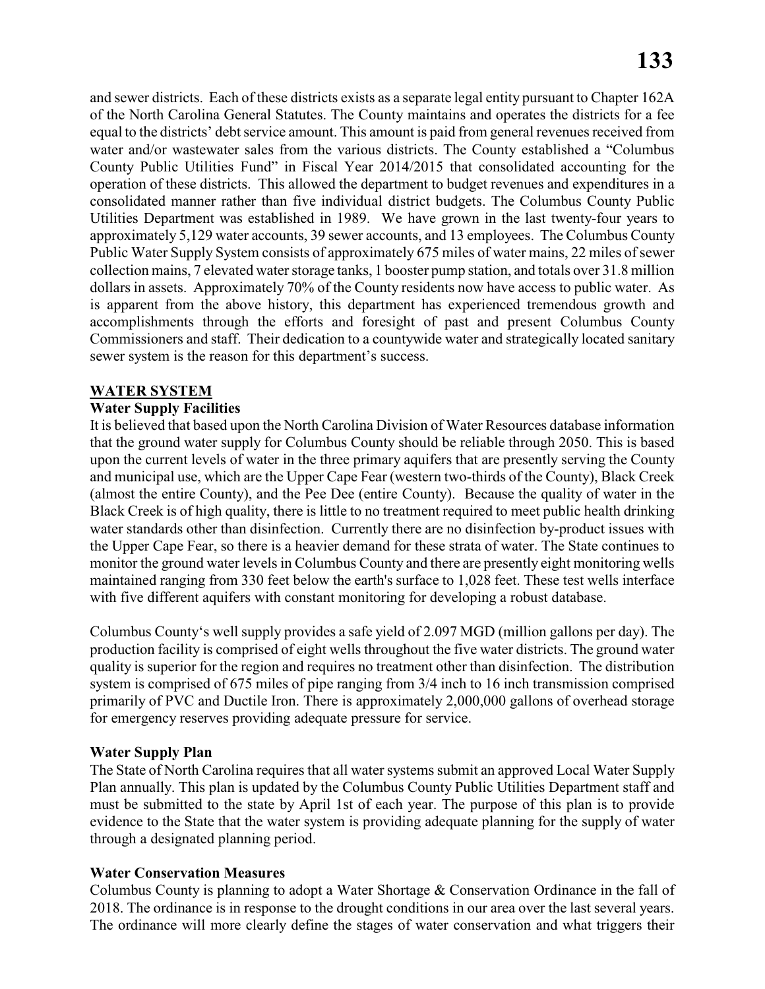and sewer districts. Each of these districts exists as a separate legal entity pursuant to Chapter 162A of the North Carolina General Statutes. The County maintains and operates the districts for a fee equal to the districts' debt service amount. This amount is paid from general revenues received from water and/or wastewater sales from the various districts. The County established a "Columbus County Public Utilities Fund" in Fiscal Year 2014/2015 that consolidated accounting for the operation of these districts. This allowed the department to budget revenues and expenditures in a consolidated manner rather than five individual district budgets. The Columbus County Public Utilities Department was established in 1989. We have grown in the last twenty-four years to approximately 5,129 water accounts, 39 sewer accounts, and 13 employees. The Columbus County Public Water Supply System consists of approximately 675 miles of water mains, 22 miles of sewer collection mains, 7 elevated water storage tanks, 1 booster pump station, and totals over 31.8 million dollars in assets. Approximately 70% of the County residents now have access to public water. As is apparent from the above history, this department has experienced tremendous growth and accomplishments through the efforts and foresight of past and present Columbus County Commissioners and staff. Their dedication to a countywide water and strategically located sanitary sewer system is the reason for this department's success.

#### **WATER SYSTEM**

#### **Water Supply Facilities**

It is believed that based upon the North Carolina Division of Water Resources database information that the ground water supply for Columbus County should be reliable through 2050. This is based upon the current levels of water in the three primary aquifers that are presently serving the County and municipal use, which are the Upper Cape Fear (western two-thirds of the County), Black Creek (almost the entire County), and the Pee Dee (entire County). Because the quality of water in the Black Creek is of high quality, there is little to no treatment required to meet public health drinking water standards other than disinfection. Currently there are no disinfection by-product issues with the Upper Cape Fear, so there is a heavier demand for these strata of water. The State continues to monitor the ground water levels in Columbus County and there are presently eight monitoring wells maintained ranging from 330 feet below the earth's surface to 1,028 feet. These test wells interface with five different aquifers with constant monitoring for developing a robust database.

Columbus County's well supply provides a safe yield of 2.097 MGD (million gallons per day). The production facility is comprised of eight wells throughout the five water districts. The ground water quality is superior for the region and requires no treatment other than disinfection. The distribution system is comprised of 675 miles of pipe ranging from 3/4 inch to 16 inch transmission comprised primarily of PVC and Ductile Iron. There is approximately 2,000,000 gallons of overhead storage for emergency reserves providing adequate pressure for service.

#### **Water Supply Plan**

The State of North Carolina requires that all water systems submit an approved Local Water Supply Plan annually. This plan is updated by the Columbus County Public Utilities Department staff and must be submitted to the state by April 1st of each year. The purpose of this plan is to provide evidence to the State that the water system is providing adequate planning for the supply of water through a designated planning period.

#### **Water Conservation Measures**

Columbus County is planning to adopt a Water Shortage & Conservation Ordinance in the fall of 2018. The ordinance is in response to the drought conditions in our area over the last several years. The ordinance will more clearly define the stages of water conservation and what triggers their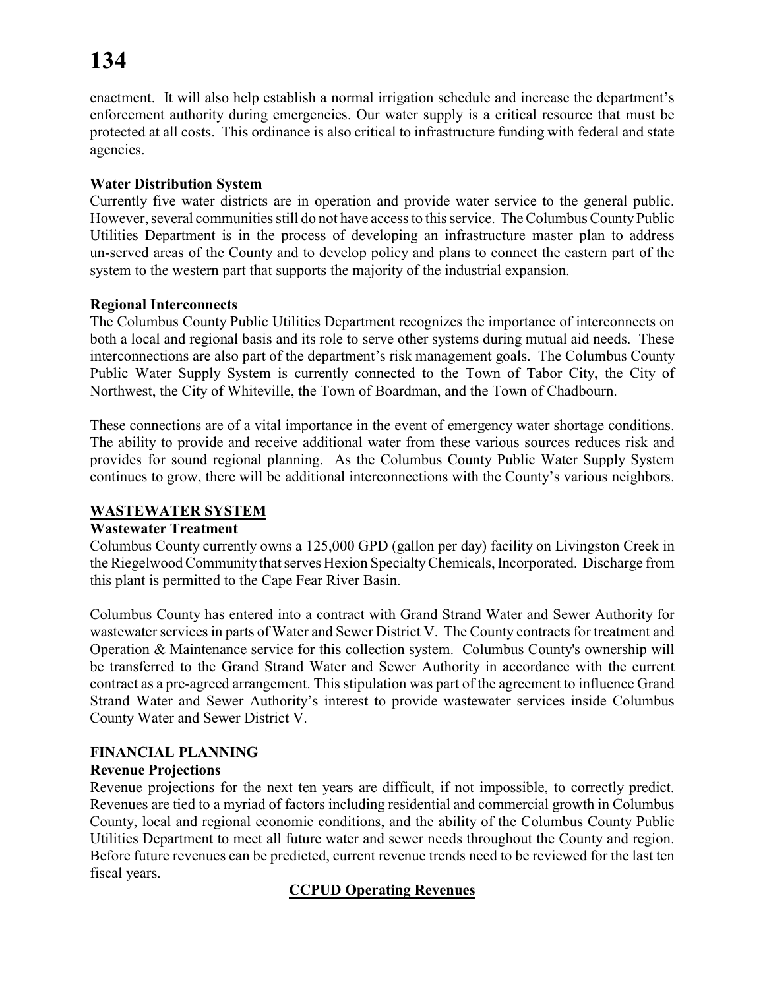enactment. It will also help establish a normal irrigation schedule and increase the department's enforcement authority during emergencies. Our water supply is a critical resource that must be protected at all costs. This ordinance is also critical to infrastructure funding with federal and state agencies.

#### **Water Distribution System**

Currently five water districts are in operation and provide water service to the general public. However, several communities still do not have access to this service. The Columbus County Public Utilities Department is in the process of developing an infrastructure master plan to address un-served areas of the County and to develop policy and plans to connect the eastern part of the system to the western part that supports the majority of the industrial expansion.

#### **Regional Interconnects**

The Columbus County Public Utilities Department recognizes the importance of interconnects on both a local and regional basis and its role to serve other systems during mutual aid needs. These interconnections are also part of the department's risk management goals. The Columbus County Public Water Supply System is currently connected to the Town of Tabor City, the City of Northwest, the City of Whiteville, the Town of Boardman, and the Town of Chadbourn.

These connections are of a vital importance in the event of emergency water shortage conditions. The ability to provide and receive additional water from these various sources reduces risk and provides for sound regional planning. As the Columbus County Public Water Supply System continues to grow, there will be additional interconnections with the County's various neighbors.

#### **WASTEWATER SYSTEM**

#### **Wastewater Treatment**

Columbus County currently owns a 125,000 GPD (gallon per day) facility on Livingston Creek in the Riegelwood Community that serves Hexion SpecialtyChemicals, Incorporated. Discharge from this plant is permitted to the Cape Fear River Basin.

Columbus County has entered into a contract with Grand Strand Water and Sewer Authority for wastewater services in parts of Water and Sewer District V. The County contracts for treatment and Operation & Maintenance service for this collection system. Columbus County's ownership will be transferred to the Grand Strand Water and Sewer Authority in accordance with the current contract as a pre-agreed arrangement. This stipulation was part of the agreement to influence Grand Strand Water and Sewer Authority's interest to provide wastewater services inside Columbus County Water and Sewer District V.

#### **FINANCIAL PLANNING**

#### **Revenue Projections**

Revenue projections for the next ten years are difficult, if not impossible, to correctly predict. Revenues are tied to a myriad of factors including residential and commercial growth in Columbus County, local and regional economic conditions, and the ability of the Columbus County Public Utilities Department to meet all future water and sewer needs throughout the County and region. Before future revenues can be predicted, current revenue trends need to be reviewed for the last ten fiscal years.

#### **CCPUD Operating Revenues**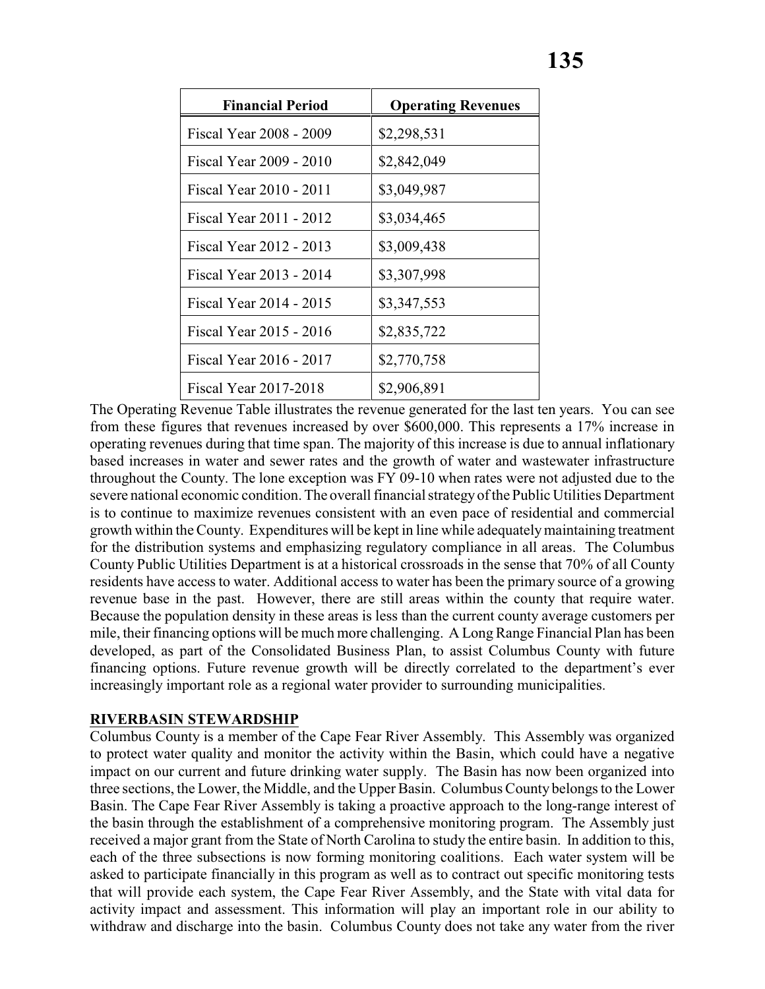| <b>Financial Period</b> | <b>Operating Revenues</b> |
|-------------------------|---------------------------|
| Fiscal Year 2008 - 2009 | \$2,298,531               |
| Fiscal Year 2009 - 2010 | \$2,842,049               |
| Fiscal Year 2010 - 2011 | \$3,049,987               |
| Fiscal Year 2011 - 2012 | \$3,034,465               |
| Fiscal Year 2012 - 2013 | \$3,009,438               |
| Fiscal Year 2013 - 2014 | \$3,307,998               |
| Fiscal Year 2014 - 2015 | \$3,347,553               |
| Fiscal Year 2015 - 2016 | \$2,835,722               |
| Fiscal Year 2016 - 2017 | \$2,770,758               |
| Fiscal Year 2017-2018   | \$2,906,891               |

The Operating Revenue Table illustrates the revenue generated for the last ten years. You can see from these figures that revenues increased by over \$600,000. This represents a 17% increase in operating revenues during that time span. The majority of this increase is due to annual inflationary based increases in water and sewer rates and the growth of water and wastewater infrastructure throughout the County. The lone exception was FY 09-10 when rates were not adjusted due to the severe national economic condition. The overall financial strategyof the Public Utilities Department is to continue to maximize revenues consistent with an even pace of residential and commercial growth within the County. Expenditures will be kept in line while adequately maintaining treatment for the distribution systems and emphasizing regulatory compliance in all areas. The Columbus County Public Utilities Department is at a historical crossroads in the sense that 70% of all County residents have access to water. Additional access to water has been the primary source of a growing revenue base in the past. However, there are still areas within the county that require water. Because the population density in these areas is less than the current county average customers per mile, their financing options will be much more challenging. A Long Range Financial Plan has been developed, as part of the Consolidated Business Plan, to assist Columbus County with future financing options. Future revenue growth will be directly correlated to the department's ever increasingly important role as a regional water provider to surrounding municipalities.

#### **RIVERBASIN STEWARDSHIP**

Columbus County is a member of the Cape Fear River Assembly. This Assembly was organized to protect water quality and monitor the activity within the Basin, which could have a negative impact on our current and future drinking water supply. The Basin has now been organized into three sections, the Lower, the Middle, and the Upper Basin. Columbus County belongs to the Lower Basin. The Cape Fear River Assembly is taking a proactive approach to the long-range interest of the basin through the establishment of a comprehensive monitoring program. The Assembly just received a major grant from the State of North Carolina to study the entire basin. In addition to this, each of the three subsections is now forming monitoring coalitions. Each water system will be asked to participate financially in this program as well as to contract out specific monitoring tests that will provide each system, the Cape Fear River Assembly, and the State with vital data for activity impact and assessment. This information will play an important role in our ability to withdraw and discharge into the basin. Columbus County does not take any water from the river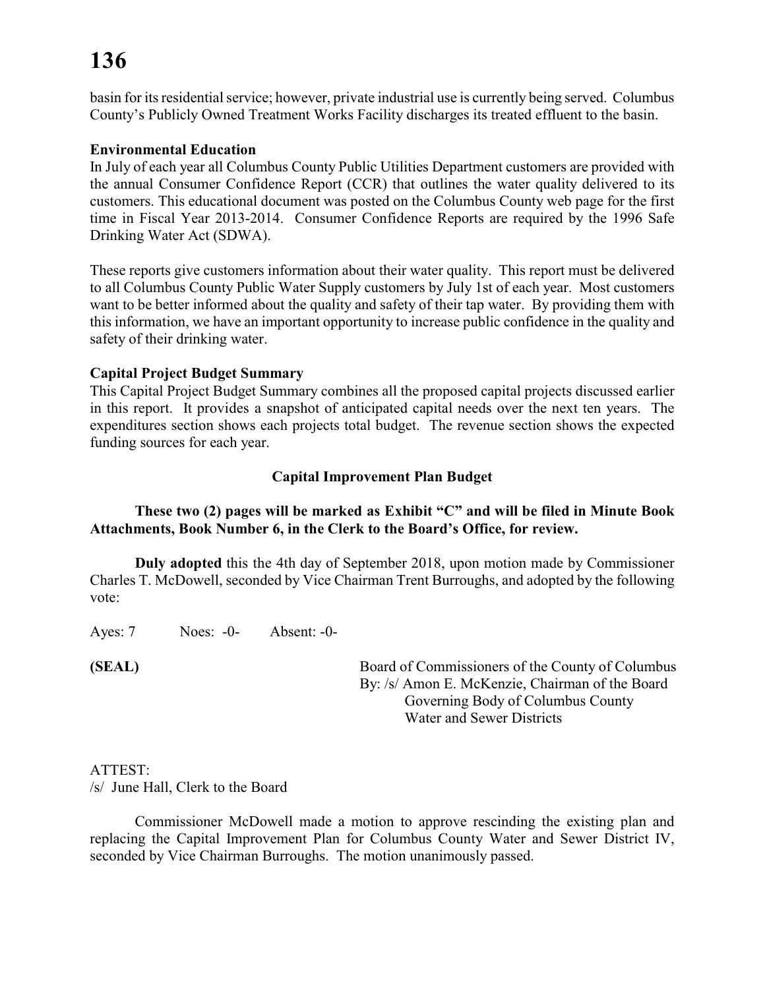basin for its residential service; however, private industrial use is currently being served. Columbus County's Publicly Owned Treatment Works Facility discharges its treated effluent to the basin.

#### **Environmental Education**

In July of each year all Columbus County Public Utilities Department customers are provided with the annual Consumer Confidence Report (CCR) that outlines the water quality delivered to its customers. This educational document was posted on the Columbus County web page for the first time in Fiscal Year 2013-2014. Consumer Confidence Reports are required by the 1996 Safe Drinking Water Act (SDWA).

These reports give customers information about their water quality. This report must be delivered to all Columbus County Public Water Supply customers by July 1st of each year. Most customers want to be better informed about the quality and safety of their tap water. By providing them with this information, we have an important opportunity to increase public confidence in the quality and safety of their drinking water.

#### **Capital Project Budget Summary**

This Capital Project Budget Summary combines all the proposed capital projects discussed earlier in this report. It provides a snapshot of anticipated capital needs over the next ten years. The expenditures section shows each projects total budget. The revenue section shows the expected funding sources for each year.

#### **Capital Improvement Plan Budget**

#### **These two (2) pages will be marked as Exhibit "C" and will be filed in Minute Book Attachments, Book Number 6, in the Clerk to the Board's Office, for review.**

**Duly adopted** this the 4th day of September 2018, upon motion made by Commissioner Charles T. McDowell, seconded by Vice Chairman Trent Burroughs, and adopted by the following vote:

Ayes: 7 Noes: -0- Absent: -0-

**(SEAL)** Board of Commissioners of the County of Columbus By: /s/ Amon E. McKenzie, Chairman of the Board Governing Body of Columbus County Water and Sewer Districts

#### ATTEST:

/s/ June Hall, Clerk to the Board

Commissioner McDowell made a motion to approve rescinding the existing plan and replacing the Capital Improvement Plan for Columbus County Water and Sewer District IV, seconded by Vice Chairman Burroughs. The motion unanimously passed.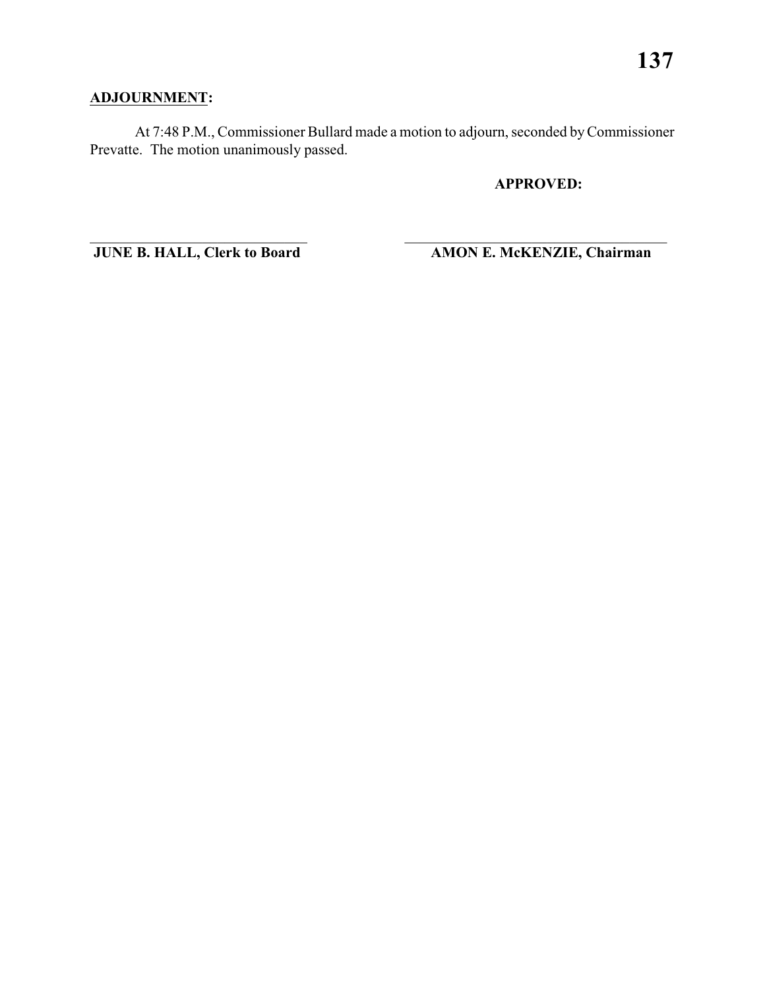### **ADJOURNMENT:**

At 7:48 P.M., Commissioner Bullard made a motion to adjourn, seconded by Commissioner Prevatte. The motion unanimously passed.

\_\_\_\_\_\_\_\_\_\_\_\_\_\_\_\_\_\_\_\_\_\_\_\_\_\_\_\_\_ \_\_\_\_\_\_\_\_\_\_\_\_\_\_\_\_\_\_\_\_\_\_\_\_\_\_\_\_\_\_\_\_\_\_\_

**APPROVED:**

**JUNE B. HALL, Clerk to Board AMON E. McKENZIE, Chairman**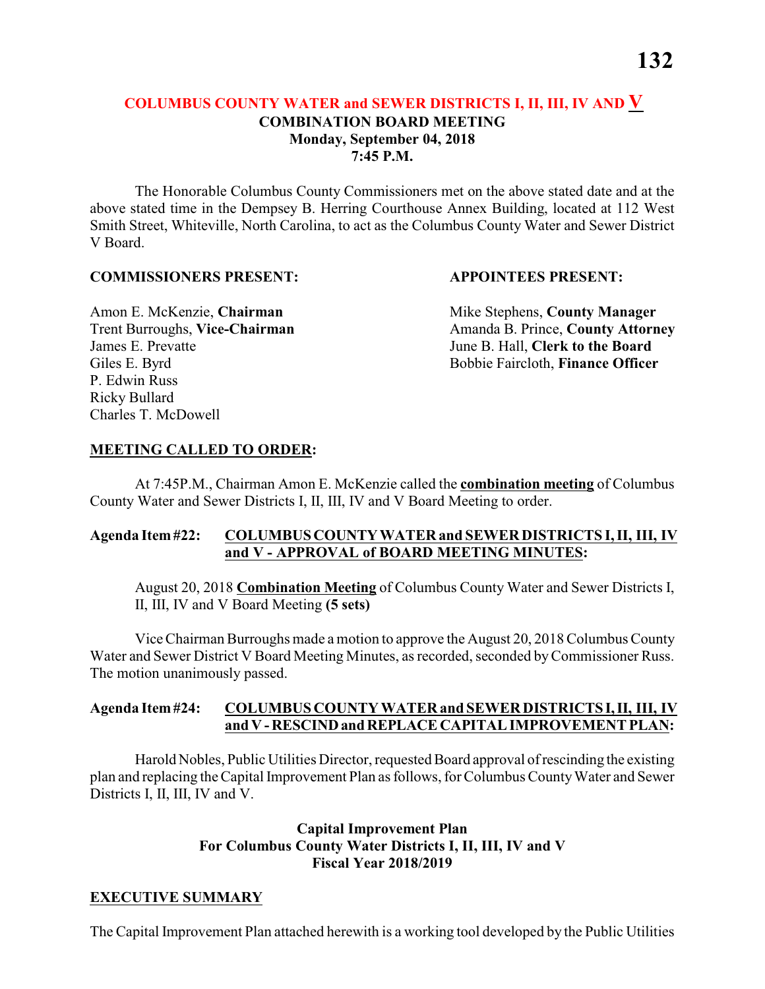#### **COLUMBUS COUNTY WATER and SEWER DISTRICTS I, II, III, IV AND V COMBINATION BOARD MEETING Monday, September 04, 2018 7:45 P.M.**

The Honorable Columbus County Commissioners met on the above stated date and at the above stated time in the Dempsey B. Herring Courthouse Annex Building, located at 112 West Smith Street, Whiteville, North Carolina, to act as the Columbus County Water and Sewer District V Board.

#### **COMMISSIONERS PRESENT: APPOINTEES PRESENT:**

James E. Prevatte June B. Hall, **Clerk to the Board** P. Edwin Russ Ricky Bullard Charles T. McDowell

Amon E. McKenzie, **Chairman** Mike Stephens, **County Manager** Trent Burroughs, Vice-Chairman Amanda B. Prince, County Attorney Giles E. Byrd **Bobbie Faircloth, Finance Officer** 

#### **MEETING CALLED TO ORDER:**

At 7:45P.M., Chairman Amon E. McKenzie called the **combination meeting** of Columbus County Water and Sewer Districts I, II, III, IV and V Board Meeting to order.

#### **Agenda Item #22: COLUMBUS COUNTY WATER and SEWER DISTRICTS I, II, III, IV and V - APPROVAL of BOARD MEETING MINUTES:**

August 20, 2018 **Combination Meeting** of Columbus County Water and Sewer Districts I, II, III, IV and V Board Meeting **(5 sets)**

Vice Chairman Burroughs made a motion to approve the August 20, 2018 Columbus County Water and Sewer District V Board Meeting Minutes, as recorded, seconded by Commissioner Russ. The motion unanimously passed.

#### **Agenda Item #24: COLUMBUS COUNTY WATER and SEWER DISTRICTS I, II, III, IV and V - RESCIND and REPLACE CAPITAL IMPROVEMENT PLAN:**

Harold Nobles, Public Utilities Director, requested Board approval of rescinding the existing plan and replacing the Capital Improvement Plan as follows, for Columbus County Water and Sewer Districts I, II, III, IV and V.

#### **Capital Improvement Plan For Columbus County Water Districts I, II, III, IV and V Fiscal Year 2018/2019**

#### **EXECUTIVE SUMMARY**

The Capital Improvement Plan attached herewith is a working tool developed by the Public Utilities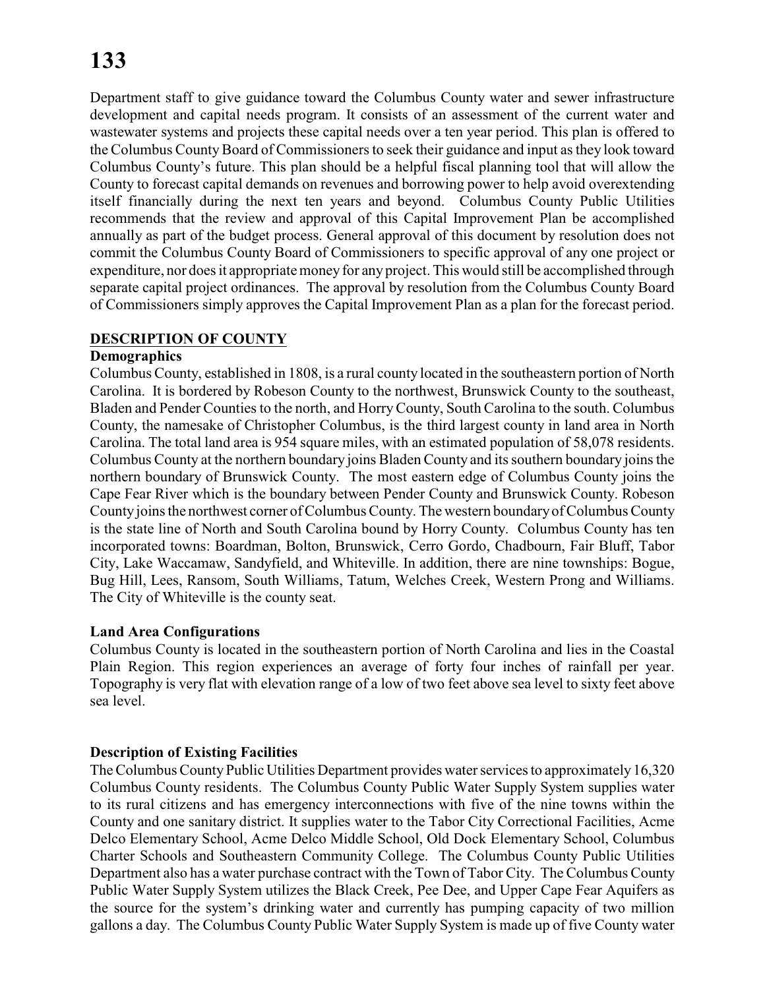Department staff to give guidance toward the Columbus County water and sewer infrastructure development and capital needs program. It consists of an assessment of the current water and wastewater systems and projects these capital needs over a ten year period. This plan is offered to the Columbus County Board of Commissioners to seek their guidance and input as they look toward Columbus County's future. This plan should be a helpful fiscal planning tool that will allow the County to forecast capital demands on revenues and borrowing power to help avoid overextending itself financially during the next ten years and beyond. Columbus County Public Utilities recommends that the review and approval of this Capital Improvement Plan be accomplished annually as part of the budget process. General approval of this document by resolution does not commit the Columbus County Board of Commissioners to specific approval of any one project or expenditure, nor does it appropriate money for anyproject. This would still be accomplished through separate capital project ordinances. The approval by resolution from the Columbus County Board of Commissioners simply approves the Capital Improvement Plan as a plan for the forecast period.

#### **DESCRIPTION OF COUNTY**

#### **Demographics**

Columbus County, established in 1808, is a rural county located in the southeastern portion of North Carolina. It is bordered by Robeson County to the northwest, Brunswick County to the southeast, Bladen and Pender Counties to the north, and HorryCounty, South Carolina to the south. Columbus County, the namesake of Christopher Columbus, is the third largest county in land area in North Carolina. The total land area is 954 square miles, with an estimated population of 58,078 residents. Columbus County at the northern boundary joins Bladen County and its southern boundary joins the northern boundary of Brunswick County. The most eastern edge of Columbus County joins the Cape Fear River which is the boundary between Pender County and Brunswick County. Robeson County joins the northwest corner of Columbus County. The western boundary of Columbus County is the state line of North and South Carolina bound by Horry County. Columbus County has ten incorporated towns: Boardman, Bolton, Brunswick, Cerro Gordo, Chadbourn, Fair Bluff, Tabor City, Lake Waccamaw, Sandyfield, and Whiteville. In addition, there are nine townships: Bogue, Bug Hill, Lees, Ransom, South Williams, Tatum, Welches Creek, Western Prong and Williams. The City of Whiteville is the county seat.

#### **Land Area Configurations**

Columbus County is located in the southeastern portion of North Carolina and lies in the Coastal Plain Region. This region experiences an average of forty four inches of rainfall per year. Topography is very flat with elevation range of a low of two feet above sea level to sixty feet above sea level.

#### **Description of Existing Facilities**

The Columbus County Public Utilities Department provides water services to approximately 16,320 Columbus County residents. The Columbus County Public Water Supply System supplies water to its rural citizens and has emergency interconnections with five of the nine towns within the County and one sanitary district. It supplies water to the Tabor City Correctional Facilities, Acme Delco Elementary School, Acme Delco Middle School, Old Dock Elementary School, Columbus Charter Schools and Southeastern Community College. The Columbus County Public Utilities Department also has a water purchase contract with the Town of Tabor City. The Columbus County Public Water Supply System utilizes the Black Creek, Pee Dee, and Upper Cape Fear Aquifers as the source for the system's drinking water and currently has pumping capacity of two million gallons a day. The Columbus County Public Water Supply System is made up of five County water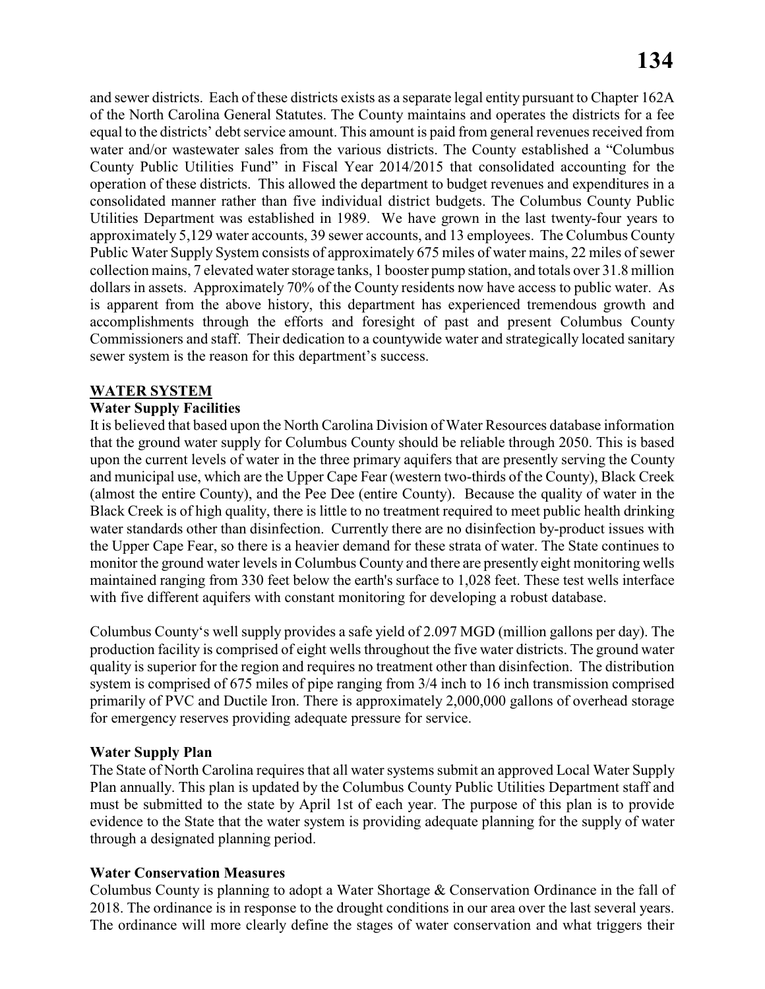and sewer districts. Each of these districts exists as a separate legal entity pursuant to Chapter 162A of the North Carolina General Statutes. The County maintains and operates the districts for a fee equal to the districts' debt service amount. This amount is paid from general revenues received from water and/or wastewater sales from the various districts. The County established a "Columbus County Public Utilities Fund" in Fiscal Year 2014/2015 that consolidated accounting for the operation of these districts. This allowed the department to budget revenues and expenditures in a consolidated manner rather than five individual district budgets. The Columbus County Public Utilities Department was established in 1989. We have grown in the last twenty-four years to approximately 5,129 water accounts, 39 sewer accounts, and 13 employees. The Columbus County Public Water Supply System consists of approximately 675 miles of water mains, 22 miles of sewer collection mains, 7 elevated water storage tanks, 1 booster pump station, and totals over 31.8 million dollars in assets. Approximately 70% of the County residents now have access to public water. As is apparent from the above history, this department has experienced tremendous growth and accomplishments through the efforts and foresight of past and present Columbus County Commissioners and staff. Their dedication to a countywide water and strategically located sanitary sewer system is the reason for this department's success.

#### **WATER SYSTEM**

#### **Water Supply Facilities**

It is believed that based upon the North Carolina Division of Water Resources database information that the ground water supply for Columbus County should be reliable through 2050. This is based upon the current levels of water in the three primary aquifers that are presently serving the County and municipal use, which are the Upper Cape Fear (western two-thirds of the County), Black Creek (almost the entire County), and the Pee Dee (entire County). Because the quality of water in the Black Creek is of high quality, there is little to no treatment required to meet public health drinking water standards other than disinfection. Currently there are no disinfection by-product issues with the Upper Cape Fear, so there is a heavier demand for these strata of water. The State continues to monitor the ground water levels in Columbus County and there are presently eight monitoring wells maintained ranging from 330 feet below the earth's surface to 1,028 feet. These test wells interface with five different aquifers with constant monitoring for developing a robust database.

Columbus County's well supply provides a safe yield of 2.097 MGD (million gallons per day). The production facility is comprised of eight wells throughout the five water districts. The ground water quality is superior for the region and requires no treatment other than disinfection. The distribution system is comprised of 675 miles of pipe ranging from 3/4 inch to 16 inch transmission comprised primarily of PVC and Ductile Iron. There is approximately 2,000,000 gallons of overhead storage for emergency reserves providing adequate pressure for service.

#### **Water Supply Plan**

The State of North Carolina requires that all water systems submit an approved Local Water Supply Plan annually. This plan is updated by the Columbus County Public Utilities Department staff and must be submitted to the state by April 1st of each year. The purpose of this plan is to provide evidence to the State that the water system is providing adequate planning for the supply of water through a designated planning period.

#### **Water Conservation Measures**

Columbus County is planning to adopt a Water Shortage & Conservation Ordinance in the fall of 2018. The ordinance is in response to the drought conditions in our area over the last several years. The ordinance will more clearly define the stages of water conservation and what triggers their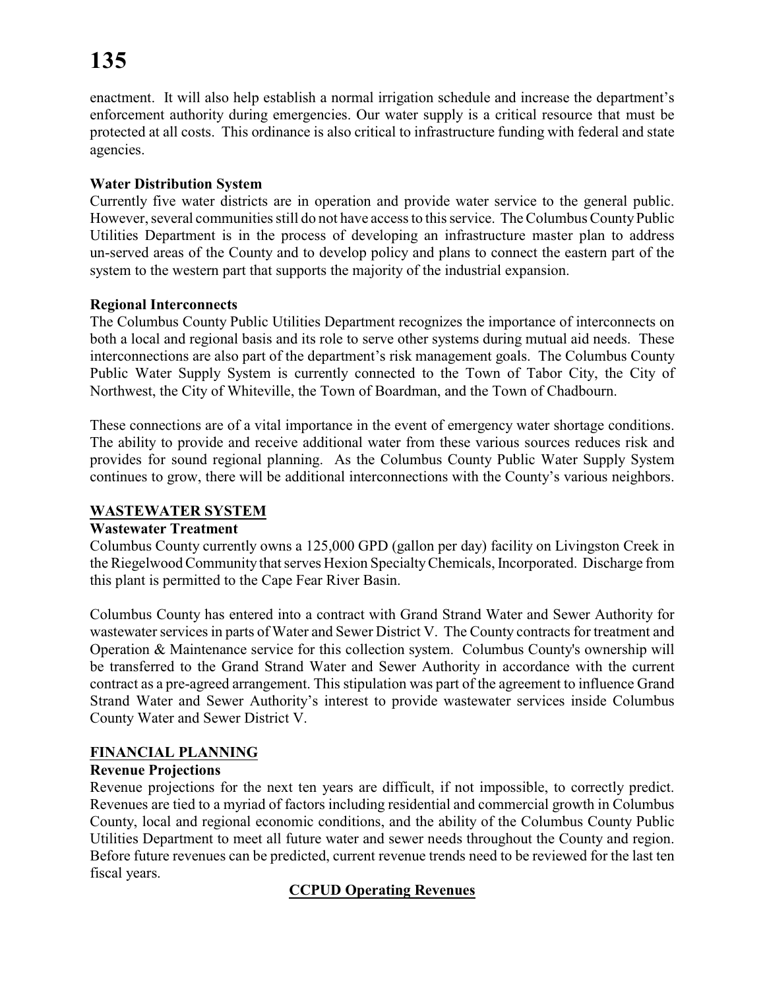# **135**

enactment. It will also help establish a normal irrigation schedule and increase the department's enforcement authority during emergencies. Our water supply is a critical resource that must be protected at all costs. This ordinance is also critical to infrastructure funding with federal and state agencies.

## **Water Distribution System**

Currently five water districts are in operation and provide water service to the general public. However, several communities still do not have access to this service. The Columbus County Public Utilities Department is in the process of developing an infrastructure master plan to address un-served areas of the County and to develop policy and plans to connect the eastern part of the system to the western part that supports the majority of the industrial expansion.

## **Regional Interconnects**

The Columbus County Public Utilities Department recognizes the importance of interconnects on both a local and regional basis and its role to serve other systems during mutual aid needs. These interconnections are also part of the department's risk management goals. The Columbus County Public Water Supply System is currently connected to the Town of Tabor City, the City of Northwest, the City of Whiteville, the Town of Boardman, and the Town of Chadbourn.

These connections are of a vital importance in the event of emergency water shortage conditions. The ability to provide and receive additional water from these various sources reduces risk and provides for sound regional planning. As the Columbus County Public Water Supply System continues to grow, there will be additional interconnections with the County's various neighbors.

## **WASTEWATER SYSTEM**

## **Wastewater Treatment**

Columbus County currently owns a 125,000 GPD (gallon per day) facility on Livingston Creek in the Riegelwood Community that serves Hexion SpecialtyChemicals, Incorporated. Discharge from this plant is permitted to the Cape Fear River Basin.

Columbus County has entered into a contract with Grand Strand Water and Sewer Authority for wastewater services in parts of Water and Sewer District V. The County contracts for treatment and Operation & Maintenance service for this collection system. Columbus County's ownership will be transferred to the Grand Strand Water and Sewer Authority in accordance with the current contract as a pre-agreed arrangement. This stipulation was part of the agreement to influence Grand Strand Water and Sewer Authority's interest to provide wastewater services inside Columbus County Water and Sewer District V.

## **FINANCIAL PLANNING**

## **Revenue Projections**

Revenue projections for the next ten years are difficult, if not impossible, to correctly predict. Revenues are tied to a myriad of factors including residential and commercial growth in Columbus County, local and regional economic conditions, and the ability of the Columbus County Public Utilities Department to meet all future water and sewer needs throughout the County and region. Before future revenues can be predicted, current revenue trends need to be reviewed for the last ten fiscal years.

## **CCPUD Operating Revenues**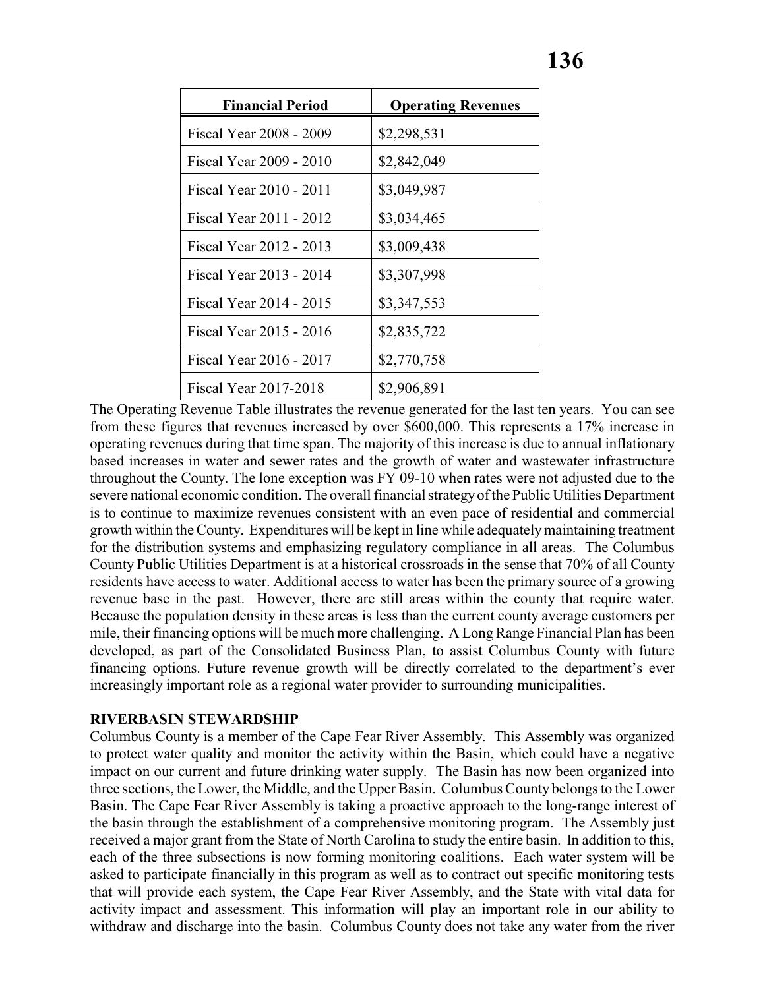| <b>Financial Period</b> | <b>Operating Revenues</b> |
|-------------------------|---------------------------|
| Fiscal Year 2008 - 2009 | \$2,298,531               |
| Fiscal Year 2009 - 2010 | \$2,842,049               |
| Fiscal Year 2010 - 2011 | \$3,049,987               |
| Fiscal Year 2011 - 2012 | \$3,034,465               |
| Fiscal Year 2012 - 2013 | \$3,009,438               |
| Fiscal Year 2013 - 2014 | \$3,307,998               |
| Fiscal Year 2014 - 2015 | \$3,347,553               |
| Fiscal Year 2015 - 2016 | \$2,835,722               |
| Fiscal Year 2016 - 2017 | \$2,770,758               |
| Fiscal Year 2017-2018   | \$2,906,891               |

The Operating Revenue Table illustrates the revenue generated for the last ten years. You can see from these figures that revenues increased by over \$600,000. This represents a 17% increase in operating revenues during that time span. The majority of this increase is due to annual inflationary based increases in water and sewer rates and the growth of water and wastewater infrastructure throughout the County. The lone exception was FY 09-10 when rates were not adjusted due to the severe national economic condition. The overall financial strategyof the Public Utilities Department is to continue to maximize revenues consistent with an even pace of residential and commercial growth within the County. Expenditures will be kept in line while adequately maintaining treatment for the distribution systems and emphasizing regulatory compliance in all areas. The Columbus County Public Utilities Department is at a historical crossroads in the sense that 70% of all County residents have access to water. Additional access to water has been the primary source of a growing revenue base in the past. However, there are still areas within the county that require water. Because the population density in these areas is less than the current county average customers per mile, their financing options will be much more challenging. A Long Range Financial Plan has been developed, as part of the Consolidated Business Plan, to assist Columbus County with future financing options. Future revenue growth will be directly correlated to the department's ever increasingly important role as a regional water provider to surrounding municipalities.

#### **RIVERBASIN STEWARDSHIP**

Columbus County is a member of the Cape Fear River Assembly. This Assembly was organized to protect water quality and monitor the activity within the Basin, which could have a negative impact on our current and future drinking water supply. The Basin has now been organized into three sections, the Lower, the Middle, and the Upper Basin. Columbus County belongs to the Lower Basin. The Cape Fear River Assembly is taking a proactive approach to the long-range interest of the basin through the establishment of a comprehensive monitoring program. The Assembly just received a major grant from the State of North Carolina to study the entire basin. In addition to this, each of the three subsections is now forming monitoring coalitions. Each water system will be asked to participate financially in this program as well as to contract out specific monitoring tests that will provide each system, the Cape Fear River Assembly, and the State with vital data for activity impact and assessment. This information will play an important role in our ability to withdraw and discharge into the basin. Columbus County does not take any water from the river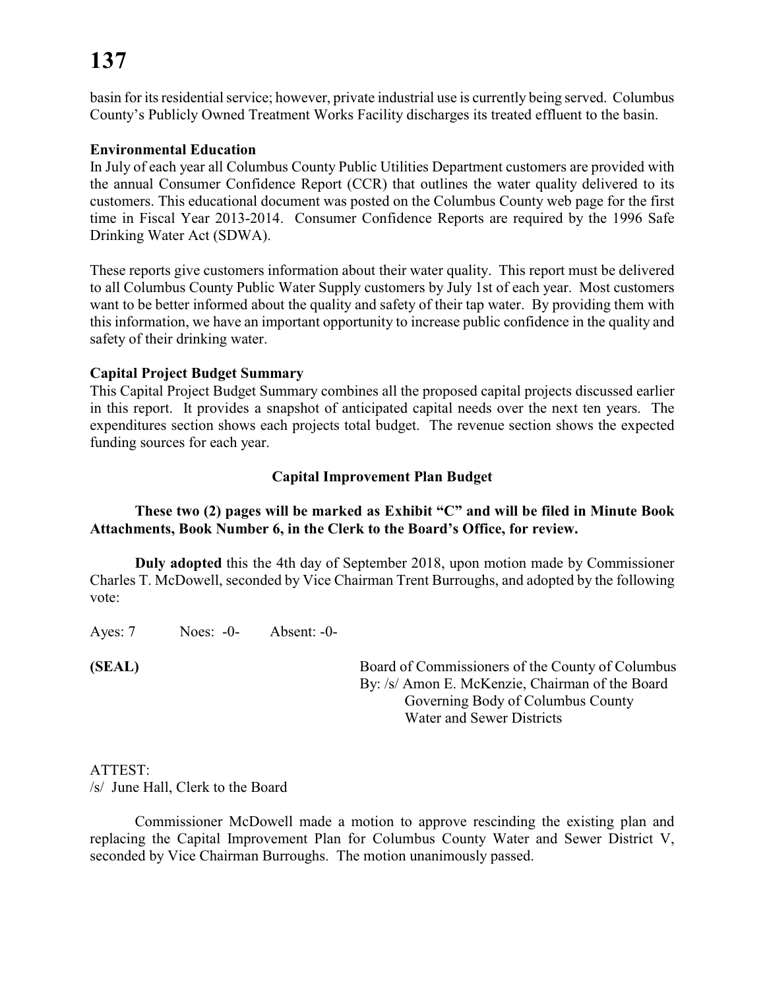# **137**

basin for its residential service; however, private industrial use is currently being served. Columbus County's Publicly Owned Treatment Works Facility discharges its treated effluent to the basin.

### **Environmental Education**

In July of each year all Columbus County Public Utilities Department customers are provided with the annual Consumer Confidence Report (CCR) that outlines the water quality delivered to its customers. This educational document was posted on the Columbus County web page for the first time in Fiscal Year 2013-2014. Consumer Confidence Reports are required by the 1996 Safe Drinking Water Act (SDWA).

These reports give customers information about their water quality. This report must be delivered to all Columbus County Public Water Supply customers by July 1st of each year. Most customers want to be better informed about the quality and safety of their tap water. By providing them with this information, we have an important opportunity to increase public confidence in the quality and safety of their drinking water.

### **Capital Project Budget Summary**

This Capital Project Budget Summary combines all the proposed capital projects discussed earlier in this report. It provides a snapshot of anticipated capital needs over the next ten years. The expenditures section shows each projects total budget. The revenue section shows the expected funding sources for each year.

## **Capital Improvement Plan Budget**

## **These two (2) pages will be marked as Exhibit "C" and will be filed in Minute Book Attachments, Book Number 6, in the Clerk to the Board's Office, for review.**

**Duly adopted** this the 4th day of September 2018, upon motion made by Commissioner Charles T. McDowell, seconded by Vice Chairman Trent Burroughs, and adopted by the following vote:

Ayes: 7 Noes: -0- Absent: -0-

**(SEAL)** Board of Commissioners of the County of Columbus By: /s/ Amon E. McKenzie, Chairman of the Board Governing Body of Columbus County Water and Sewer Districts

#### ATTEST:

/s/ June Hall, Clerk to the Board

Commissioner McDowell made a motion to approve rescinding the existing plan and replacing the Capital Improvement Plan for Columbus County Water and Sewer District V, seconded by Vice Chairman Burroughs. The motion unanimously passed.